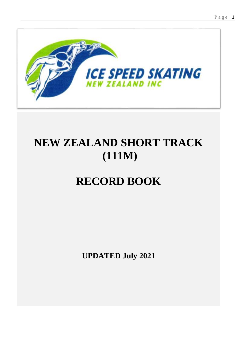

# **NEW ZEALAND SHORT TRACK (111M)**

# **RECORD BOOK**

**UPDATED July 2021**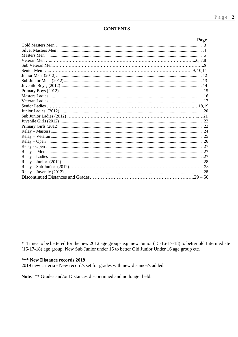$\mathbf{r}$ 

#### **CONTENTS**

| rage |
|------|
|      |
|      |
|      |
|      |
|      |
|      |
|      |
|      |
|      |
|      |
|      |
|      |
|      |
|      |
|      |
|      |
|      |
|      |
|      |
|      |
|      |
|      |
|      |
|      |
|      |
|      |
|      |

\* Times to be bettered for the new 2012 age groups e.g. new Junior (15-16-17-18) to better old Intermediate (16-17-18) age group, New Sub Junior under 15 to better Old Junior Under 16 age group etc.

#### \*\*\* New Distance records 2019

2019 new criteria - New record/s set for grades with new distance/s added.

Note: \*\* Grades and/or Distances discontinued and no longer held.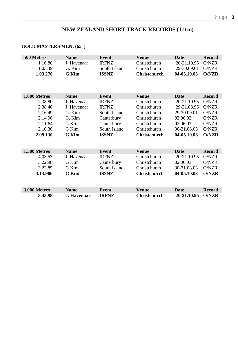# **NEW ZEALAND SHORT TRACK RECORDS (111m)**

### **GOLD MASTERS MEN: (65 )**

| 500 Metres   | <b>Name</b>  | <b>Event</b> | <b>Venue</b>        | Date        | <b>Record</b> |
|--------------|--------------|--------------|---------------------|-------------|---------------|
| 1.16.80      | J. Havenaar  | <b>IRFNZ</b> | Christchurch        | 20-21.10.95 | O/NZR         |
| 1.03.49      | G. Kim       | South Island | Christchurch        | 29-30.09.01 | O/NZR         |
| 1.03.270     | <b>G</b> Kim | <b>ISSNZ</b> | <b>Christchurch</b> | 04-05.10.03 | <b>O/NZR</b>  |
|              |              |              |                     |             |               |
|              |              |              |                     |             |               |
|              |              |              |                     |             |               |
| 1,000 Metres | <b>Name</b>  | <b>Event</b> | <b>Venue</b>        | <b>Date</b> | <b>Record</b> |
| 2.38.80      | J. Havenaar  | <b>IRFNZ</b> | Christchurch        | 20-21.10.95 | O/NZR         |
| 2.38.40      | J. Havenaar  | <b>IRFNZ</b> | Christchurch        | 29-31.08.96 | O/NZR         |
| 2.16.49      | G. Kim       | South Island | Christchurch        | 29-30.09.01 | O/NZR         |
| 2.14.96      | G. Kim       | Canterbury   | Christchurch        | 03.06.02    | O/NZR         |
| 2.11.64      | G Kim        | Canterbury   | Christchurch        | 02.06.03    | O/NZR         |
| 2.10.36      | G Kim        | South Island | Christchurch        | 30-31.08.03 | O/NZR         |
| 2.09.130     | <b>G</b> Kim | <b>ISSNZ</b> | <b>Christchurch</b> | 04-05.10.03 | <b>O/NZR</b>  |
|              |              |              |                     |             |               |
|              |              |              |                     |             |               |
| 1,500 Metres | <b>Name</b>  | <b>Event</b> | <b>Venue</b>        | <b>Date</b> | <b>Record</b> |
| 4.03.53      | J. Havenaar  | <b>IRFNZ</b> | Christchurch        | 20-21.10.95 | O/NZR         |
| 3.22.98      | G Kim        | Canterbury   | Christchurch        | 02.06.03    | O/NZR         |
| 3.22.85      | G Kim        | South Island | Christchurch        | 30-31.08.03 | O/NZR         |
| 3.13.986     | <b>G</b> Kim | <b>ISSNZ</b> | <b>Christchurch</b> | 04-05.10.03 | <b>O/NZR</b>  |
|              |              |              |                     |             |               |
|              |              |              |                     |             |               |
| 3,000 Metres | <b>Name</b>  | <b>Event</b> | <b>Venue</b>        | <b>Date</b> | <b>Record</b> |
| 8.45.98      | J. Havenaar  | <b>IRFNZ</b> | <b>Christchurch</b> | 20-21.10.95 | <b>O/NZR</b>  |
|              |              |              |                     |             |               |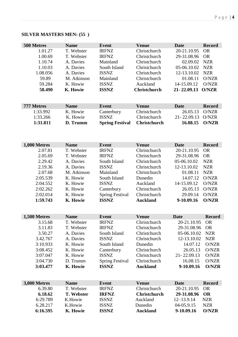### **SILVER MASTERS MEN: (55 )**

| 500 Metres          | <b>Name</b> | <b>Event</b>           | <b>Venue</b>        | <b>Date</b>    | <b>Record</b> |
|---------------------|-------------|------------------------|---------------------|----------------|---------------|
| 1.01.27             | T. Webster  | <b>IRFNZ</b>           | Christchurch        | 20-21.10.95    | <b>OR</b>     |
| 1.00.69             | T. Webster  | <b>IRFNZ</b>           | Christchurch        | 29-31.08.96    | <b>OR</b>     |
| 1.10.74             | A. Davies   | Mainland               | Christchurch        | 02.09.02       | <b>NZR</b>    |
| 1.10.03             | A. Davies   | South Island           | Christchurch        | 05-06.10.02    | <b>NZR</b>    |
| 1.08.056            | A. Davies   | <b>ISSNZ</b>           | Christchurch        | 12-13.10.02    | <b>NZR</b>    |
| 59.89               | M. Atkinson | Mainland               | Christchurch        | 01.08.11       | O/NZR         |
| 59.284              | K. Howie    | <b>ISSNZ</b>           | Auckland            | 14-15.09.12    | O/NZR         |
| 58.490              | K. Howie    | <b>ISSNZ</b>           | <b>Christchurch</b> | 21-22.09.13    | <b>O/NZR</b>  |
|                     |             |                        |                     |                |               |
| 777 Metres          | <b>Name</b> | <b>Event</b>           | <b>Venue</b>        | <b>Date</b>    | <b>Record</b> |
| 1:33.992            | K. Howie    | Canterbury             | Christchurch        | 26.05.13       | O/NZR         |
| 1:33.266            | K. Howie    | <b>ISSNZ</b>           | Christchurch        | 21-22.09.13    | O/NZR         |
| 1:31.811            | D. Trumm    | <b>Spring Festival</b> | <b>Christchurch</b> | 16.08.15       | <b>O/NZR</b>  |
|                     |             |                        |                     |                |               |
| 1,000 Metres        | <b>Name</b> | <b>Event</b>           | <b>Venue</b>        | <b>Date</b>    | <b>Record</b> |
| 2.07.81             | T. Webster  | <b>IRFNZ</b>           | Christchurch        | 20-21.10.95    | <b>OR</b>     |
| 2.05.69             | T. Webster  | <b>IRFNZ</b>           | Christchurch        | 29-31.08.96    | <b>OR</b>     |
| 2.29.42             | A. Davies   | South Island           | Christchurch        | 05-06.10.02    | <b>NZR</b>    |
| 2.19.36             | A. Davies   | <b>ISSNZ</b>           | Christchurch        | 12-13.10.02    | <b>NZR</b>    |
| 2.07.68             | M. Atkinson | Mainland               | Christchurch        | 01.08.11       | <b>NZR</b>    |
| 2:05.539            | K. Howie    | South Island           | Dunedin             | 14.07.12       | O/NZR         |
| 2:04.552            | K. Howie    | <b>ISSNZ</b>           | Auckland            | 14-15.09.12    | O/NZR         |
| 2:02.262            | K. Howie    | Canterbury             | Christchurch        | 26.05.13       | O/NZR         |
| 2:02.014            | K. Howie    | <b>Spring Festival</b> | Christchurch        | 29.09.14       | O/NZR         |
| 1:59.743            | K. Howie    | <b>ISSNZ</b>           | <b>Auckland</b>     | 9-10.09.16     | <b>O/NZR</b>  |
|                     |             |                        |                     |                |               |
| <b>1,500 Metres</b> | <b>Name</b> | <b>Event</b>           | <b>Venue</b>        | <b>Date</b>    | <b>Record</b> |
| 3.15.68             | T. Webster  | <b>IRFNZ</b>           | Christchurch        | 20-21.10.95    | <b>OR</b>     |
| 3.11.83             | T. Webster  | <b>IRFNZ</b>           | Christchurch        | 29-31.08.96    | <b>OR</b>     |
| 3.50.27             | A. Davies   | South Island           | Christchurch        | 05-06.10.02    | <b>NZR</b>    |
| 3.42.767            | A. Davies   | <b>ISSNZ</b>           | Christchurch        | 12-13.10.02    | <b>NZR</b>    |
| 3:10.933            | K. Howie    | South Island           | Dunedin             | 14.07.12       | O/NZR         |
| 3:08.452            | K. Howie    | Canterbury             | Christchurch        | 26.05.13       | O/NZR         |
| 3:07.047            | K. Howie    | <b>ISSNZ</b>           | Christchurch        | 21-22.09.13    | O/NZR         |
| 3:04.730            | D. Trumm    | <b>Spring Festival</b> | Christchurch        | 16.08.15       | O/NZR         |
| 3:03.477            | K. Howie    | <b>ISSNZ</b>           | <b>Auckland</b>     | 9-10.09.16     | <b>O/NZR</b>  |
|                     |             |                        |                     |                |               |
| 3,000 Metres        | <b>Name</b> | <b>Event</b>           | <b>Venue</b>        | <b>Date</b>    | <b>Record</b> |
| 6.39.80             | T. Webster  | <b>IRFNZ</b>           | Christchurch        | 20-21.10.95    | <b>OR</b>     |
| 6.18.62             | T. Webster  | <b>IRFNZ</b>           | <b>Christchurch</b> | 29-31.08.96    | <b>OR</b>     |
| 6:29.789            | K.Howie     | <b>ISSNZ</b>           | Auckland            | $12 - 13.9.14$ | <b>NZR</b>    |
| 6.28.217            | K.Howie     | <b>ISSNZ</b>           | Dunedin             | 04-05.9.15     | <b>NZR</b>    |
| 6:16.595            | K. Howie    | <b>ISSNZ</b>           | <b>Auckland</b>     | 9-10.09.16     | <b>O/NZR</b>  |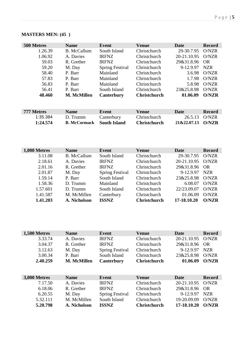| 500 Metres | <b>Name</b>         | Event                  | <b>Venue</b>        | Date        | <b>Record</b> |
|------------|---------------------|------------------------|---------------------|-------------|---------------|
| 1.26.39    | B. McCallum         | South Island           | Christchurch        | 29-30.7.95  | O/NZR         |
| 1.06.92    | A. Davies           | <b>IRFNZ</b>           | Christchurch        | 20-21.10.95 | O/NZR         |
| 59.03      | R. Grether          | <b>IRFNZ</b>           | Christchurch        | 29&31.8.96  | OR.           |
| 59.20      | M. Day              | <b>Spring Festival</b> | Christchurch        | 9-12.9.97   | NZR           |
| 58.40      | P. Barr             | Mainland               | Christchurch        | 3.6.98      | O/NZR         |
| 57.83      | P. Barr             | Mainland               | Christchurch        | 1.7.98      | O/NZR         |
| 56.83      | P. Barr             | Mainland               | Christchurch        | 5.8.98      | O/NZR         |
| 56.41      | P. Barr             | South Island           | Christchurch        | 23&25.8.98  | O/NZR         |
| 48.460     | <b>M. McMillen</b>  | Canterbury             | <b>Christchurch</b> | 01.06.09    | O/NZR         |
|            |                     |                        |                     |             |               |
| 777 Metres | <b>Name</b>         | Event                  | <b>Venue</b>        | Date        | <b>Record</b> |
| 1:35.384   | D. Trumm            | Canterbury             | Christchurch        | 26.5.13     | O/NZR         |
| 1:24.574   | <b>B. McCormack</b> | <b>South Island</b>    | <b>Christchurch</b> | 21&22,07.13 | <b>O/NZR</b>  |

# **MASTERS MEN: (45 )**

| 1,000 Metres | <b>Name</b>        | Event                  | <b>Venue</b>        | Date              | <b>Record</b> |
|--------------|--------------------|------------------------|---------------------|-------------------|---------------|
| 3.11.08      | <b>B.</b> McCallum | South Island           | Christchurch        | 29-30.7.95        | O/NZR         |
| 2.18.61      | A. Davies          | <b>IRFNZ</b>           | Christchurch        | 20-21.10.95 O/NZR |               |
| 2.01.16      | R. Grether         | <b>IRFNZ</b>           | Christchurch        | 29&31.8.96 OR     |               |
| 2.01.87      | M. Day             | <b>Spring Festival</b> | Christchurch        | 9-12.9.97         | <b>NZR</b>    |
| 1.59.14      | P. Barr            | South Island           | Christchurch        | 23&25.8.98        | O/NZR         |
| 1.58.36      | D. Trumm           | Mainland               | Christchurch        | 6.08.07           | O/NZR         |
| 1.57.601     | D. Trumm           | South Island           | Christchurch        | 22/23.09.07       | O/NZR         |
| 1.41.587     | M. McMillen        | Canterbury             | Christchurch        | 01.06.09          | O/NZR         |
| 1.41.203     | A. Nicholson       | <b>ISSNZ</b>           | <b>Christchurch</b> | 17-18.10.20       | O/NZR         |

| 1,500 Metres            | <b>Name</b>        | Event                  | <b>Venue</b>        | Date        | <b>Record</b> |
|-------------------------|--------------------|------------------------|---------------------|-------------|---------------|
| 3.33.74                 | A. Davies          | <b>IRFNZ</b>           | Christchurch        | 20-21.10.95 | O/NZR         |
| 3.04.37                 | R. Grether         | <b>IRFNZ</b>           | Christchurch        | 29&31.8.96  | <b>OR</b>     |
| 3.12.63                 | M. Day             | <b>Spring Festival</b> | Christchurch        | 9-12.9.97   | <b>NZR</b>    |
| 3.00.34                 | P. Barr            | South Island           | Christchurch        | 23&25.8.98  | O/NZR         |
| 2.40.259                | <b>M. McMillen</b> | Canterbury             | <b>Christchurch</b> | 01.06.09    | <b>O/NZR</b>  |
|                         |                    |                        |                     |             |               |
|                         | <b>Name</b>        | Event                  | <b>Venue</b>        | Date        | <b>Record</b> |
| 3,000 Metres<br>7.17.50 | A. Davies          | <b>IRFNZ</b>           | Christchurch        | 20-21.10.95 | O/NZR         |
| 6.18.06                 | R. Grether         | <b>IRFNZ</b>           | Christchurch        | 29&31.8.96  | OR.           |
| 6.20.55                 | M. Day             | <b>Spring Festival</b> | Christchurch        | 9-12.9.97   | <b>NZR</b>    |
| 5.32.111                | M. McMillen        | South Island           | Christchurch        | 19-20.09.09 | O/NZR         |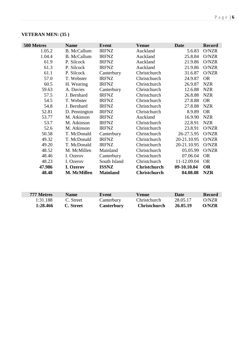| <b>VETERAN MEN: (35)</b> |  |  |
|--------------------------|--|--|
|--------------------------|--|--|

| 500 Metres | <b>Name</b>        | <b>Event</b>    | <b>Venue</b>        | <b>Date</b> | <b>Record</b> |
|------------|--------------------|-----------------|---------------------|-------------|---------------|
| 1.05.2     | <b>B.</b> McCallum | <b>IRFNZ</b>    | Auckland            | 5.6.83      | O/NZR         |
| 1.04.4     | <b>B.</b> McCallum | <b>IRFNZ</b>    | Auckland            | 25.8.84     | O/NZR         |
| 61.9       | P. Silcock         | <b>IRFNZ</b>    | Auckland            | 21.9.86     | O/NZR         |
| 61.3       | P. Silcock         | <b>IRFNZ</b>    | Auckland            | 21.9.86     | O/NZR         |
| 61.1       | P. Silcock         | Canterbury      | Christchurch        | 31.6.87     | O/NZR         |
| 57.0       | T. Webster         | <b>IRFNZ</b>    | Christchurch        | 24.9.87     | <b>OR</b>     |
| 60.5       | H. Wearing         | <b>IRFNZ</b>    | Christchurch        | 26.9.87     | <b>NZR</b>    |
| 59.63      | A. Davies          | Canterbury      | Christchurch        | 12.6.88     | <b>NZR</b>    |
| 57.5       | J. Bernhard        | <b>IRFNZ</b>    | Christchurch        | 26.8.88     | <b>NZR</b>    |
| 54.5       | T. Webster         | <b>IRFNZ</b>    | Christchurch        | 27.8.88     | <b>OR</b>     |
| 54.8       | J. Bernhard        | <b>IRFNZ</b>    | Christchurch        | 27.8.88     | <b>NZR</b>    |
| 52.81      | D. Pennington      | <b>IRFNZ</b>    | Christchurch        | 8.9.89      | <b>OR</b>     |
| 53.77      | M. Atkinson        | <b>IRFNZ</b>    | Auckland            | 16.9.90     | <b>NZR</b>    |
| 53.7       | M. Atkinson        | <b>IRFNZ</b>    | Christchurch        | 22.8.91     | <b>NZR</b>    |
| 52.6       | M. Atkinson        | <b>IRFNZ</b>    | Christchurch        | 23.8.91     | O/NZR         |
| 50.58      | T. McDonald        | Canterbury      | Christchurch        | 26-27.5.95  | O/NZR         |
| 49.32      | T. McDonald        | <b>IRFNZ</b>    | Christchurch        | 20-21.10.95 | O/NZR         |
| 49.20      | T. McDonald        | <b>IRFNZ</b>    | Christchurch        | 20-21.10.95 | O/NZR         |
| 48.52      | M. McMillen        | Mainland        | Christchurch        | 05.05.99    | O/NZR         |
| 48.46      | I. Ozerov          | Canterbury      | Christchurch        | 07.06.04    | <b>OR</b>     |
| 48.23      | I. Ozerov          | South Island    | Christchurch        | 11-12.09.04 | <b>OR</b>     |
| 47.986     | I. Ozerov          | <b>ISSNZ</b>    | <b>Christchurch</b> | 09-10.10.04 | <b>OR</b>     |
| 48.48      | M. McMillen        | <b>Mainland</b> | <b>Christchurch</b> | 04.08.08    | <b>NZR</b>    |

| 777 Metres | <b>Name</b> | Event             | Venue               | Date     | <b>Record</b> |
|------------|-------------|-------------------|---------------------|----------|---------------|
| 1:31.188   | C. Street   | Canterbury        | Christchurch        | 28.05.17 | O/NZR         |
| 1:28.466   | C. Street   | <b>Canterbury</b> | <b>Christchurch</b> | 26.05.19 | <b>O/NZR</b>  |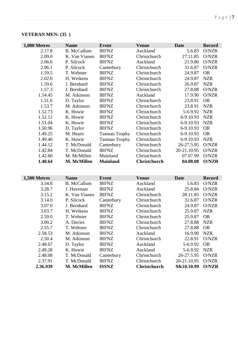| 1,000 Metres | <b>Name</b>        | <b>Event</b>         | <b>Venue</b>        | <b>Date</b> | <b>Record</b> |
|--------------|--------------------|----------------------|---------------------|-------------|---------------|
| 2.17.8       | <b>B.</b> McCallum | <b>IRFNZ</b>         | Auckland            | 5.6.83      | O/NZR         |
| 2.09.0       | K. Van Vianen      | <b>IRFNZ</b>         | Christchurch        | 27.11.85    | O/NZR         |
| 2.06.6       | P. Silcock         | <b>IRFNZ</b>         | Auckland            | 21.9.86     | O/NZR         |
| 2.06.1       | P. Silcock         | Canterbury           | Christchurch        | 31.6.87     | O/NZR         |
| 1.59.5       | T. Webster         | <b>IRFNZ</b>         | Christchurch        | 24.9.87     | <b>OR</b>     |
| 2.02.0       | H. Weikens         | <b>IRFNZ</b>         | Christchurch        | 24.9.87     | <b>NZR</b>    |
| 1.59.6       | J. Bernhard        | <b>IRFNZ</b>         | Christchurch        | 26.9.87     | <b>NZR</b>    |
| 1.57.3       | J. Bernhard        | <b>IRFNZ</b>         | Christchurch        | 27.8.88     | O/NZR         |
| 1.54.45      | M. Atkinson        | <b>IRFNZ</b>         | Auckland            | 17.9.90     | O/NZR         |
| 1.51.6       | D. Taylor          | <b>IRFNZ</b>         | Christchurch        | 23.8.91     | <b>OR</b>     |
| 1.53.7       | M. Atkinson        | <b>IRFNZ</b>         | Christchurch        | 23.8.91     | <b>NZR</b>    |
| 1.52.73      | K. Howie           | <b>IRFNZ</b>         | Christchurch        | 5-6.9.92    | <b>NZR</b>    |
| 1.52.12      | K. Howie           | <b>IRFNZ</b>         | Christchurch        | 6-9.10.93   | <b>NZR</b>    |
| 1.51.04      | K. Howie           | <b>IRFNZ</b>         | Christchurch        | 6-9.10.93   | <b>NZR</b>    |
| 1.50.96      | D. Taylor          | <b>IRFNZ</b>         | Christchurch        | 6-9.10.93   | <b>OR</b>     |
| 1.49.25      | M. Hearn           | <b>Tasman Trophy</b> | Christchurch        | 6-9.10.93   | <b>OR</b>     |
| 1.49.40      | K. Howie           | <b>Tasman Trophy</b> | Christchurch        | 6-9.10.93   | <b>NZR</b>    |
| 1.44.12      | T. McDonald        | Canterbury           | Christchurch        | 26-27.5.95  | O/NZR         |
| 1.42.84      | T. McDonald        | <b>IRFNZ</b>         | Christchurch        | 20-21.10.95 | O/NZR         |
| 1.42.60      | M. McMillen        | Mainland             | Christchurch        | 07.07.99    | O/NZR         |
| 1.40.64      | <b>M. McMillen</b> | <b>Mainland</b>      | <b>Christchurch</b> | 04.08.08    | <b>O/NZR</b>  |

# **VETERAN MEN: (35 )**

| 1,500 Metres | <b>Name</b>        | Event        | <b>Venue</b>        | <b>Date</b> | <b>Record</b> |
|--------------|--------------------|--------------|---------------------|-------------|---------------|
| 3.34.8       | <b>B.</b> McCallum | <b>IRFNZ</b> | Auckland            | 5.6.83      | O/NZR         |
| 3.28.7       | J. Havenaar        | <b>IRFNZ</b> | Auckland            | 25.8.84     | O/NZR         |
| 3.15.2       | K. Van Vianen      | <b>IRFNZ</b> | Christchurch        | 28.11.85    | O/NZR         |
| 3.14.0       | P. Silcock         | Canterbury   | Christchurch        | 31.6.87     | O/NZR         |
| 3.07.0       | J. Bernhard        | <b>IRFNZ</b> | Christchurch        | 24.9.87     | O/NZR         |
| 3.03.7       | H. Weikens         | <b>IRFNZ</b> | Christchurch        | 25.9.87     | <b>NZR</b>    |
| 2.59.0       | T. Webster         | <b>IRFNZ</b> | Christchurch        | 25.9.87     | <b>OR</b>     |
| 3.00.2       | A. Davies          | <b>IRFNZ</b> | Christchurch        | 27.8.88     | <b>NZR</b>    |
| 2.55.7       | T. Webster         | <b>IRFNZ</b> | Christchurch        | 27.8.88     | <b>OR</b>     |
| 2.58.53      | M. Atkinson        | <b>IRFNZ</b> | Auckland            | 16.9.90     | <b>NZR</b>    |
| 2.50.4       | M. Atkinson        | <b>IRFNZ</b> | Christchurch        | 22.8.91     | O/NZR         |
| 2.48.67      | D. Taylor          | <b>IRFNZ</b> | Auckland            | 5-6.9.92    | <b>OR</b>     |
| 2.49.28      | K. Howie           | <b>IRFNZ</b> | Auckland            | 5-6.9.92    | <b>NZR</b>    |
| 2.48.08      | T. McDonald        | Canterbury   | Christchurch        | 26-27.5.95  | O/NZR         |
| 2.37.91      | T. McDonald        | <b>IRFNZ</b> | Christchurch        | 20-21.10.95 | O/NZR         |
| 2.36.939     | M. McMillen        | <b>ISSNZ</b> | <b>Christchurch</b> | 9&10.10.99  | <b>O/NZR</b>  |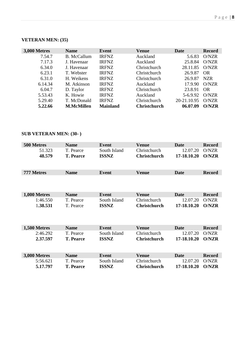### **VETERAN MEN: (35)**

| 3,000 Metres | <b>Name</b>        | Event           | Venue               | Date        | <b>Record</b> |
|--------------|--------------------|-----------------|---------------------|-------------|---------------|
| 7.54.7       | <b>B.</b> McCallum | <b>IRFNZ</b>    | Auckland            | 5.6.83      | O/NZR         |
| 7.17.3       | J. Havenaar        | <b>IRFNZ</b>    | Auckland            | 25.8.84     | O/NZR         |
| 6.34.0       | J. Havenaar        | <b>IRFNZ</b>    | Christchurch        | 28.11.85    | O/NZR         |
| 6.23.1       | T. Webster         | <b>IRFNZ</b>    | Christchurch        | 26.9.87     | <b>OR</b>     |
| 6.31.0       | H. Weikens         | <b>IRFNZ</b>    | Christchurch        | 26.9.87     | <b>NZR</b>    |
| 6.14.34      | M. Atkinson        | <b>IRFNZ</b>    | Auckland            | 17.9.90     | O/NZR         |
| 6.04.7       | D. Taylor          | <b>IRFNZ</b>    | Christchurch        | 23.8.91     | <b>OR</b>     |
| 5.53.43      | K. Howie           | <b>IRFNZ</b>    | Auckland            | 5-6.9.92    | O/NZR         |
| 5.29.40      | T. McDonald        | <b>IRFNZ</b>    | Christchurch        | 20-21.10.95 | O/NZR         |
| 5.22.66      | <b>M.McMillen</b>  | <b>Mainland</b> | <b>Christchurch</b> | 06.07.09    | <b>O/NZR</b>  |

### **SUB VETERAN MEN: (30- )**

| 500 Metres   | <b>Name</b>      | <b>Event</b> | <b>Venue</b>        | <b>Date</b> | <b>Record</b> |
|--------------|------------------|--------------|---------------------|-------------|---------------|
| 51.323       | T. Pearce        | South Island | Christchurch        | 12.07.20    | O/NZR         |
| 48.579       | <b>T. Pearce</b> | <b>ISSNZ</b> | <b>Christchurch</b> | 17-18.10.20 | <b>O/NZR</b>  |
| 777 Metres   | <b>Name</b>      | <b>Event</b> | <b>Venue</b>        | <b>Date</b> | <b>Record</b> |
|              |                  |              |                     |             |               |
| 1,000 Metres | <b>Name</b>      | <b>Event</b> | <b>Venue</b>        | Date        | <b>Record</b> |
| 1:46.550     | T. Pearce        | South Island | Christchurch        | 12.07.20    | O/NZR         |
| 1.38.531     | T. Pearce        | <b>ISSNZ</b> | <b>Christchurch</b> | 17-18.10.20 | <b>O/NZR</b>  |
| 1,500 Metres | <b>Name</b>      | Event        | <b>Venue</b>        | <b>Date</b> | <b>Record</b> |
| 2:46.292     | T. Pearce        | South Island | Christchurch        | 12.07.20    | O/NZR         |
| 2.37.597     | <b>T. Pearce</b> | <b>ISSNZ</b> | <b>Christchurch</b> | 17-18.10.20 | <b>O/NZR</b>  |
| 3,000 Metres | <b>Name</b>      | <b>Event</b> | <b>Venue</b>        | <b>Date</b> | <b>Record</b> |
| 5:56.621     | T. Pearce        | South Island | Christchurch        | 12.07.20    | O/NZR         |
| 5.17.797     | <b>T. Pearce</b> | <b>ISSNZ</b> | <b>Christchurch</b> | 17-18.10.20 | <b>O/NZR</b>  |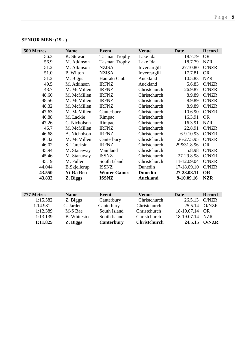| 500 Metres | <b>Name</b>         | <b>Event</b>         | <b>Venue</b>    | <b>Date</b> | <b>Record</b> |
|------------|---------------------|----------------------|-----------------|-------------|---------------|
| 56.3       | K. Stewart          | <b>Tasman Trophy</b> | Lake Ida        | 18.7.79     | <b>OR</b>     |
| 56.9       | M. Atkinson         | <b>Tasman Trophy</b> | Lake Ida        | 18.7.79     | <b>NZR</b>    |
| 51.2       | M. Atkinson         | <b>NZISA</b>         | Invercargill    | 27.10.80    | O/NZR         |
| 51.0       | P. Wilton           | <b>NZISA</b>         | Invercargill    | 17.7.81     | <b>OR</b>     |
| 51.2       | M. Biggs            | Hauraki Club         | Auckland        | 10.5.83     | <b>NZR</b>    |
| 49.5       | M. Atkinson         | <b>IRFNZ</b>         | Auckland        | 5.6.83      | O/NZR         |
| 48.7       | M. McMillen         | <b>IRFNZ</b>         | Christchurch    | 26.9.87     | O/NZR         |
| 48.60      | M. McMillen         | <b>IRFNZ</b>         | Christchurch    | 8.9.89      | O/NZR         |
| 48.56      | M. McMillen         | <b>IRFNZ</b>         | Christchurch    | 8.9.89      | O/NZR         |
| 48.32      | M. McMillen         | <b>IRFNZ</b>         | Christchurch    | 8.9.89      | O/NZR         |
| 47.63      | M. McMillen         | Canterbury           | Christchurch    | 10.6.90     | O/NZR         |
| 46.88      | M. Lackie           | Rimpac               | Christchurch    | 16.3.91     | <b>OR</b>     |
| 47.26      | C. Nicholson        | Rimpac               | Christchurch    | 16.3.91     | <b>NZR</b>    |
| 46.7       | M. McMillen         | <b>IRFNZ</b>         | Christchurch    | 22.8.91     | O/NZR         |
| 46.68      | A. Nicholson        | <b>IRFNZ</b>         | Christchurch    | 6-9.10.93   | O/NZR         |
| 46.32      | M. McMillen         | Canterbury           | Christchurch    | 26-27.5.95  | O/NZR         |
| 46.02      | S. Turcksin         | <b>IRFNZ</b>         | Christchurch    | 29&31.8.96  | <b>OR</b>     |
| 45.94      | M. Stanaway         | Mainland             | Christchurch    | 5.8.98      | O/NZR         |
| 45.46      | M. Stanaway         | <b>ISSNZ</b>         | Christchurch    | 27-29.8.98  | O/NZR         |
| 45.19      | M. Fuller           | South Island         | Christchurch    | 11-12.09.04 | O/NZR         |
| 44.044     | <b>B.Skjellerup</b> | <b>ISSNZ</b>         | Dunedin         | 17-18.09.10 | O/NZR         |
| 43.550     | <b>Yi-Ra Reo</b>    | <b>Winter Games</b>  | <b>Dunedin</b>  | 27-28.08.11 | <b>OR</b>     |
| 43.832     | Z. Biggs            | <b>ISSNZ</b>         | <b>Auckland</b> | 9-10.09.16  | <b>NZR</b>    |

| 777 Metres | <b>Name</b>         | Event        | <b>Venue</b>        | Date            | <b>Record</b> |
|------------|---------------------|--------------|---------------------|-----------------|---------------|
| 1:15.582   | Z. Biggs            | Canterbury   | Christchurch        | 26.5.13         | O/NZR         |
| 1.14.981   | C. Jarden           | Canterbury   | Christchurch        | 25.5.14         | O/NZR         |
| 1:12.389   | M-S Bae             | South Island | Christchurch        | 18-19.07.14 OR  |               |
| 1:13.139   | <b>B.</b> Whiteside | South Island | Christchurch        | 18-19.07.14 NZR |               |
| 1:11.825   | Z. Biggs            | Canterbury   | <b>Christchurch</b> |                 | 24.5.15 O/NZR |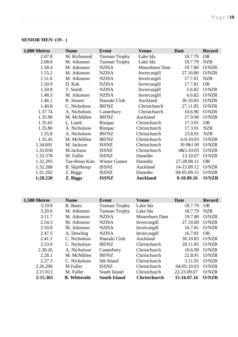| 1,000 Metres        | <b>Name</b>   | <b>Event</b>         | <b>Venue</b>    | <b>Date</b> | <b>Record</b> |
|---------------------|---------------|----------------------|-----------------|-------------|---------------|
| 2.07.8              | M. Richmond   | <b>Tasman Trophy</b> | Lake Ida        | 18.7.79     | <b>OR</b>     |
| 2.08.0              | M. Atkinson   | <b>Tasman Trophy</b> | Lake Ida        | 18.7.79     | <b>NZR</b>    |
| 1.58.4              | M. Atkinson   | <b>NZISA</b>         | Manorburn Dam   | 19.7.80     | O/NZR         |
| 1.55.2              | M. Atkinson   | <b>NZISA</b>         | Invercargill    | 27.10.80    | O/NZR         |
| 1.51.6              | M. Atkinson   | <b>NZISA</b>         | Invercargill    | 17.7.81     | <b>NZR</b>    |
| 1.50.9              | D. Kah        | <b>NZISA</b>         | Invercargill    | 17.7.81     | <b>OR</b>     |
| 1.50.8              | T. Smith      | <b>NZISA</b>         | Invercargill    | 5.6.82      | O/NZR         |
| 1.48.5              | M. Atkinson   | <b>NZISA</b>         | Invercargill    | 6.6.82      | O/NZR         |
| 1.46.1              | R. Jensen     | Hauraki Club         | Auckland        | 30.10.83    | O/NZR         |
| 1.40.8              | C. Nicholson  | <b>IRFNZ</b>         | Christchurch    | 27.11.85    | O/NZR         |
| 1.37.74             | A. Nicholson  | Canterbury           | Christchurch    | 10.6.90     | O/NZR         |
| 1.35.90             | M. McMillen   | <b>IRFNZ</b>         | Auckland        | 17.9.90     | O/NZR         |
| 1.35.65             | L. Lianli     | Rimpac               | Christchurch    | 17.3.91     | <b>OR</b>     |
| 1.35.80             | A. Nicholson  | Rimpac               | Christchurch    | 17.3.91     | <b>NZR</b>    |
| 1.35.8              | A. Nicholson  | <b>IRFNZ</b>         | Christchurch    | 23.8.91     | <b>NZR</b>    |
| 1.35.45             | M. McMillen   | <b>IRFNZ</b>         | Christchurch    | 6-9.10.93   | O/NZR         |
| 1.34.691            | M. Jackson    | <b>ISSNZ</b>         | Christchurch    | 30.9&1.00   | O/NZR         |
| 1.33.818            | M.Jackson     | <b>ISSNZ</b>         | Christchurch    | 4&5.10.03   | O/NZR         |
| 1.33.378            | M. Fuller     | <b>ISSNZ</b>         | Dunedin         | 13.10.07    | O/NZR         |
| 1.32.293            | Tae-Hoon Kim  | <b>Winter Games</b>  | Dunedin         | 27-28.08.11 | <b>OR</b>     |
| 1:32.268            | B. Skjellerup | <b>ISSNZ</b>         | Auckland        | 14-15.09.12 | O/NZR         |
| 1:31.202            | Z. Biggs      | <b>ISSNZ</b>         | Dunedin         | 04-05.09.15 | O/NZR         |
| 1:28.220            | Z. Biggs      | <b>ISSNZ</b>         | <b>Auckland</b> | 9-10.09.16  | <b>O/NZR</b>  |
|                     |               |                      |                 |             |               |
| <b>1,500 Metres</b> | <b>Name</b>   | <b>Event</b>         | <b>Venue</b>    | <b>Date</b> | <b>Record</b> |
| 3.19.8              | R. Bates      | <b>Tasman Trophy</b> | Lake Ida        | 18.7.79     | <b>OR</b>     |
| 3.20.6              | M. Atkinson   | <b>Tasman Trophy</b> | Lake Ida        | 18.7.79     | <b>NZR</b>    |
| 3.11.7              | M. Atkinson   | <b>NZISA</b>         | Manorburn Dam   | 19.7.80     | O/NZR         |
| 2.54.5              | M. Atkinson   | <b>NZISA</b>         | Invercargill    | 27.10.80    | O/NZR         |
| 2.50.8              | M. Atkinson   | <b>NZISA</b>         | Invercargill    | 16.7.81     | O/NZR         |
| 2.47.5              | A. Dowling    | <b>NZISA</b>         | Invercargill    | 16.7.81     | <b>OR</b>     |
| 2.41.1              | C. Nicholson  | Hauraki Club         | Auckland        | 30.10.83    | O/NZR         |

| 2:15.365 | <b>B.</b> Whiteside | <b>South Island</b> | <b>Christchurch</b> | 15-16.07.16    | O/NZR |
|----------|---------------------|---------------------|---------------------|----------------|-------|
| 2.21.013 | M. Fuller           | South Island        | Christchurch        | 22-23.09.07    | O/NZR |
| 2.26.209 | M Fuller            | <b>ISSNZ</b>        | Christchurch        | 04-05.10.03    | O/NZR |
| 2.27.3   | C. Nicholson        | Sth Island          | Christchurch        | 3.11.91        | O/NZR |
| 2.28.1   | M. McMillen         | <b>IRFNZ</b>        | Christchurch        | 22.8.91        | O/NZR |
| 2.30.26  | A. Nicholson        | Canterbury          | Christchurch        | 10.6.90        | O/NZR |
| 2.33.0   | C. Nicholson        | <b>IRFNZ</b>        | Christchurch        | 28.11.85       | O/NZR |
| 2.41.1   | C. Nicholson        | Hauraki Club        | Auckland            | 30.10.83 O/NZR |       |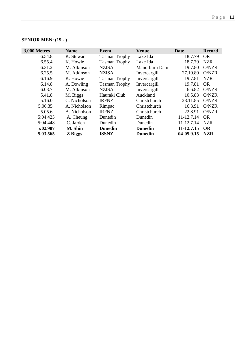| 3,000 Metres | <b>Name</b>  | <b>Event</b>         | <b>Venue</b>   | Date       | <b>Record</b> |
|--------------|--------------|----------------------|----------------|------------|---------------|
| 6.54.8       | K. Stewart   | <b>Tasman Trophy</b> | Lake Ida       | 18.7.79    | <b>OR</b>     |
| 6.55.4       | K. Howie     | <b>Tasman Trophy</b> | Lake Ida       | 18.7.79    | <b>NZR</b>    |
| 6.31.2       | M. Atkinson  | <b>NZISA</b>         | Manorburn Dam  | 19.7.80    | O/NZR         |
| 6.25.5       | M. Atkinson  | <b>NZISA</b>         | Invercargill   | 27.10.80   | O/NZR         |
| 6.16.9       | K. Howie     | <b>Tasman Trophy</b> | Invercargill   | 19.7.81    | <b>NZR</b>    |
| 6.14.8       | A. Dowling   | <b>Tasman Trophy</b> | Invercargill   | 19.7.81    | <b>OR</b>     |
| 6.03.7       | M. Atkinson  | <b>NZISA</b>         | Invercargill   | 6.6.82     | O/NZR         |
| 5.41.8       | M. Biggs     | Hauraki Club         | Auckland       | 10.5.83    | O/NZR         |
| 5.16.0       | C. Nicholson | <b>IRFNZ</b>         | Christchurch   | 28.11.85   | O/NZR         |
| 5.06.35      | A. Nicholson | Rimpac               | Christchurch   | 16.3.91    | O/NZR         |
| 5.05.6       | A. Nicholson | <b>IRFNZ</b>         | Christchurch   | 22.8.91    | O/NZR         |
| 5:04.425     | A. Cheung    | Dunedin              | Dunedin        | 11-12.7.14 | <b>OR</b>     |
| 5:04.448     | C. Jarden    | Dunedin              | Dunedin        | 11-12.7.14 | <b>NZR</b>    |
| 5:02.987     | M. Shin      | <b>Dunedin</b>       | <b>Dunedin</b> | 11-12.7.15 | <b>OR</b>     |
| 5.03.565     | Z Biggs      | <b>ISSNZ</b>         | <b>Dunedin</b> | 04-05.9.15 | <b>NZR</b>    |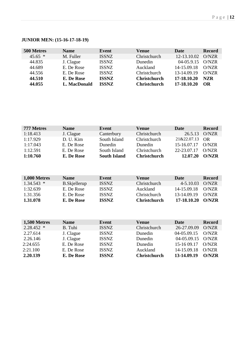# **JUNIOR MEN: (15-16-17-18-19)**

| 500 Metres | <b>Name</b>  | Event        | Venue               | Date         | <b>Record</b> |
|------------|--------------|--------------|---------------------|--------------|---------------|
| $45.65*$   | M. Fuller    | <b>ISSNZ</b> | Christchurch        | 12-13.10.02  | O/NZR         |
| 44.835     | J. Clague    | <b>ISSNZ</b> | Dunedin             | $04-05.9.15$ | O/NZR         |
| 44.689     | E. De Rose   | <b>ISSNZ</b> | Auckland            | 14-15.09.18  | O/NZR         |
| 44.556     | E. De Rose   | <b>ISSNZ</b> | Christchurch        | 13-14.09.19  | O/NZR         |
| 44.510     | E. De Rose   | <b>ISSNZ</b> | <b>Christchurch</b> | 17-18.10.20  | <b>NZR</b>    |
| 44.055     | L. MacDonald | <b>ISSNZ</b> | <b>Christchurch</b> | 17-18.10.20  | OR            |

| 777 Metres | <b>Name</b> | Event               | Venue               | <b>Date</b> | <b>Record</b> |
|------------|-------------|---------------------|---------------------|-------------|---------------|
| 1:18.413   | J. Clague   | Canterbury          | Christchurch        | 26.5.13     | O/NZR         |
| 1:17.929   | D. U. Kim   | South Island        | Christchurch        | 21&22.07.13 | OR            |
| 1:17.043   | E. De Rose  | Dunedin             | Dunedin             | 15-16.07.17 | O/NZR         |
| 1:12.591   | E. De Rose  | South Island        | Christchurch        | 22-23.07.17 | O/NZR         |
| 1:10.760   | E. De Rose  | <b>South Island</b> | <b>Christchurch</b> | 12.07.20    | O/NZR         |

| 1,000 Metres | <b>Name</b>   | Event        | Venue               | Date        | <b>Record</b> |
|--------------|---------------|--------------|---------------------|-------------|---------------|
| $1.34.543*$  | B. Skjellerup | <b>ISSNZ</b> | Christchurch        | 4-5.10.03   | O/NZR         |
| 1:32.639     | E. De Rose    | <b>ISSNZ</b> | Auckland            | 14-15.09.18 | O/NZR         |
| 1.31.356     | E. De Rose    | <b>ISSNZ</b> | <b>Christchurch</b> | 13-14.09.19 | O/NZR         |
| 1.31.078     | E. De Rose    | <b>ISSNZ</b> | <b>Christchurch</b> | 17-18.10.20 | O/NZR         |

| <b>1,500 Metres</b> | <b>Name</b> | Event        | <b>Venue</b>        | Date        | <b>Record</b> |
|---------------------|-------------|--------------|---------------------|-------------|---------------|
| $2.28.452$ *        | B. Tuhi     | <b>ISSNZ</b> | Christchurch        | 26-27.09.09 | O/NZR         |
| 2.27.614            | J. Clague   | <b>ISSNZ</b> | Dunedin             | 04-05.09.15 | O/NZR         |
| 2.26.146            | J. Clague   | <b>ISSNZ</b> | Dunedin             | 04-05.09.15 | O/NZR         |
| 2:24.655            | E. De Rose  | <b>ISSNZ</b> | Dunedin             | 15-16 09.17 | O/NZR         |
| 2:21.100            | E. De Rose  | <b>ISSNZ</b> | Auckland            | 14-15.09.18 | O/NZR         |
| 2.20.139            | E. De Rose  | <b>ISSNZ</b> | <b>Christchurch</b> | 13-14.09.19 | O/NZR         |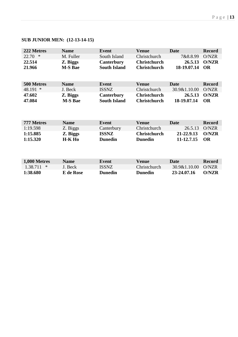# **SUB JUNIOR MEN: (12-13-14-15)**

| 222 Metres    | <b>Name</b>      | Event               | <b>Venue</b>        | Date         | <b>Record</b> |
|---------------|------------------|---------------------|---------------------|--------------|---------------|
| $22.70$ *     | M. Fuller        | South Island        | Christchurch        | 7&8.8.99     | O/NZR         |
| 22.514        | Z. Biggs         | <b>Canterbury</b>   | <b>Christchurch</b> | 26.5.13      | <b>O/NZR</b>  |
| 21.966        | <b>M-S Bae</b>   | <b>South Island</b> | <b>Christchurch</b> | 18-19.07.14  | <b>OR</b>     |
|               |                  |                     |                     |              |               |
| 500 Metres    | <b>Name</b>      | <b>Event</b>        | <b>Venue</b>        | <b>Date</b>  | <b>Record</b> |
| 48.191 *      | J. Beck          | <b>ISSNZ</b>        | Christchurch        | 30.9&1.10.00 | O/NZR         |
| 47.602        | Z. Biggs         | <b>Canterbury</b>   | <b>Christchurch</b> | 26.5.13      | <b>O/NZR</b>  |
| 47.084        | <b>M-S Bae</b>   | <b>South Island</b> | <b>Christchurch</b> | 18-19.07.14  | <b>OR</b>     |
|               |                  |                     |                     |              |               |
|               |                  |                     |                     |              |               |
|               |                  |                     |                     |              |               |
| 777 Metres    | <b>Name</b>      | <b>Event</b>        | <b>Venue</b>        | <b>Date</b>  | <b>Record</b> |
| 1:19.598      | Z. Biggs         | Canterbury          | Christchurch        | 26.5.13      | O/NZR         |
| 1:15.885      | Z. Biggs         | <b>ISSNZ</b>        | <b>Christchurch</b> | 21-22.9.13   | <b>O/NZR</b>  |
| 1:15.320      | <b>H-K Ho</b>    | <b>Dunedin</b>      | <b>Dunedin</b>      | 11-12.7.15   | <b>OR</b>     |
|               |                  |                     |                     |              |               |
|               |                  |                     |                     |              |               |
|               |                  |                     |                     |              |               |
| 1,000 Metres  | <b>Name</b>      | <b>Event</b>        | <b>Venue</b>        | <b>Date</b>  | <b>Record</b> |
| 1.38.711<br>∗ | J. Beck          | <b>ISSNZ</b>        | Christchurch        | 30.9&1.10.00 | O/NZR         |
| 1:38.680      | <b>E</b> de Rose | <b>Dunedin</b>      | <b>Dunedin</b>      | 23-24.07.16  | <b>O/NZR</b>  |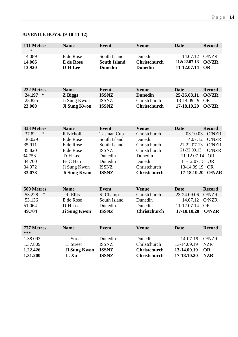# **JUVENILE BOYS: (9-10-11-12)**

| 111 Metres      | <b>Name</b>         | <b>Event</b>        | <b>Venue</b>        | <b>Date</b> | <b>Record</b> |
|-----------------|---------------------|---------------------|---------------------|-------------|---------------|
| $\ast$          |                     |                     |                     |             |               |
| 14.089          | E de Rose           | South Island        | Dunedin             | 14.07.12    | O/NZR         |
| 14.066          | <b>E</b> de Rose    | <b>South Island</b> | <b>Christchurch</b> | 21&22.07.13 | <b>O/NZR</b>  |
| 13.920          | <b>D-H</b> Lee      | <b>Dunedin</b>      | <b>Dunedin</b>      | 11-12.07.14 | <b>OR</b>     |
|                 |                     |                     |                     |             |               |
|                 |                     |                     |                     |             |               |
| 222 Metres      | <b>Name</b>         | <b>Event</b>        | <b>Venue</b>        | <b>Date</b> | <b>Record</b> |
| 24.197<br>∗     | <b>Z</b> Biggs      | <b>ISSNZ</b>        | <b>Dunedin</b>      | 25-26.08.11 | <b>O/NZR</b>  |
| 23.825          | Ji Sung Kwon        | <b>ISSNZ</b>        | Christchurch        | 13-14.09.19 | <b>OR</b>     |
| 23.000          | <b>Ji Sung Kwon</b> | <b>ISSNZ</b>        | <b>Christchurch</b> | 17-18.10.20 | <b>O/NZR</b>  |
|                 |                     |                     |                     |             |               |
|                 |                     |                     |                     |             |               |
|                 |                     |                     |                     |             |               |
| 333 Metres      | <b>Name</b>         | <b>Event</b>        | <b>Venue</b>        | <b>Date</b> | <b>Record</b> |
| $\ast$<br>37.82 | R Nicholl           | <b>Tasman Cup</b>   | Christchurch        | 03.10.03    | O/NZR         |
| 36.029          | E de Rose           | South Island        | Dunedin             | 14.07.12    | O/NZR         |
| 35.911          | E de Rose           | South Island        | Christchurch        | 21-22.07.13 | O/NZR         |
| 35.820          | E de Rose           | <b>ISSNZ</b>        | Christchurch        | 21-22.09.13 | O/NZR         |
| 34.753          | D-H Lee             | Dunedin             | Dunedin             | 11-12.07.14 | <b>OR</b>     |
| 34.700          | B- C Han            | Dunedin             | Dunedin             | 11-12.07.15 | OR            |
| 34.072          | Ji Sung Kwon        | <b>ISSNZ</b>        | Christchurch        | 13-14.09.19 | <b>OR</b>     |
| 33.078          | <b>Ji Sung Kwon</b> | <b>ISSNZ</b>        | <b>Christchurch</b> | 17-18.10.20 | <b>O/NZR</b>  |
|                 |                     |                     |                     |             |               |
|                 |                     |                     |                     |             |               |
| 500 Metres<br>∗ | <b>Name</b>         | <b>Event</b>        | <b>Venue</b>        | <b>Date</b> | <b>Record</b> |
| 53.228          | R. Ellis            | SI Champs           | Christchurch        | 23-24.09.06 | O/NZR         |
| 53.136          | E de Rose           | South Island        | Dunedin             | 14.07.12    | O/NZR         |
| 51.064          | D-H Lee             | Dunedin             | Dunedin             | 11-12.07.14 | <b>OR</b>     |
| 49.704          | <b>Ji Sung Kwon</b> | <b>ISSNZ</b>        | <b>Christchurch</b> | 17-18.10.20 | <b>O/NZR</b>  |
|                 |                     |                     |                     |             |               |
| 777 Metres      | <b>Name</b>         | <b>Event</b>        | <b>Venue</b>        | <b>Date</b> | <b>Record</b> |
| ***             |                     |                     |                     |             |               |
| 1.38.093        | L. Street           | Dunedin             | Dunedin             | 14-07-19    | O/NZR         |
| 1.37.809        | L. Street           | <b>ISSNZ</b>        | Christchurch        | 13-14.09.19 | <b>NZR</b>    |
| 1.22.426        | <b>Ji Sung Kwon</b> | <b>ISSNZ</b>        | <b>Christchurch</b> | 13-14.09.19 | <b>OR</b>     |
| 1.31.200        | L. Xu               | <b>ISSNZ</b>        | Christchurch        | 17-18.10.20 | <b>NZR</b>    |
|                 |                     |                     |                     |             |               |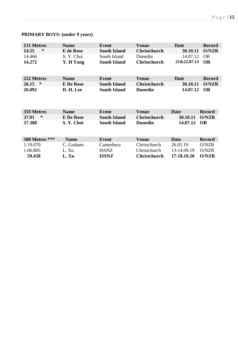# **PRIMARY BOYS: (under 9 years)**

| 111 Metres     | <b>Name</b>      | <b>Event</b>        | <b>Venue</b>        | Date        | <b>Record</b> |
|----------------|------------------|---------------------|---------------------|-------------|---------------|
| 14.55<br>∗     | <b>E</b> de Rose | <b>South Island</b> | <b>Christchurch</b> | 30.10.11    | <b>O/NZR</b>  |
| 14.466         | S. Y. Choi       | South Island        | Dunedin             | 14.07.12    | <b>OR</b>     |
| 14.272         | Y. H Yang        | <b>South Island</b> | <b>Christchurch</b> | 21&22.07.13 | <b>OR</b>     |
|                |                  |                     |                     |             |               |
| 222 Metres     | <b>Name</b>      | <b>Event</b>        | <b>Venue</b>        | Date        | <b>Record</b> |
| 26.15<br>∗     | <b>E</b> De Rose | <b>South Island</b> | <b>Christchurch</b> | 30.10.11    | <b>O/NZR</b>  |
| 26.092         | D. H. Lee        | <b>South Island</b> | <b>Dunedin</b>      | 14.07.12    | <b>OR</b>     |
|                |                  |                     |                     |             |               |
|                |                  |                     |                     |             |               |
| 333 Metres     | <b>Name</b>      | <b>Event</b>        | <b>Venue</b>        | Date        | <b>Record</b> |
| 37.91<br>∗     | <b>E</b> De Rose | <b>South Island</b> | <b>Christchurch</b> | 30.10.11    | <b>O/NZR</b>  |
| 37.388         | S.Y. Choi        | <b>South Island</b> | <b>Dunedin</b>      | 14.07.12    | <b>OR</b>     |
|                |                  |                     |                     |             |               |
|                |                  |                     |                     |             |               |
| 500 Metres *** | <b>Name</b>      | <b>Event</b>        | <b>Venue</b>        | <b>Date</b> | <b>Record</b> |
| 1:19.070       | C. Graham        | Canterbury          | Christchurch        | 26.05.19    | O/NZR         |
| 1.06.805       | L. Xu            | <b>ISSNZ</b>        | Christchurch        | 13-14.09.19 | O/NZR         |
| 59.458         | L. Xu            | <b>ISSNZ</b>        | <b>Christchurch</b> | 17-18.10.20 | <b>O/NZR</b>  |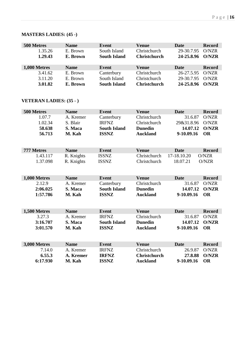### **MASTERS LADIES: (45 -)**

| 500 Metres   | <b>Name</b> | Event               | <b>Venue</b>        | Date       | <b>Record</b> |
|--------------|-------------|---------------------|---------------------|------------|---------------|
| 1.35.26      | E. Brown    | South Island        | Christchurch        | 29-30.7.95 | O/NZR         |
| 1.29.43      | E. Brown    | <b>South Island</b> | <b>Christchurch</b> | 24-25.8.96 | O/NZR         |
|              |             |                     |                     |            |               |
|              |             |                     |                     |            |               |
| 1,000 Metres | <b>Name</b> | Event               | <b>Venue</b>        | Date       | <b>Record</b> |
| 3.41.62      | E. Brown    | Canterbury          | Christchurch        | 26-27.5.95 | O/NZR         |
| 3.11.20      | E. Brown    | South Island        | Christchurch        | 29-30.7.95 | O/NZR         |

### **VETERAN LADIES: (35 - )**

| 500 Metres          | <b>Name</b>          | <b>Event</b>                        | <b>Venue</b>                           | <b>Date</b>           | <b>Record</b>             |
|---------------------|----------------------|-------------------------------------|----------------------------------------|-----------------------|---------------------------|
| 1.07.7              | A. Kremer            | Canterbury                          | Christchurch                           | 31.6.87               | O/NZR                     |
| 1.02.34             | S. Blair             | <b>IRFNZ</b>                        | Christchurch                           | 29&31.8.96            | O/NZR                     |
| 58.638              | S. Maca              | <b>South Island</b>                 | <b>Dunedin</b>                         | 14.07.12              | <b>O/NZR</b>              |
| 56.713              | M. Kah               | <b>ISSNZ</b>                        | <b>Auckland</b>                        | 9-10.09.16            | <b>OR</b>                 |
|                     |                      |                                     |                                        |                       |                           |
| 777 Metres          | <b>Name</b>          | <b>Event</b>                        | <b>Venue</b>                           | <b>Date</b>           | <b>Record</b>             |
| 1.43.117            | R. Knights           | <b>ISSNZ</b>                        | Christchurch                           | 17-18.10.20           | O/NZR                     |
| 1.37.098            | R. Knights           | <b>ISSNZ</b>                        | Christchurch                           | 18.07.21              | O/NZR                     |
|                     |                      |                                     |                                        |                       |                           |
|                     |                      |                                     |                                        |                       |                           |
| 1,000 Metres        | <b>Name</b>          | <b>Event</b>                        | <b>Venue</b>                           | <b>Date</b>           | <b>Record</b>             |
| 2.12.9              | A. Kremer            | Canterbury                          | Christchurch                           | 31.6.87               | O/NZR                     |
| 2:06.025            | S. Maca              | <b>South Island</b>                 | <b>Dunedin</b>                         | 14.07.12              | <b>O/NZR</b>              |
| 1:57.786            | M. Kah               | <b>ISSNZ</b>                        | <b>Auckland</b>                        | 9-10.09.16            | <b>OR</b>                 |
|                     |                      |                                     |                                        |                       |                           |
|                     |                      |                                     |                                        |                       |                           |
|                     |                      |                                     |                                        |                       |                           |
| 1,500 Metres        | <b>Name</b>          | <b>Event</b>                        | <b>Venue</b>                           | <b>Date</b>           | <b>Record</b>             |
| 3.27.3<br>3:16.707  | A. Kremer<br>S. Maca | <b>IRFNZ</b><br><b>South Island</b> | Christchurch<br><b>Dunedin</b>         | 31.6.87<br>14.07.12   | O/NZR<br><b>O/NZR</b>     |
| 3:01.570            | M. Kah               | <b>ISSNZ</b>                        | <b>Auckland</b>                        | 9-10.09.16            | <b>OR</b>                 |
|                     |                      |                                     |                                        |                       |                           |
|                     |                      |                                     |                                        |                       |                           |
| <b>3,000 Metres</b> | <b>Name</b>          | <b>Event</b>                        | <b>Venue</b>                           | <b>Date</b>           | <b>Record</b>             |
| 7.14.0              | A. Kremer            | <b>IRFNZ</b>                        | Christchurch                           | 26.9.87               | O/NZR                     |
| 6.55.3<br>6:17.930  | A. Kremer<br>M. Kah  | <b>IRFNZ</b><br><b>ISSNZ</b>        | <b>Christchurch</b><br><b>Auckland</b> | 27.8.88<br>9-10.09.16 | <b>O/NZR</b><br><b>OR</b> |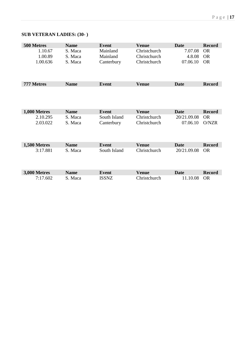# **SUB VETERAN LADIES: (30- )**

| 500 Metres          | <b>Name</b> | <b>Event</b> | <b>Venue</b> | <b>Date</b> | <b>Record</b> |
|---------------------|-------------|--------------|--------------|-------------|---------------|
| 1.10.67             | S. Maca     | Mainland     | Christchurch | 7.07.08     | <b>OR</b>     |
| 1.00.89             | S. Maca     | Mainland     | Christchurch | 4.8.08      | <b>OR</b>     |
| 1.00.636            | S. Maca     | Canterbury   | Christchurch | 07.06.10    | <b>OR</b>     |
|                     |             |              |              |             |               |
|                     |             |              |              |             |               |
| 777 Metres          | <b>Name</b> | <b>Event</b> | <b>Venue</b> | <b>Date</b> | <b>Record</b> |
|                     |             |              |              |             |               |
|                     |             |              |              |             |               |
|                     |             |              |              |             |               |
| 1,000 Metres        | <b>Name</b> | <b>Event</b> | <b>Venue</b> | <b>Date</b> | <b>Record</b> |
| 2.10.295            | S. Maca     | South Island | Christchurch | 20/21.09.08 | <b>OR</b>     |
| 2.03.022            | S. Maca     | Canterbury   | Christchurch | 07.06.10    | O/NZR         |
|                     |             |              |              |             |               |
|                     |             |              |              |             |               |
| 1,500 Metres        | <b>Name</b> | <b>Event</b> | <b>Venue</b> | <b>Date</b> | <b>Record</b> |
| 3:17.881            | S. Maca     | South Island | Christchurch | 20/21.09.08 | <b>OR</b>     |
|                     |             |              |              |             |               |
|                     |             |              |              |             |               |
|                     |             |              |              |             |               |
| <b>3,000 Metres</b> | <b>Name</b> | <b>Event</b> | <b>Venue</b> | <b>Date</b> | <b>Record</b> |
| 7:17.602            | S. Maca     | <b>ISSNZ</b> | Christchurch | 11.10.08    | <b>OR</b>     |
|                     |             |              |              |             |               |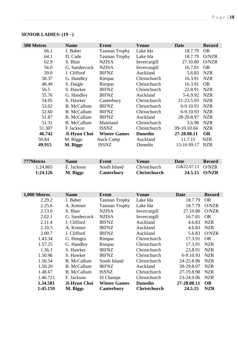| 500 Metres | <b>Name</b>        | <b>Event</b>         | <b>Venue</b>   | <b>Date</b> | <b>Record</b> |
|------------|--------------------|----------------------|----------------|-------------|---------------|
| 66.1       | J. Baber           | <b>Tasman Trophy</b> | Lake Ida       | 18.7.79     | <b>OR</b>     |
| 64.1       | D. Cade            | <b>Tasman Trophy</b> | Lake Ida       | 18.7.79     | O/NZR         |
| 62.9       | S. Blair           | <b>NZISA</b>         | Invercargill   | 27.10.80    | O/NZR         |
| 56.0       | G. Sandercock      | <b>NZISA</b>         | Invercargill   | 16.7.81     | <b>OR</b>     |
| 59.0       | J. Clifford        | <b>IRFNZ</b>         | Auckland       | 5.6.83      | <b>NZR</b>    |
| 58.37      | G. Handley         | Rimpac               | Christchurch   | 16.3.91     | <b>NZR</b>    |
| 48.49      | S. Daigle          | Rimpac               | Christchurch   | 16.3.91     | <b>OR</b>     |
| 56.5       | S. Hawker          | <b>IRFNZ</b>         | Christchurch   | 22.8.91     | <b>NZR</b>    |
| 55.76      | G. Handley         | <b>IRFNZ</b>         | Auckland       | 5-6.9.92    | <b>NZR</b>    |
| 54.05      | S. Hawker          | Canterbury           | Christchurch   | 21-23.5.93  | <b>NZR</b>    |
| 53.02      | <b>B.</b> McCallum | <b>IRFNZ</b>         | Christchurch   | 6-9.10.93   | <b>NZR</b>    |
| 52.60      | <b>B.</b> McCallum | <b>IRFNZ</b>         | Christchurch   | 6-9.10.93   | <b>NZR</b>    |
| 51.87      | <b>B.</b> McCallum | <b>IRFNZ</b>         | Auckland       | 28-29.8.97  | <b>NZR</b>    |
| 51.31      | <b>B.</b> McCallum | Mainland             | Christchurch   | 3.6.98      | <b>NZR</b>    |
| 51.307     | F Jackson          | <b>ISSNZ</b>         | Christchurch   | 09-10.10.04 | <b>NZR</b>    |
| 46.742     | Ji-Hyun Choi       | <b>Winter Games</b>  | <b>Dunedin</b> | 27-28.08.11 | <b>OR</b>     |
| 50.84      | M. Biggs           | <b>Auck Camp</b>     | Auckland       | 11.7.15     | <b>NZR</b>    |
| 49.915     | M. Biggs           | <b>ISSNZ</b>         | Dunedin        | 15-16 09.17 | <b>NZR</b>    |

# **SENIOR LADIES: (19 - )**

| 777Metres | <b>Name</b> | Event        | Venue               | Date              | <b>Record</b> |
|-----------|-------------|--------------|---------------------|-------------------|---------------|
| 1:24.865  | F. Jackson  | South Island | <b>Christchurch</b> | 21&22.07.13 O/NZR |               |
| 1:24.126  | M. Biggs    | Canterbury   | <b>Christchurch</b> |                   | 24.5.15 O/NZR |

| 1,000 Metres | <b>Name</b>        | Event                | <b>Venue</b>        | Date        | <b>Record</b> |
|--------------|--------------------|----------------------|---------------------|-------------|---------------|
| 2.29.2       | J. Baber           | <b>Tasman Trophy</b> | Lake Ida            | 18.7.79     | <b>OR</b>     |
| 2.25.6       | A. Kremer          | <b>Tasman Trophy</b> | Lake Ida            | 18.7.79     | O/NZR         |
| 2.13.0       | S. Blair           | <b>NZISA</b>         | Invercargill        | 27.10.80    | O/NZR         |
| 2.02.1       | G. Sandercock      | <b>NZISA</b>         | Invercargill        | 16.7.81     | <b>OR</b>     |
| 2.11.4       | J. Clifford        | <b>IRFNZ</b>         | Auckland            | 4.6.83      | <b>NZR</b>    |
| 2.10.5       | A. Kremer          | <b>IRFNZ</b>         | Auckland            | 4.6.83      | <b>NZR</b>    |
| 2.00.7       | J. Clifford        | <b>IRFNZ</b>         | Auckland            | 5.6.83      | O/NZR         |
| 1.43.34      | G. Hongru          | Rimpac               | Christchurch        | 17.3.91     | <b>OR</b>     |
| 1.57.25      | G. Handley         | Rimpac               | Christchurch        | 17.3.91     | <b>NZR</b>    |
| 1.56.1       | S. Hawker          | <b>IRFNZ</b>         | Christchurch        | 23.8.91     | <b>NZR</b>    |
| 1.50.96      | S. Hawker          | <b>IRFNZ</b>         | Christchurch        | 6-9.10.93   | <b>NZR</b>    |
| 1.50.54      | <b>B.</b> McCallum | South Island         | Christchurch        | 24-25.8.96  | <b>NZR</b>    |
| 1.50.20      | <b>B.</b> McCallum | <b>IRFNZ</b>         | Auckland            | 28-29.8.97  | <b>NZR</b>    |
| 1.48.67      | <b>B.</b> McCallum | <b>ISSNZ</b>         | Christchurch        | 27-19.8.98  | <b>NZR</b>    |
| 1.46.721     | F. Jackson         | SI Champs            | Christchurch        | 23-24.9.06  | <b>NZR</b>    |
| 1.34.581     | Ji-Hyun Choi       | <b>Winter Games</b>  | <b>Dunedin</b>      | 27-28.08.11 | <b>OR</b>     |
| 1:45.159     | M. Biggs           | Canterbury           | <b>Christchurch</b> | 24.5.15     | <b>NZR</b>    |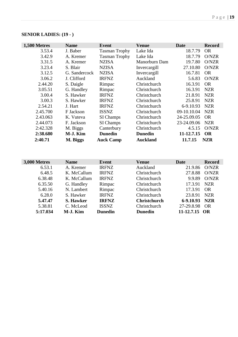|  | <b>SENIOR LADIES: (19 - )</b> |  |
|--|-------------------------------|--|
|--|-------------------------------|--|

| 1,500 Metres | <b>Name</b>   | Event                | <b>Venue</b>    | Date        | <b>Record</b> |
|--------------|---------------|----------------------|-----------------|-------------|---------------|
| 3.53.4       | J. Baber      | <b>Tasman Trophy</b> | Lake Ida        | 18.7.79     | <b>OR</b>     |
| 3.42.9       | A. Kremer     | <b>Tasman Trophy</b> | Lake Ida        | 18.7.79     | O/NZR         |
| 3.31.5       | A. Kremer     | <b>NZISA</b>         | Manorburn Dam   | 19.7.80     | O/NZR         |
| 3.23.4       | S. Blair      | <b>NZISA</b>         | Invercargill    | 27.10.80    | O/NZR         |
| 3.12.5       | G. Sandercock | <b>NZISA</b>         | Invercargill    | 16.7.81     | <b>OR</b>     |
| 3.06.2       | J. Clifford   | <b>IRFNZ</b>         | Auckland        | 5.6.83      | O/NZR         |
| 2.44.20      | S. Daigle     | Rimpac               | Christchurch    | 16.3.91     | <b>OR</b>     |
| 3.05.51      | G. Handley    | Rimpac               | Christchurch    | 16.3.91     | <b>NZR</b>    |
| 3.00.4       | S. Hawker     | <b>IRFNZ</b>         | Christchurch    | 21.8.91     | <b>NZR</b>    |
| 3.00.3       | S. Hawker     | <b>IRFNZ</b>         | Christchurch    | 25.8.91     | <b>NZR</b>    |
| 2.54.21      | J. Hart       | <b>IRFNZ</b>         | Christchurch    | 6-9.10.93   | <b>NZR</b>    |
| 2.45.700     | F Jackson     | <b>ISSNZ</b>         | Christchurch    | 09-10.10.04 | <b>NZR</b>    |
| 2.43.063     | K. Vuteva     | SI Champs            | Christchurch    | 24-25.09.05 | <b>OR</b>     |
| 2.44.073     | F. Jackson    | SI Champs            | Christchurch    | 23-24.09.06 | <b>NZR</b>    |
| 2:42.328     | M. Biggs      | Canterbury           | Christchurch    | 4.5.15      | O/NZR         |
| 2:38.680     | M-J. Kim      | <b>Dunedin</b>       | <b>Dunedin</b>  | 11-12.7.15  | <b>OR</b>     |
| 2:40.71      | M. Biggs      | <b>Auck Camp</b>     | <b>Auckland</b> | 11.7.15     | <b>NZR</b>    |

| <b>3,000 Metres</b> | <b>Name</b> | Event          | <b>Venue</b>        | <b>Date</b>   | <b>Record</b> |
|---------------------|-------------|----------------|---------------------|---------------|---------------|
| 6.53.1              | A. Kremer   | <b>IRFNZ</b>   | Auckland            | 21.9.86       | O/NZR         |
| 6.48.5              | K. McCallum | <b>IRFNZ</b>   | Christchurch        | 27.8.88       | O/NZR         |
| 6.38.48             | K. McCallum | <b>IRFNZ</b>   | Christchurch        | 9.9.89        | O/NZR         |
| 6.35.50             | G. Handley  | Rimpac         | Christchurch        | 17.3.91       | <b>NZR</b>    |
| 5.40.16             | N. Lambert  | Rimpac         | Christchurch        | 17.3.91       | <b>OR</b>     |
| 6.28.0              | S. Hawker   | <b>IRFNZ</b>   | Christchurch        | 23.8.91       | <b>NZR</b>    |
| 5.47.47             | S. Hawker   | <b>IRFNZ</b>   | <b>Christchurch</b> | $6-9.10.93$   | <b>NZR</b>    |
| 5.38.81             | C. McLeod   | <b>ISSNZ</b>   | Christchurch        | 27-29.8.98    | <b>OR</b>     |
| 5:17.034            | M-J. Kim    | <b>Dunedin</b> | <b>Dunedin</b>      | 11-12.7.15 OR |               |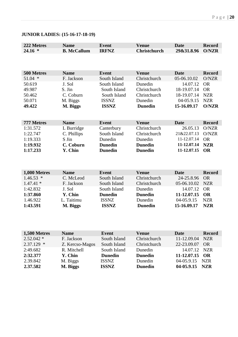| <b>JUNIOR LADIES: (15-16-17-18-19)</b> |  |
|----------------------------------------|--|
|----------------------------------------|--|

| 222 Metres   | <b>Name</b>        | <b>Event</b>   | <b>Venue</b>        | <b>Date</b> | <b>Record</b> |
|--------------|--------------------|----------------|---------------------|-------------|---------------|
| $24.16*$     | <b>B. McCallum</b> | <b>IRFNZ</b>   | <b>Christchurch</b> | 29&31.8.96  | <b>O/NZR</b>  |
|              |                    |                |                     |             |               |
|              |                    |                |                     |             |               |
|              |                    |                |                     |             |               |
| 500 Metres   | <b>Name</b>        | <b>Event</b>   | <b>Venue</b>        | <b>Date</b> | <b>Record</b> |
| $51.04$ *    | F. Jackson         | South Island   | Christchurch        | 05-06.10.02 | O/NZR         |
| 50.619       | J. Sol             | South Island   | Dunedin             | 14.07.12    | <b>OR</b>     |
| 49.987       | S. Jin             | South Island   | Christchurch        | 18-19.07.14 | <b>OR</b>     |
| 50.462       | C. Coburn          | South Island   | Christchurch        | 18-19.07.14 | <b>NZR</b>    |
| 50.071       | M. Biggs           | <b>ISSNZ</b>   | Dunedin             | 04-05.9.15  | <b>NZR</b>    |
| 49.422       | M. Biggs           | <b>ISSNZ</b>   | <b>Dunedin</b>      | 15-16.09.17 | <b>O/NZR</b>  |
|              |                    |                |                     |             |               |
|              |                    |                |                     |             |               |
| 777 Metres   | <b>Name</b>        | <b>Event</b>   | <b>Venue</b>        | <b>Date</b> | <b>Record</b> |
| 1:31.572     | L Burridge         | Canterbury     | Christchurch        | 26.05.13    | O/NZR         |
| 1:22.747     | C. Phillips        | South Island   | Christchurch        | 21&22.07.13 | O/NZR         |
| 1:19.333     | S Jin              | Dunedin        | Dunedin             | 11-12.07.14 | <b>OR</b>     |
| 1:19.932     | C. Coburn          | <b>Dunedin</b> | <b>Dunedin</b>      | 11-12.07.14 | <b>NZR</b>    |
| 1:17.233     | Y. Chin            | <b>Dunedin</b> | <b>Dunedin</b>      | 11-12.07.15 | <b>OR</b>     |
|              |                    |                |                     |             |               |
|              |                    |                |                     |             |               |
|              |                    |                |                     |             |               |
| 1,000 Metres | <b>Name</b>        | <b>Event</b>   | <b>Venue</b>        | <b>Date</b> | <b>Record</b> |
| $1.46.53*$   | C. McLeod          | South Island   | Christchurch        | 24-25.8.96  | <b>OR</b>     |
| $1.47.41*$   | F. Jackson         | South Island   | Christchurch        | 05-06.10.02 | <b>NZR</b>    |
| 1:42.832     | J. Sol             | South Island   | Dunedin             | 14.07.12    | <b>OR</b>     |
| 1:37.860     | Y. Chin            | <b>Dunedin</b> | <b>Dunedin</b>      | 11-12.07.15 | <b>OR</b>     |
| 1.46.922     | L. Taitimu         | <b>ISSNZ</b>   | Dunedin             | 04-05.9.15  | <b>NZR</b>    |
| 1:43.591     | M. Biggs           | <b>ISSNZ</b>   | <b>Dunedin</b>      | 15-16.09.17 | <b>NZR</b>    |
|              |                    |                |                     |             |               |
|              |                    |                |                     |             |               |

| 1,500 Metres | <b>Name</b>     | Event          | <b>Venue</b>   | <b>Date</b>    | <b>Record</b> |
|--------------|-----------------|----------------|----------------|----------------|---------------|
| $2.52.042*$  | F. Jackson      | South Island   | Christchurch   | 11-12.09.04    | <b>NZR</b>    |
| $2.37.129$ * | Z. Kercso-Magos | South Island   | Christchurch   | 22-23.09.07    | <b>OR</b>     |
| 2:49.682     | R. Mitchell     | South Island   | Dunedin        | 14.07.12 NZR   |               |
| 2:32.377     | Y. Chin         | <b>Dunedin</b> | <b>Dunedin</b> | 11-12.07.15 OR |               |
| 2.39.842     | M. Biggs        | <b>ISSNZ</b>   | Dunedin        | 04-05.9.15 NZR |               |
| 2.37.582     | M. Biggs        | <b>ISSNZ</b>   | <b>Dunedin</b> | 04-05.9.15 NZR |               |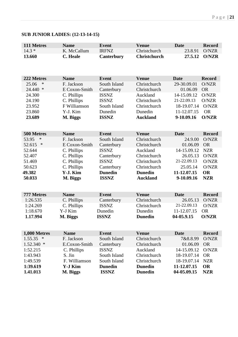# **SUB JUNIOR LADIES: (12-13-14-15)**

| 111 Metres        | <b>Name</b>     | <b>Event</b>      | <b>Venue</b>        | <b>Date</b> | <b>Record</b> |
|-------------------|-----------------|-------------------|---------------------|-------------|---------------|
| $14.3*$           | K. McCallum     | <b>IRFNZ</b>      | Christchurch        | 23.8.91     | O/NZR         |
| 13.660            | <b>C.</b> Heale | <b>Canterbury</b> | <b>Christchurch</b> | 27.5.12     | <b>O/NZR</b>  |
|                   |                 |                   |                     |             |               |
|                   |                 |                   |                     |             |               |
|                   |                 |                   |                     |             |               |
| 222 Metres        | <b>Name</b>     | <b>Event</b>      | <b>Venue</b>        | <b>Date</b> | <b>Record</b> |
| $\ast$<br>25.06   | F. Jackson      | South Island      | Christchurch        | 29-30.09.01 | O/NZR         |
| 24.440 *          | E Coxon-Smith   | Canterbury        | Christchurch        | 01.06.09    | <b>OR</b>     |
| 24.300            | C. Phillips     | <b>ISSNZ</b>      | Auckland            | 14-15.09.12 | O/NZR         |
| 24.190            | C. Phillips     | <b>ISSNZ</b>      | Christchurch        | 21-22.09.13 | O/NZR         |
| 23.952            | F Williamson    | South Island      | Christchurch        | 18-19.07.14 | O/NZR         |
| 23.860            | Y-J. Kim        | Dunedin           | Dunedin             | 11-12.07.15 | <b>OR</b>     |
| 23.689            | M. Biggs        | <b>ISSNZ</b>      | <b>Auckland</b>     | 9-10.09.16  | <b>O/NZR</b>  |
|                   |                 |                   |                     |             |               |
| 500 Metres        | <b>Name</b>     | <b>Event</b>      | <b>Venue</b>        | <b>Date</b> | <b>Record</b> |
| 53.95<br>∗        | F. Jackson      | South Island      | Christchurch        | 24.9.00     | O/NZR         |
| ∗<br>52.615       | E Coxon-Smith   | Canterbury        | Christchurch        | 01.06.09    | <b>OR</b>     |
| 52.644            | C. Phillips     | <b>ISSNZ</b>      | Auckland            | 14-15.09.12 | <b>NZR</b>    |
| 52.407            | C. Phillips     | Canterbury        | Christchurch        | 26.05.13    | O/NZR         |
| 51.469            | C. Phillips     | <b>ISSNZ</b>      | Christchurch        | 21-22.09.13 | O/NZR         |
| 50.623            | C. Phillips     | Canterbury        | Christchurch        | 25.05.14    | O/NZR         |
| 49.382            | Y-J. Kim        | <b>Dunedin</b>    | <b>Dunedin</b>      | 11-12.07.15 | <b>OR</b>     |
| 50.033            | M. Biggs        | <b>ISSNZ</b>      | <b>Auckland</b>     | 9-10.09.16  | <b>NZR</b>    |
|                   |                 |                   |                     |             |               |
|                   |                 |                   |                     |             |               |
| 777 Metres        | <b>Name</b>     | <b>Event</b>      | <b>Venue</b>        | <b>Date</b> | <b>Record</b> |
| 1:26.535          | C. Phillips     | Canterbury        | Christchurch        | 26.05.13    | O/NZR         |
| 1:24.269          | C. Phillips     | <b>ISSNZ</b>      | Christchurch        | 21-22.09.13 | O/NZR         |
| 1:18.670          | Y-J Kim         | Dunedin           | Dunedin             | 11-12.07.15 | <b>OR</b>     |
| 1.17.994          | M. Biggs        | <b>ISSNZ</b>      | <b>Dunedin</b>      | 04-05.9.15  | O/NZR         |
|                   |                 |                   |                     |             |               |
|                   |                 |                   |                     |             |               |
| 1,000 Metres      | <b>Name</b>     | <b>Event</b>      | <b>Venue</b>        | <b>Date</b> | <b>Record</b> |
| $\ast$<br>1.55.35 | F. Jackson      | South Island      | Christchurch        | 7&8.8.99    | O/NZR         |
| $1.52.340*$       | E.Coxon-Smith   | Canterbury        | Christchurch        | 01.06.09    | <b>OR</b>     |
| 1:52.215          | C. Phillips     | <b>ISSNZ</b>      | Auckland            | 14-15.09.12 | O/NZR         |
| 1:43.943          | S. Jin          | South Island      | Christchurch        | 18-19.07.14 | <b>OR</b>     |
| 1:49.539          | F. Williamson   | South Island      | Christchurch        | 18-19.07.14 | <b>NZR</b>    |
| 1:39.619          | <b>Y-J Kim</b>  | <b>Dunedin</b>    | <b>Dunedin</b>      | 11-12.07.15 | <b>OR</b>     |
| 1.41.013          | M. Biggs        | <b>ISSNZ</b>      | <b>Dunedin</b>      | 04-05.09.15 | <b>NZR</b>    |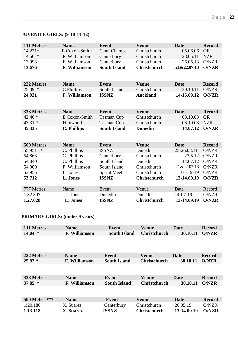# **JUVENILE GIRLS: (9-10-11-12)**

| 111 Metres  | <b>Name</b>        | <b>Event</b>        | <b>Venue</b>        | <b>Date</b> | <b>Record</b> |
|-------------|--------------------|---------------------|---------------------|-------------|---------------|
| $14.271*$   | E.Coxon-Smith      | Cant. Champs        | Christchurch        | 05.06.06    | <b>OR</b>     |
| $14.50*$    | F. Williamson      | Canterbury          | Christchurch        | 28.05.11    | <b>NZR</b>    |
| 13.993      | F. Williamson      | Canterbury          | Christchurch        | 26.05.13    | O/NZR         |
| 13.676      | F. Williamson      | <b>South Island</b> | <b>Christchurch</b> | 21&22.07.13 | O/NZR         |
|             |                    |                     |                     |             |               |
|             |                    |                     |                     |             |               |
| 222 Metres  | <b>Name</b>        | <b>Event</b>        | <b>Venue</b>        | <b>Date</b> | <b>Record</b> |
| 25.09 *     | C Phillips         | South Island        | Christchurch        | 30.10.11    | O/NZR         |
| 24.921      | F. Williamson      | <b>ISSNZ</b>        | <b>Auckland</b>     | 14-15.09.12 | O/NZR         |
|             |                    |                     |                     |             |               |
|             |                    |                     |                     |             |               |
| 333 Metres  | <b>Name</b>        | <b>Event</b>        | <b>Venue</b>        | <b>Date</b> | <b>Record</b> |
| 42.46 *     | E Coxon-Smith      | <b>Tasman Cup</b>   | Christchurch        | 03.10.03    | <b>OR</b>     |
| $43.31*$    | H Inwood           | <b>Tasman Cup</b>   | Christchurch        | 03.10.03    | <b>NZR</b>    |
| 35.335      | <b>C. Phillips</b> | <b>South Island</b> | <b>Dunedin</b>      | 14.07.12    | <b>O/NZR</b>  |
|             |                    |                     |                     |             |               |
|             |                    |                     |                     |             |               |
| 500 Metres  | <b>Name</b>        | <b>Event</b>        | <b>Venue</b>        | <b>Date</b> | <b>Record</b> |
| 55.951<br>∗ | C. Phillips        | <b>ISSNZ</b>        | Dunedin             | 25-26.08.11 | O/NZR         |
| 54.863      | C. Phillips        | Canterbury          | Christchurch        | 27.5.12     | O/NZR         |
| 54.040      | C. Phillips        | South Island        | Dunedin             | 14.07.12    | O/NZR         |
| 54.000      | F. Williamson      | South Island        | Christchurch        | 21&22.07.13 | O/NZR         |
| 53.955      | L. Jones           | <b>Sprint Meet</b>  | Christchurch        | $01-19-19$  | O/NZR         |
| 53.712      | L. Jones           | <b>ISSNZ</b>        | <b>Christchurch</b> | 13-14.09.19 | O/NZR         |
|             |                    |                     |                     |             |               |
| 777 Metres  | Name               | Event               | Venue               | Date        | Record        |
| 1.32.307    | L. Jones           | Dunedin             | Dunedin             | 14-07-19    | O/NZR         |
| 1.27.028    | L. Jones           | <b>ISSNZ</b>        | <b>Christchurch</b> | 13-14.09.19 | <b>O/NZR</b>  |

### **PRIMARY GIRLS: (under 9 years)**

| 111 Metres    | <b>Name</b>          | Event               | <b>Venue</b>        | Date        | Record        |
|---------------|----------------------|---------------------|---------------------|-------------|---------------|
| $14.04*$      | F. Williamson        | <b>South Island</b> | <b>Christchurch</b> | 30.10.11    | O/NZR         |
|               |                      |                     |                     |             |               |
| 222 Metres    | <b>Name</b>          | <b>Event</b>        | <b>Venue</b>        | Date        | <b>Record</b> |
| $25.92*$      | <b>F. Williamson</b> | <b>South Island</b> | <b>Christchurch</b> | 30.10.11    | <b>O/NZR</b>  |
|               |                      |                     |                     |             |               |
| 333 Metres    | <b>Name</b>          | Event               | <b>Venue</b>        | Date        | <b>Record</b> |
| $37.85*$      | F. Williamson        | <b>South Island</b> | <b>Christchurch</b> | 30.10.11    | <b>O/NZR</b>  |
|               |                      |                     |                     |             |               |
| 500 Metres*** | <b>Name</b>          | Event               | <b>Venue</b>        | Date        | <b>Record</b> |
| 1:20.180      | X. Suarez            | Canterbury          | Christchurch        | 26.05.19    | O/NZR         |
| 1.13.118      | <b>X. Suarez</b>     | <b>ISSNZ</b>        | <b>Christchurch</b> | 13-14.09.19 | <b>O/NZR</b>  |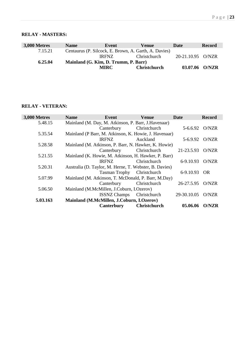### **RELAY - MASTERS:**

| <b>3,000 Metres</b> | <b>Name</b>                          | Event                                                 | <b>Venue</b>        | Date              | <b>Record</b> |  |
|---------------------|--------------------------------------|-------------------------------------------------------|---------------------|-------------------|---------------|--|
| 7.15.21             |                                      | Centaurus (P. Silcock, E. Brown, A. Garth, A. Davies) |                     |                   |               |  |
|                     |                                      | <b>IRFNZ</b>                                          | Christchurch        | 20-21.10.95 O/NZR |               |  |
| 6.25.04             | Mainland (G. Kim, D. Trumm, P. Barr) |                                                       |                     |                   |               |  |
|                     |                                      | <b>MIRC</b>                                           | <b>Christchurch</b> | 03.07.06          | O/NZR         |  |

### **RELAY - VETERAN:**

| 3,000 Metres | <b>Name</b> | Event                                                | <b>Venue</b>                                           | Date        | <b>Record</b> |
|--------------|-------------|------------------------------------------------------|--------------------------------------------------------|-------------|---------------|
| 5.48.15      |             | Mainland (M. Day, M. Atkinson, P. Barr, J. Havenaar) |                                                        |             |               |
|              |             | Canterbury                                           | Christchurch                                           | 5-6.6.92    | O/NZR         |
| 5.35.54      |             |                                                      | Mainland (P Barr, M. Atkinson, K. Howie, J. Havenaar)  |             |               |
|              |             | <b>IRFNZ</b>                                         | Auckland                                               | 5-6.9.92    | O/NZR         |
| 5.28.58      |             |                                                      | Mainland (M. Atkinson, P. Barr, N. Hawker, K. Howie)   |             |               |
|              |             | Canterbury                                           | Christchurch                                           | 21-23.5.93  | O/NZR         |
| 5.21.55      |             |                                                      | Mainland (K. Howie, M. Atkinson, H. Hawker, P. Barr)   |             |               |
|              |             | <b>IRFNZ</b>                                         | Christchurch                                           | 6-9.10.93   | O/NZR         |
| 5.20.31      |             |                                                      | Australia (D. Taylor, M. Herne, T. Webster, B. Davies) |             |               |
|              |             | Tasman Trophy Christchurch                           |                                                        | 6-9.10.93   | <b>OR</b>     |
| 5.07.99      |             |                                                      | Mainland (M. Atkinson, T. McDonald, P. Barr, M.Day)    |             |               |
|              |             | Canterbury                                           | Christchurch                                           | 26-27.5.95  | O/NZR         |
| 5.06.50      |             | Mainland (M.McMillen, J.Coburn, I.Ozerov)            |                                                        |             |               |
|              |             | <b>ISSNZ Champs</b>                                  | Christchurch                                           | 29-30.10.05 | O/NZR         |
| 5.03.163     |             | Mainland (M.McMillen, J.Coburn, I.Ozerov)            |                                                        |             |               |
|              |             | Canterbury                                           | <b>Christchurch</b>                                    | 05.06.06    | <b>O/NZR</b>  |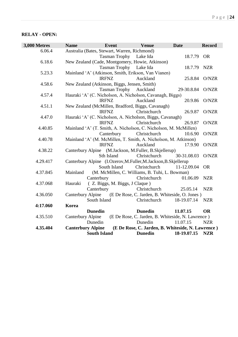### **RELAY - OPEN:**

| Australia (Bates, Stewart, Warren, Richmond)<br>6.06.4<br>18.7.79 OR<br>Tasman Trophy Lake Ida<br>6.18.6<br>New Zealand (Cade, Montgomery, Howie, Atkinson)<br><b>Tasman Trophy</b><br>Lake Ida<br>18.7.79<br><b>NZR</b><br>Mainland 'A' (Atkinson, Smith, Erikson, Van Vianen)<br>5.23.3<br><b>IRFNZ</b><br>Auckland<br>25.8.84<br>O/NZR<br>New Zealand (Atkinson, Biggs, Jensen, Smith)<br>4.58.6<br><b>Tasman Trophy</b><br>29-30.8.84<br>O/NZR<br>Auckland<br>Hauraki 'A' (C. Nicholson, A. Nicholson, Cavanagh, Biggs)<br>4.57.4<br>Auckland<br>20.9.86<br><b>IRFNZ</b><br>O/NZR<br>New Zealand (McMillen, Bradford, Biggs, Cavanagh)<br>4.51.1<br><b>IRFNZ</b><br>Christchurch<br>26.9.87<br>O/NZR<br>Hauraki 'A' (C. Nicholson, A. Nicholson, Biggs, Cavanagh)<br>4.47.0<br><b>IRFNZ</b><br>Christchurch<br>26.9.87<br>O/NZR | <b>Record</b> |
|-------------------------------------------------------------------------------------------------------------------------------------------------------------------------------------------------------------------------------------------------------------------------------------------------------------------------------------------------------------------------------------------------------------------------------------------------------------------------------------------------------------------------------------------------------------------------------------------------------------------------------------------------------------------------------------------------------------------------------------------------------------------------------------------------------------------------------------|---------------|
|                                                                                                                                                                                                                                                                                                                                                                                                                                                                                                                                                                                                                                                                                                                                                                                                                                     |               |
|                                                                                                                                                                                                                                                                                                                                                                                                                                                                                                                                                                                                                                                                                                                                                                                                                                     |               |
|                                                                                                                                                                                                                                                                                                                                                                                                                                                                                                                                                                                                                                                                                                                                                                                                                                     |               |
|                                                                                                                                                                                                                                                                                                                                                                                                                                                                                                                                                                                                                                                                                                                                                                                                                                     |               |
|                                                                                                                                                                                                                                                                                                                                                                                                                                                                                                                                                                                                                                                                                                                                                                                                                                     |               |
|                                                                                                                                                                                                                                                                                                                                                                                                                                                                                                                                                                                                                                                                                                                                                                                                                                     |               |
|                                                                                                                                                                                                                                                                                                                                                                                                                                                                                                                                                                                                                                                                                                                                                                                                                                     |               |
|                                                                                                                                                                                                                                                                                                                                                                                                                                                                                                                                                                                                                                                                                                                                                                                                                                     |               |
|                                                                                                                                                                                                                                                                                                                                                                                                                                                                                                                                                                                                                                                                                                                                                                                                                                     |               |
|                                                                                                                                                                                                                                                                                                                                                                                                                                                                                                                                                                                                                                                                                                                                                                                                                                     |               |
|                                                                                                                                                                                                                                                                                                                                                                                                                                                                                                                                                                                                                                                                                                                                                                                                                                     |               |
|                                                                                                                                                                                                                                                                                                                                                                                                                                                                                                                                                                                                                                                                                                                                                                                                                                     |               |
|                                                                                                                                                                                                                                                                                                                                                                                                                                                                                                                                                                                                                                                                                                                                                                                                                                     |               |
|                                                                                                                                                                                                                                                                                                                                                                                                                                                                                                                                                                                                                                                                                                                                                                                                                                     |               |
| Mainland 'A' (T. Smith, A. Nicholson, C. Nicholson, M. McMillen)<br>4.40.85                                                                                                                                                                                                                                                                                                                                                                                                                                                                                                                                                                                                                                                                                                                                                         |               |
| Canterbury<br>Christchurch<br>O/NZR<br>10.6.90                                                                                                                                                                                                                                                                                                                                                                                                                                                                                                                                                                                                                                                                                                                                                                                      |               |
| Mainland 'A' (M. McMillen, T. Smith, A. Nicholson, M. Atkinson)<br>4.40.78                                                                                                                                                                                                                                                                                                                                                                                                                                                                                                                                                                                                                                                                                                                                                          |               |
| <b>IRFNZ</b><br>Auckland<br>O/NZR<br>17.9.90                                                                                                                                                                                                                                                                                                                                                                                                                                                                                                                                                                                                                                                                                                                                                                                        |               |
| 4.38.22<br>Canterbury Alpine (M.Jackson, M.Fuller, B.Skjellerup)                                                                                                                                                                                                                                                                                                                                                                                                                                                                                                                                                                                                                                                                                                                                                                    |               |
| Sth Island<br>Christchurch<br>30-31.08.03<br>O/NZR                                                                                                                                                                                                                                                                                                                                                                                                                                                                                                                                                                                                                                                                                                                                                                                  |               |
| Canterbury Alpine (I.Ozerov, M.Fuller, M.Jackson, B.Skjellerup<br>4.29.417<br>Christchurch<br><b>OR</b><br>South Island                                                                                                                                                                                                                                                                                                                                                                                                                                                                                                                                                                                                                                                                                                             |               |
| 11-12.09.04<br>Mainland<br>(M. McMillen, C. Williams, B. Tuhi, L. Bowman)<br>4.37.845                                                                                                                                                                                                                                                                                                                                                                                                                                                                                                                                                                                                                                                                                                                                               |               |
| 01.06.09<br><b>NZR</b><br>Canterbury<br>Christchurch                                                                                                                                                                                                                                                                                                                                                                                                                                                                                                                                                                                                                                                                                                                                                                                |               |
| Hauraki<br>(Z. Biggs, M. Biggs, J Claque)<br>4.37.068                                                                                                                                                                                                                                                                                                                                                                                                                                                                                                                                                                                                                                                                                                                                                                               |               |
| Canterbury<br>Christchurch<br><b>NZR</b><br>25.05.14                                                                                                                                                                                                                                                                                                                                                                                                                                                                                                                                                                                                                                                                                                                                                                                |               |
| Canterbury Alpine<br>(E De Rose, C. Jarden, B. Whiteside, O. Jones)<br>4.36.050                                                                                                                                                                                                                                                                                                                                                                                                                                                                                                                                                                                                                                                                                                                                                     |               |
| <b>NZR</b><br>South Island<br>Christchurch<br>18-19.07.14                                                                                                                                                                                                                                                                                                                                                                                                                                                                                                                                                                                                                                                                                                                                                                           |               |
| 4:17.060<br>Korea                                                                                                                                                                                                                                                                                                                                                                                                                                                                                                                                                                                                                                                                                                                                                                                                                   |               |
| <b>Dunedin</b><br><b>Dunedin</b><br><b>OR</b><br>11.07.15                                                                                                                                                                                                                                                                                                                                                                                                                                                                                                                                                                                                                                                                                                                                                                           |               |
| (E De Rose, C. Jarden, B. Whiteside, N. Lawrence)<br><b>Canterbury Alpine</b><br>4.35.510                                                                                                                                                                                                                                                                                                                                                                                                                                                                                                                                                                                                                                                                                                                                           |               |
| Dunedin<br>Dunedin<br>11.07.15<br><b>NZR</b>                                                                                                                                                                                                                                                                                                                                                                                                                                                                                                                                                                                                                                                                                                                                                                                        |               |
| <b>Canterbury Alpine</b><br>(E De Rose, C. Jarden, B. Whiteside, N. Lawrence)<br>4.35.404                                                                                                                                                                                                                                                                                                                                                                                                                                                                                                                                                                                                                                                                                                                                           |               |
| <b>South Island</b><br><b>Dunedin</b><br>18-19.07.15<br><b>NZR</b>                                                                                                                                                                                                                                                                                                                                                                                                                                                                                                                                                                                                                                                                                                                                                                  |               |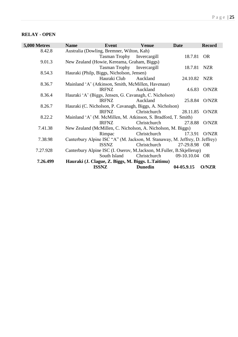### **RELAY - OPEN**

| 5,000 Metres | <b>Name</b>                                 | <b>Event</b>               | <b>Venue</b>                                                                | <b>Date</b>    | <b>Record</b> |
|--------------|---------------------------------------------|----------------------------|-----------------------------------------------------------------------------|----------------|---------------|
| 8.42.8       | Australia (Dowling, Bremner, Wilton, Kah)   |                            |                                                                             |                |               |
|              |                                             | Tasman Trophy Invercargill |                                                                             | 18.7.81        | <b>OR</b>     |
| 9.01.3       | New Zealand (Howie, Kereama, Graham, Biggs) |                            |                                                                             |                |               |
|              |                                             | Tasman Trophy Invercargill |                                                                             | 18.7.81        | <b>NZR</b>    |
| 8.54.3       | Hauraki (Philp, Biggs, Nicholson, Jensen)   |                            |                                                                             |                |               |
|              |                                             | Hauraki Club               | Auckland                                                                    | 24.10.82 NZR   |               |
| 8.36.7       |                                             |                            | Mainland 'A' (Atkinson, Smith, McMillen, Havenaar)                          |                |               |
|              |                                             | <b>IRFNZ</b>               | Auckland                                                                    | 4.6.83         | O/NZR         |
| 8.36.4       |                                             |                            | Hauraki 'A' (Biggs, Jensen, G. Cavanagh, C. Nicholson)                      |                |               |
|              |                                             | <b>IRFNZ</b>               | Auckland                                                                    | 25.8.84        | O/NZR         |
| 8.26.7       |                                             |                            | Hauraki (C. Nicholson, P. Cavanagh, Biggs, A. Nicholson)                    |                |               |
|              |                                             | <b>IRFNZ</b>               | Christchurch                                                                | 28.11.85       | O/NZR         |
| 8.22.2       |                                             |                            | Mainland 'A' (M. McMillen, M. Atkinson, S. Bradford, T. Smith)              |                |               |
|              |                                             | <b>IRFNZ</b>               | Christchurch                                                                | 27.8.88        | O/NZR         |
| 7.41.38      |                                             |                            | New Zealand (McMillen, C. Nicholson, A. Nicholson, M. Biggs)                |                |               |
|              |                                             | Rimpac                     | Christchurch                                                                | 17.3.91        | O/NZR         |
| 7.38.98      |                                             |                            | Canterbury Alpine ISC "A" (M. Jackson, M. Stanaway, M. Jeffrey, D. Jeffrey) |                |               |
|              |                                             | <b>ISSNZ</b>               | Christchurch                                                                | 27-29.8.98 OR  |               |
| 7.27.928     |                                             |                            | Canterbury Alpine ISC (I. Oserov, M.Jackson, M.Fuller, B.Skjellerup)        |                |               |
|              |                                             | South Island               | Christchurch                                                                | 09-10.10.04 OR |               |
| 7.26.499     |                                             |                            | Hauraki (J. Clague, Z. Biggs, M. Biggs. L. Taitimu)                         |                |               |
|              |                                             | <b>ISSNZ</b>               | <b>Dunedin</b>                                                              | 04-05.9.15     | <b>O/NZR</b>  |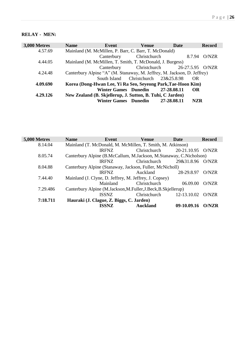### **RELAY - MEN:**

| 3,000 Metres | <b>Name</b> | Event                                                     | <b>Venue</b> | Date                                                                    | <b>Record</b> |
|--------------|-------------|-----------------------------------------------------------|--------------|-------------------------------------------------------------------------|---------------|
| 4.57.69      |             | Mainland (M. McMillen, P. Barr, C. Barr, T. McDonald)     |              |                                                                         |               |
|              |             | Canterbury                                                | Christchurch | 8.7.94                                                                  | O/NZR         |
| 4.44.05      |             | Mainland (M. McMillen, T. Smith, T. McDonald, J. Burgess) |              |                                                                         |               |
|              |             |                                                           |              | Canterbury Christchurch 26-27.5.95 O/NZR                                |               |
| 4.24.48      |             |                                                           |              | Canterbury Alpine "A" (M. Stanaway, M. Jeffrey, M. Jackson, D. Jeffrey) |               |
|              |             | South Island Christchurch 23&25.8.98                      |              | OR                                                                      |               |
| 4.09.690     |             |                                                           |              | Korea (Dong-Hwan Lee, Yi Ra Seo, Seyeong Park, Tae-Hoon Kim)            |               |
|              |             | <b>Winter Games</b> Dunedin                               |              | 27-28.08.11<br>OR                                                       |               |
| 4.29.126     |             | New Zealand (B. Skjellerup, J. Sutton, B. Tuhi, C Jarden) |              |                                                                         |               |
|              |             | Winter Games Dunedin 27-28.08.11                          |              |                                                                         | <b>NZR</b>    |

| 5,000 Metres | <b>Name</b> | Event                                                              | <b>Venue</b>    | Date             | <b>Record</b> |  |  |
|--------------|-------------|--------------------------------------------------------------------|-----------------|------------------|---------------|--|--|
| 8.14.04      |             | Mainland (T. McDonald, M. McMillen, T. Smith, M. Atkinson)         |                 |                  |               |  |  |
|              |             | <b>IRFNZ</b>                                                       | Christchurch    | 20-21.10.95      | O/NZR         |  |  |
| 8.05.74      |             | Canterbury Alpine (B.McCallum, M.Jackson, M.Stanaway, C.Nicholson) |                 |                  |               |  |  |
|              |             | <b>IRFNZ</b>                                                       | Christchurch    | 29&31.8.96 O/NZR |               |  |  |
| 8.04.88      |             | Canterbury Alpine (Stanaway, Jackson, Fuller, McNicholl)           |                 |                  |               |  |  |
|              |             | <b>IRFNZ</b>                                                       | Auckland        | 28-29.8.97       | O/NZR         |  |  |
| 7.44.40      |             | Mainland (J. Clyne, D. Jeffrey, M. Jeffrey, J. Copsey)             |                 |                  |               |  |  |
|              |             | Mainland                                                           | Christchurch    | 06.09.00         | O/NZR         |  |  |
| 7.29.486     |             | Canterbury Alpine (M.Jackson, M.Fuller, J.Beck, B.Skjellerup)      |                 |                  |               |  |  |
|              |             | <b>ISSNZ</b>                                                       | Christchurch    | 12-13.10.02      | O/NZR         |  |  |
| 7:18.711     |             | Hauraki (J. Clague, Z. Biggs, C. Jarden)                           |                 |                  |               |  |  |
|              |             | ISSNZ                                                              | <b>Auckland</b> | 09-10.09.16      | O/NZR         |  |  |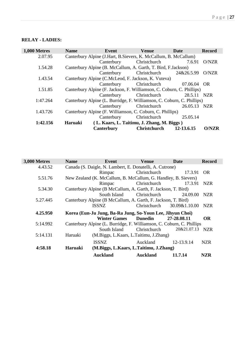### **RELAY - LADIES:**

| 1,000 Metres | <b>Name</b> | Event                                                                  | <b>Venue</b>                               | Date         | <b>Record</b> |
|--------------|-------------|------------------------------------------------------------------------|--------------------------------------------|--------------|---------------|
| 2.07.95      |             | Canterbury Alpine (J.Hart, B.Sievers, K. McCallum, B. McCallum)        |                                            |              |               |
|              |             | Canterbury                                                             | Christchurch                               | 7.6.91       | O/NZR         |
| 1.54.28      |             | Canterbury Alpine (B. McCallum, A. Garth, T. Bird, F. Jackson)         |                                            |              |               |
|              |             | Canterbury                                                             | Christchurch                               | 24&26.5.99   | O/NZR         |
| 1.43.54      |             | Canterbury Alpine (C.McLeod, F. Jackson, K. Vuteva)                    |                                            |              |               |
|              |             | Canterbury                                                             | Christchurch                               | 07.06.04     | - OR          |
| 1.51.85      |             | Canterbury Alpine (F. Jackson, F. Williamson, C. Coburn, C. Phillips)  |                                            |              |               |
|              |             | Canterbury                                                             | Christchurch                               | 28.5.11      | NZR           |
| 1:47.264     |             | Canterbury Alpine (L. Burridge, F. Williamson, C. Coburn, C. Phillips) |                                            |              |               |
|              |             | Canterbury                                                             | Christchurch                               | 26.05.13 NZR |               |
| 1.43.726     |             | Canterbury Alpine (F. Williamson, C. Coburn, C. Phillips)              |                                            |              |               |
|              |             | Canterbury                                                             | Christchurch                               | 25.05.14     |               |
| 1:42.156     | Haruaki     |                                                                        | (L. Kaars, L. Taitimu, J. Zhang, M. Biggs) |              |               |
|              |             | <b>Canterbury</b>                                                      | <b>Christchurch</b>                        | 12-13.6.15   | <b>O/NZR</b>  |

| 3,000 Metres | <b>Name</b> | Event                                                                 | <b>Venue</b>    | Date          | <b>Record</b> |
|--------------|-------------|-----------------------------------------------------------------------|-----------------|---------------|---------------|
| 4.43.52      |             | Canada (S. Daigle, N. Lambert, E. Donatelli, A. Cutrone)              |                 |               |               |
|              |             | Rimpac                                                                | Christchurch    | 17.3.91       | <b>OR</b>     |
| 5.51.76      |             | New Zealand (K. McCallum, B. McCallum, G. Handley, B. Sievers)        |                 |               |               |
|              |             | Rimpac                                                                | Christchurch    | 17.3.91       | <b>NZR</b>    |
| 5.34.30      |             | Canterbury Alpine (B McCallum, A. Garth, F. Jackson, T. Bird)         |                 |               |               |
|              |             | South Island                                                          | Christchurch    | 24.09.00      | NZR           |
| 5.27.445     |             | Canterbury Alpine (B McCallum, A. Garth, F. Jackson, T. Bird)         |                 |               |               |
|              |             | <b>ISSNZ</b>                                                          | Christchurch    | 30.09&1.10.00 | NZR           |
| 4.25.950     |             | Korea (Eun-Ju Jung, Ba-Ra Jung, So-Youn Lee, Jihyun Choi)             |                 |               |               |
|              |             | <b>Winter Games</b>                                                   | <b>Dunedin</b>  | 27-28.08.11   | <b>OR</b>     |
| 5:14.992     |             | Canterbury Alpine (L. Burridge, F. Williamson, C. Coburn, C. Phillips |                 |               |               |
|              |             | South Island                                                          | Christchurch    | 20&21.07.13   | <b>NZR</b>    |
| 5:14.131     | Haruaki     | (M.Biggs, L.Kaars, L.Taitimu, J.Zhang)                                |                 |               |               |
|              |             | <b>ISSNZ</b>                                                          | Auckland        | 12-13.9.14    | <b>NZR</b>    |
| 4:58.18      | Haruaki     | (M.Biggs, L.Kaars, L.Taitimu, J.Zhang)                                |                 |               |               |
|              |             | <b>Auckland</b>                                                       | <b>Auckland</b> | 11.7.14       | <b>NZR</b>    |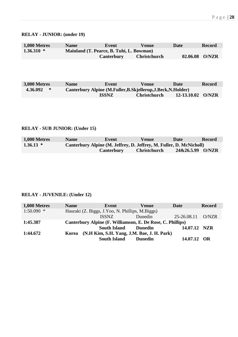### **RELAY - JUNIOR: (under 19)**

| <b>1,000 Metres</b> | <b>Name</b>                              | Event      | <b>Venue</b>        | Date     | <b>Record</b> |
|---------------------|------------------------------------------|------------|---------------------|----------|---------------|
| $1.36.310*$         | Mainland (T. Pearce, B. Tuhi, L. Bowman) |            |                     |          |               |
|                     |                                          | Canterbury | <b>Christchurch</b> | 02.06.08 | <b>O/NZR</b>  |

| <b>3,000 Metres</b> | <b>Name</b> | Event                                                        | Venue               | Date            | <b>Record</b> |  |  |
|---------------------|-------------|--------------------------------------------------------------|---------------------|-----------------|---------------|--|--|
| 4.36.092<br>∗       |             | Canterbury Alpine (M.Fuller, B.Skjellerup, J.Beck, N.Holder) |                     |                 |               |  |  |
|                     |             | <b>ISSNZ</b>                                                 | <b>Christchurch</b> | $12 - 13.10.02$ | O/NZR         |  |  |

### **RELAY - SUB JUNIOR: (Under 15)**

| <b>1,000 Metres</b> | <b>Name</b>                                                         | Event      | Venue               | Date             | <b>Record</b> |  |  |
|---------------------|---------------------------------------------------------------------|------------|---------------------|------------------|---------------|--|--|
| $1.36.13*$          | Canterbury Alpine (M. Jeffrey, D. Jeffrey, M. Fuller, D. McNicholl) |            |                     |                  |               |  |  |
|                     |                                                                     | Canterbury | <b>Christchurch</b> | 24&26.5.99 O/NZR |               |  |  |

### **RELAY - JUVENILE: (Under 12)**

| 1,000 Metres | <b>Name</b>                                                | Event                                     | <b>Venue</b>   | Date         | <b>Record</b> |
|--------------|------------------------------------------------------------|-------------------------------------------|----------------|--------------|---------------|
| $1:50.090$ * | Hauraki (Z. Biggs, J.Yoo, N. Phillips, M.Biggs)            |                                           |                |              |               |
|              |                                                            | <b>ISSNZ</b>                              | Dunedin        | 25-26.08.11  | O/NZR         |
| 1:45.387     | Canterbury Alpine (F. Williamson, E. De Rose, C. Phillips) |                                           |                |              |               |
|              |                                                            | <b>South Island</b>                       | <b>Dunedin</b> | 14.07.12 NZR |               |
| 1:44.672     | <b>Korea</b>                                               | (N.H Kim, S.H. Yang, J.M. Bae, J.H. Park) |                |              |               |
|              |                                                            | <b>South Island</b>                       | <b>Dunedin</b> | 14.07.12 OR  |               |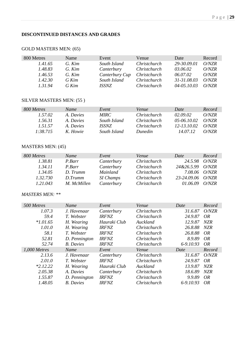### **DISCONTINUED DISTANCES AND GRADES**

| 800 Metres | Name    | Event          | Venue        | Date        | Record |
|------------|---------|----------------|--------------|-------------|--------|
| 1.41.65    | G. Kim  | South Island   | Christchurch | 29-30.09.01 | O/NZR  |
| 1.48.83    | G. Kim  | Canterbury     | Christchurch | 03.06.02    | O/NZR  |
| 1.46.53    | G. Kim  | Canterbury Cup | Christchurch | 06.07.02    | O/NZR  |
| 1.42.30    | $G$ Kim | South Island   | Christchurch | 31-31.08.03 | O/NZR  |
| 13194      | G Kim   | <i>ISSNZ</i>   | Christchurch | 04-05.10.03 | O/NZR  |

### GOLD MASTERS MEN: (65)

### SILVER MASTERS MEN: (55 )

| 800 Metres | Name      | Event        | Venue               | Date                   | Record |
|------------|-----------|--------------|---------------------|------------------------|--------|
| 1.57.02    | A. Davies | <i>MIRC</i>  | <i>Christchurch</i> | 02.09.02               | O/NZR  |
| 1.56.31    | A. Davies | South Island | <i>Christchurch</i> | $0.5 - 0.06 0.10 0.02$ | O/NZR  |
| 1.51.57    | A. Davies | <i>ISSNZ</i> | <i>Christchurch</i> | 12-13.10.02            | ONZR   |
| 1.38.715   | K. Howie  | South Island | <i>Dunedin</i>      | 14.07.12               | ONZR   |

#### MASTERS MEN: (45)

| 800 Metres | Name        | Event            | Venue        | Date          | Record |
|------------|-------------|------------------|--------------|---------------|--------|
| 1.38.81    | P.Barr      | Canterbury       | Christchurch | 24.5.98       | O/NZR  |
| 1.34.11    | P.Barr      | Canterbury       | Christchurch | 24&26.5.99    | O/NZR  |
| 1.34.05    | D. Trumm    | Mainland         | Christchurch | 7.08.06 O/NZR |        |
| 1.32.730   | D. Trumm    | <b>SI Champs</b> | Christchurch | 23-24.09.06   | O/NZR  |
| 1.21.043   | M. McMillen | Canterbury       | Christchurch | 01.06.09      | O/NZR  |

#### *MASTERS MEN: \*\**

| 500 Metres   | Name             | Event        | Venue        | Date      | Record     |
|--------------|------------------|--------------|--------------|-----------|------------|
| 1.07.3       | J. Havenaar      | Canterbury   | Christchurch | 31.6.87   | O/NZR      |
| 59.4         | T. Webster       | <b>IRFNZ</b> | Christchurch | 24.9.87   | OR         |
| $*1.01.65$   | H. Wearing       | Hauraki Club | Auckland     | 12.9.87   | NZR        |
| 1.01.0       | H. Wearing       | <b>IRFNZ</b> | Christchurch | 26.8.88   | <b>NZR</b> |
| 58.1         | T. Webster       | <b>IRFNZ</b> | Christchurch | 26.8.88   | OR         |
| 52.81        | D. Pennington    | <b>IRFNZ</b> | Christchurch | 8.9.89    | OR         |
| 52.74        | <b>B.</b> Davies | <b>IRFNZ</b> | Christchurch | 6-9.10.93 | OR         |
| 1,000 Metres | Name             | Event        | Venue        | Date      | Record     |
| 2.13.6       | J. Havenaar      | Canterbury   | Christchurch | 31.6.87   | O/NZR      |
| 2.01.0       | T. Webster       | <b>IRFNZ</b> | Christchurch | 24.9.87   | <i>OR</i>  |
| $*2.12.22$   | H. Wearing       | Hauraki Club | Auckland     | 13.9.87   | <b>NZR</b> |
| 2.05.38      | A. Davies        | Canterbury   | Christchurch | 18.6.89   | <b>NZR</b> |
| 1.55.87      | D. Pennington    | <b>IRFNZ</b> | Christchurch | 9.9.89    | OR         |
| 1.48.05      | <b>B.</b> Davies | <b>IRFNZ</b> | Christchurch | 6-9.10.93 | <i>OR</i>  |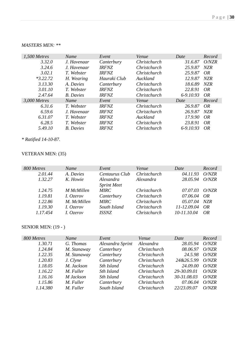### *MASTERS MEN: \*\**

| 1,500 Metres | Name             | Event               | Venue        | Date      | Record     |
|--------------|------------------|---------------------|--------------|-----------|------------|
| 3.32.0       | J. Havenaar      | Canterbury          | Christchurch | 31.6.87   | O/NZR      |
| 3.24.6       | J. Havenaar      | <b>IRFNZ</b>        | Christchurch | 25.9.87   | <b>NZR</b> |
| 3.02.1       | T. Webster       | <i><b>IRFNZ</b></i> | Christchurch | 25.9.87   | OR         |
| $*3.22.72$   | H. Wearing       | Hauraki Club        | Auckland     | 12.9.87   | <b>NZR</b> |
| 3.13.30      | A. Davies        | Canterbury          | Christchurch | 18.6.89   | NZR        |
| 3.01.10      | T. Webster       | <b>IRFNZ</b>        | Christchurch | 22.8.91   | OR.        |
| 2.47.64      | <b>B.</b> Davies | <b>IRFNZ</b>        | Christchurch | 6-9.10.93 | OR         |
| 3,000 Metres | Name             | Event               | Venue        | Date      | Record     |
| 6.31.6       | T. Webster       | <b>IRFNZ</b>        | Christchurch | 26.9.87   | OR         |
| 6.59.6       | J. Havenaar      | <b>IRFNZ</b>        | Christchurch | 26.9.87   | NZR        |
| 6.31.07      | T. Webster       | <b>IRFNZ</b>        | Auckland     | 17.9.90   | OR.        |
| 6.28.5       | T. Webster       | <b>IRFNZ</b>        | Christchurch | 23.8.91   | OR         |
| 5.49.10      | <b>B.</b> Davies | <b>IRFNZ</b>        | Christchurch | 6-9.10.93 | OR         |

*\* Ratified 14-10-87.*

### VETERAN MEN: (35)

| 800 Metres | Name              | Event              | Venue               | Date          | Record |
|------------|-------------------|--------------------|---------------------|---------------|--------|
| 2.01.44    | A. Davies         | Centaurus Club     | Christchurch        | 04.11.93      | O/NZR  |
| 1.32.27    | K. Howie          | Alexandra          | Alexandra           | 28.05.94      | O/NZR  |
|            |                   | <b>Sprint Meet</b> |                     |               |        |
| 1.24.75    | <b>M</b> McMillen | <i>MIRC</i>        | <i>Christchurch</i> | 07.07.03      | O/NZR  |
| 1.19.81    | I. Ozerov         | Canterbury         | Christchurch        | 07.06.04      | OR     |
| 1.22.86    | M. McMillen       | <b>MIRC</b>        | Christchurch        | 05.07.04      | NZR    |
| 1.19.30    | I. Ozerov         | South Island       | Christchurch        | 11-12.09.04   | OR     |
| 1.17.454   | I. Ozerov         | <i>ISSNZ</i>       | Christchurch        | $10-11.10.04$ | OR     |

| 800 Metres | Name        | Event            | Venue               | Date        | Record        |
|------------|-------------|------------------|---------------------|-------------|---------------|
| 1.30.71    | G. Thomas   | Alexandra Sprint | Alexandra           | 28.05.94    | O/NZR         |
| 1.24.84    | M. Stanaway | Canterbury       | Christchurch        | 08.06.97    | O/NZR         |
| 1.22.35    | M. Stanaway | Canterbury       | Christchurch        | 24.5.98     | O/NZR         |
| 1.20.83    | J. Clyne    | Canterbury       | Christchurch        | 24&26.5.99  | O/NZR         |
| 1.18.05    | M. Jackson  | Sth Island       | Christchurch        | 24.09.00    | <i>O</i> /NZR |
| 1.16.22    | M. Fuller   | Sth Island       | Christchurch        | 29-30.09.01 | O/NZR         |
| 1.16.16    | M Jackson   | Sth Island       | <i>Christchurch</i> | 30-31.08.03 | O/NZR         |
| 1.15.86    | M. Fuller   | Canterbury       | Christchurch        | 07.06.04    | O/NZR         |
| 1.14.380   | M. Fuller   | South Island     | Christchurch        | 22/23.09.07 | O/NZR         |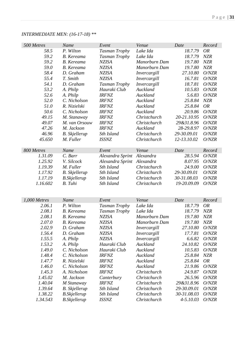# *INTERMEDIATE MEN: (16-17-18) \*\**

| 500 Metres             | Name                 | Event                                | Venue                        | Date            | Record                   |
|------------------------|----------------------|--------------------------------------|------------------------------|-----------------|--------------------------|
| 58.5                   | P. Wilton            | <b>Tasman Trophy</b>                 | Lake Ida                     | 18.7.79         | <b>OR</b>                |
| 59.2                   | <b>B.</b> Kereama    | Tasman Trophy                        | Lake Ida                     | 18.7.79         | <b>NZR</b>               |
| 59.2                   | <b>B.</b> Kereama    | <b>NZISA</b>                         | Manorburn Dam                | 19.7.80         | <b>NZR</b>               |
| 59.0                   | <b>B.</b> Kereama    | <b>NZISA</b>                         | Manorburn Dam                | 19.7.80         | <b>NZR</b>               |
| 58.4                   | D. Graham            | <b>NZISA</b>                         | Invercargill                 | 27.10.80        | O/NZR                    |
| 55.4                   | T. Smith             | <b>NZISA</b>                         | Invercargill                 | 16.7.81         | O/NZR                    |
| 54.1                   | D. Graham            | Tasman Trophy                        | Invercargill                 | 18.7.81         | O/NZR                    |
| 53.2                   | A. Philp             | Hauraki Club                         | Auckland                     | 10.5.83         | O/NZR                    |
| 52.6                   | A. Philp             | <b>IRFNZ</b>                         | Auckland                     | 5.6.83          | O/NZR                    |
| 52.0                   | C. Nicholson         | <b>IRFNZ</b>                         | Auckland                     | 25.8.84         | <b>NZR</b>               |
| 51.0                   | R. Nizielski         | <b>IRFNZ</b>                         | Auckland                     | 25.8.84         | <b>OR</b>                |
| 50.6                   | C. Nicholson         | <b>IRFNZ</b>                         | Auckland                     | 20.9.86         | O/NZR                    |
| 49.15                  | M. Stanaway          | <b>IRFNZ</b>                         | Christchurch                 | 20-21.10.95     | O/NZR                    |
| 49.07                  | M. van Orsouw        | <b>IRFNZ</b>                         | Christchurch                 | 29&31.8.96      | O/NZR                    |
| 47.26                  | M. Jackson           | <b>IRFNZ</b>                         | Auckland                     | 28-29.8.97      | O/NZR                    |
| 46.96                  | <b>B.</b> Skjellerup | Sth Island                           | Christchurch                 | 29-30.09.01     | O/NZR                    |
| 45.650                 | M. Fuller            | <b>ISSNZ</b>                         | Christchurch                 | 12-13.10.02     | O/NZR                    |
|                        |                      |                                      |                              |                 |                          |
| 800 Metres             | Name                 | Event                                | Venue                        | Date            | Record                   |
| 1.31.09                | C. Barr              | Alexandra Sprint                     | Alexandra                    | 28.5.94         | O/NZR                    |
| 1.25.92                | V. Silcock           | Alexandra Sprint                     | Alexandra                    | 8.07.95         | O/NZR                    |
| 1.19.39                | M. Fuller            | Sth Island                           | Christchurch                 | 24.9.00         | O/NZR                    |
| 1.17.92                | <b>B.</b> Skjellerup | Sth Island                           | Christchurch                 | 29-30.09.01     | O/NZR                    |
| 1.17.19                | <b>B.Skjellerup</b>  | Sth Island                           | Christchurch                 | 30-31.08.03     | O/NZR                    |
| 1.16.602               | B. Tuhi              | Sth Island                           | Christchurch                 | 19-20.09.09     | O/NZR                    |
|                        |                      |                                      |                              |                 |                          |
|                        |                      |                                      |                              |                 |                          |
| 1,000 Metres<br>2.06.1 | Name<br>P. Wilton    | Event                                | Venue<br>Lake Ida            | Date<br>18.7.79 | Record<br><i>OR</i>      |
| 2.08.1                 | <b>B.</b> Kereama    | <b>Tasman Trophy</b>                 |                              | 18.7.79         |                          |
| 2.08.1                 | <b>B.</b> Kereama    | <b>Tasman Trophy</b><br><b>NZISA</b> | Lake Ida<br>Manorburn Dam    | 19.7.80         | <b>NZR</b><br><b>NZR</b> |
| 2.07.0                 | <b>B.</b> Kereama    | <b>NZISA</b>                         | Manorburn Dam                | 19.7.80         | NZR                      |
| 2.02.9                 | D. Graham            | <b>NZISA</b>                         |                              | 27.10.80        | O/NZR                    |
| 1.56.4                 | D. Graham            | <b>NZISA</b>                         | Invercargill<br>Invercargill | 17.7.81         | O/NZR                    |
| 1.55.5                 | A. Philp             | <b>NZISA</b>                         | Invercargill                 | 6.6.82          | O/NZR                    |
| 1.53.2                 | A. Philp             | Hauraki Club                         | Auckland                     | 24.10.82        | O/NZR                    |
| 1.49.0                 | C. Nicholson         | Hauraki Club                         | Auckland                     | 10.5.83         | O/NZR                    |
| 1.48.4                 | C. Nicholson         | <b>IRFNZ</b>                         | Auckland                     | 25.8.84         | <b>NZR</b>               |
| 1.47.7                 | R. Nizielski         | <b>IRFNZ</b>                         | Auckland                     | 25.8.84         | <i>OR</i>                |
| 1.46.0                 | C. Nicholson         | <b>IRFNZ</b>                         | Auckland                     | 21.9.86         | O/NZR                    |
| 1.45.3                 | A. Nicholson         | <b>IRFNZ</b>                         | Christchurch                 | 24.9.87         | O/NZR                    |
| 1.45.02                | M. Jackson           |                                      | Christchurch                 | 26.5.96         | O/NZR                    |
| 1.40.04                |                      | Canterbury<br><b>IRFNZ</b>           | Christchurch                 | 29&31.8.96      | O/NZR                    |
| 1.39.64                | M Stanaway           | Sth Island                           | Christchurch                 | 29-30.09.01     | O/NZR                    |
| 1.38.22                | <b>B.</b> Skjellerup | Sth Island                           | Christchurch                 | 30-31.08.03     | O/NZR                    |
|                        | <b>B.Skjellerup</b>  |                                      | Christchurch                 | $4 - 5.10.03$   | O/NZR                    |
| 1.34.543               | <b>B.Skjellerup</b>  | <b>ISSNZ</b>                         |                              |                 |                          |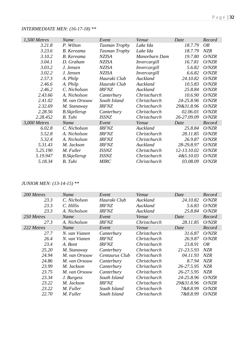| 1,500 Metres | Name                 | Event         | Venue         | Date        | Record     |
|--------------|----------------------|---------------|---------------|-------------|------------|
| 3.21.8       | P. Wilton            | Tasman Trophy | Lake Ida      | 18.7.79     | OR         |
| 3.23.6       | <b>B.</b> Kereama    | Tasman Trophy | Lake Ida      | 18.7.79     | <b>NZR</b> |
| 3.10.2       | <b>B.</b> Kereama    | <b>NZISA</b>  | Manorburn Dam | 19.7.80     | O/NZR      |
| 3.04.1       | D. Graham            | <b>NZISA</b>  | Invercargill  | 16.7.81     | O/NZR      |
| 3.03.2       | J. Jensen            | <b>NZISA</b>  | Invercargill  | 5.6.82      | O/NZR      |
| 3.02.2       | J. Jensen            | <b>NZISA</b>  | Invercargill  | 6.6.82      | O/NZR      |
| 2.57.3       | A. Philp             | Hauraki Club  | Auckland      | 24.10.82    | O/NZR      |
| 2.46.6       | A. Philp             | Hauraki Club  | Auckland      | 10.5.83     | O/NZR      |
| 2.46.2       | C. Nicholson         | <b>IRFNZ</b>  | Auckland      | 25.8.84     | O/NZR      |
| 2.43.66      | A. Nicholson         | Canterbury    | Christchurch  | 10.6.90     | O/NZR      |
| 2.41.02      | M. van Orsouw        | South Island  | Christchurch  | 24-25.8.96  | O/NZR      |
| 2.32.69      | M. Stanaway          | <b>IRFNZ</b>  | Christchurch  | 29&31.8.96  | O/NZR      |
| 2.28.56      | <b>B.Skjellerup</b>  | Canterbury    | Christchurch  | 02.06.03    | O/NZR      |
| 2.28.452     | B. Tuhi              | <b>ISSNZ</b>  | Christchurch  | 26-27.09.09 | O/NZR      |
| 3,000 Metres | Name                 | Event         | Venue         | Date        | Record     |
| 6.02.8       | C. Nicholson         | <b>IRFNZ</b>  | Auckland      | 25.8.84     | O/NZR      |
| 5.52.8       | A. Nicholson         | <b>IRFNZ</b>  | Christchurch  | 28.11.85    | O/NZR      |
| 5.32.4       | A. Nicholson         | <b>IRFNZ</b>  | Christchurch  | 26.9.87     | O/NZR      |
| 5.31.43      | M. Jackson           | <b>IRFNZ</b>  | Auckland      | 28-29.8.97  | O/NZR      |
| 5.25.190     | M. Fuller            | <b>ISSNZ</b>  | Christchurch  | 12-13.10.02 | O/NZR      |
| 5.19.947     | <b>B.</b> Skjellerup | <b>ISSNZ</b>  | Christchurch  | 4&5.10.03   | O/NZR      |
| 5.18.34      | B. Tuhi              | <b>MIRC</b>   | Christchurch  | 03.08.09    | O/NZR      |

### *INTERMEDIATE MEN: (16-17-18) \*\**

# *JUNIOR MEN: (13-14-15) \*\**

| 200 Metres | Name          | Event          | Venue        | Date       | Record     |
|------------|---------------|----------------|--------------|------------|------------|
| 23.3       | C. Nicholson  | Hauraki Club   | Auckland     | 24.10.82   | O/NZR      |
| 23.3       | C. Hillis     | <b>IRFNZ</b>   | Auckland     | 5.6.83     | O/NZR      |
| 23.3       | A. Nicholson  | <b>IRFNZ</b>   | Auckland     | 25.8.84    | O/NZR      |
| 250 Metres | Name          | Event          | Venue        | Date       | Record     |
| 27.3       | A. Nicholson  | <b>IRFNZ</b>   | Christchurch | 28.11.85   | O/NZR      |
| 222 Metres | Name          | Event          | Venue        | Date       | Record     |
| 27.7       | N. van Vianen | Canterbury     | Christchurch | 31.6.87    | O/NZR      |
| 26.4       | N. van Vianen | <b>IRFNZ</b>   | Christchurch | 26.9.87    | O/NZR      |
| 23.4       | A. Bont       | <b>IRFNZ</b>   | Christchurch | 23.8.91    | OR         |
| 25.20      | M. Stanaway   | Canterbury     | Christchurch | 21-23.5.93 | NZR        |
| 24.94      | M. van Orsouw | Centaurus Club | Christchurch | 04.11.93   | <b>NZR</b> |
| 24.86      | M. van Orsouw | Canterbury     | Christchurch | 8.7.94     | <b>NZR</b> |
| 23.99      | M. Jackson    | Canterbury     | Christchurch | 26-27.5.95 | <b>NZR</b> |
| 23.75      | M. van Orsouw | Canterbury     | Christchurch | 26-27.5.95 | <b>NZR</b> |
| 23.34      | J. Burgess    | South Island   | Christchurch | 24-25.8.96 | O/NZR      |
| 23.22      | M. Jackson    | <i>IRFNZ</i>   | Christchurch | 29&31.8.96 | O/NZR      |
| 23.22      | M. Fuller     | South Island   | Christchurch | 7&8.8.99   | O/NZR      |
| 22.70      | M. Fuller     | South Island   | Christchurch | 7&8.8.99   | O/NZR      |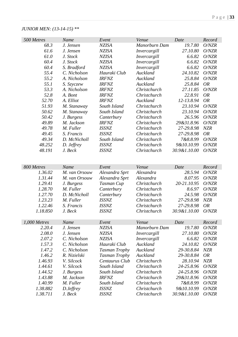# *JUNIOR MEN: (13-14-15) \*\**

| 500 Metres   | Name          | Event                | Venue         | Date         | Record     |
|--------------|---------------|----------------------|---------------|--------------|------------|
| 68.3         | J. Jensen     | <b>NZISA</b>         | Manorburn Dam | 19.7.80      | O/NZR      |
| 61.6         | J. Jensen     | <b>NZISA</b>         | Invercargill  | 27.10.80     | O/NZR      |
| 61.0         | J. Stock      | <b>NZISA</b>         | Invercargill  | 6.6.82       | O/NZR      |
| 60.4         | J. Stock      | <b>NZISA</b>         | Invercargill  | 6.6.82       | O/NZR      |
| 60.4         | S. Bradford   | <b>NZISA</b>         | Invercargill  | 6.6.82       | O/NZR      |
| 55.4         | C. Nicholson  | Hauraki Club         | Auckland      | 24.10.82     | O/NZR      |
| 55.2         | A. Nicholson  | <b>IRFNZ</b>         | Auckland      | 25.8.84      | O/NZR      |
| 55.1         | S. Szyczew    | <b>IRFNZ</b>         | Auckland      | 25.8.84      | <b>OR</b>  |
| 53.3         | A. Nicholson  | <b>IRFNZ</b>         | Christchurch  | 27.11.85     | O/NZR      |
| 52.8         | A. Bont       | <b>IRFNZ</b>         | Christchurch  | 22.8.91      | <b>OR</b>  |
| 52.70        | A. Elliot     | <b>IRFNZ</b>         | Auckland      | 12-13.8.94   | <b>OR</b>  |
| 51.93        | M. Stanaway   | South Island         | Christchurch  | 23.10.94     | O/NZR      |
| 50.62        | M. Stanaway   | South Island         | Christchurch  | 23.10.94     | O/NZR      |
| 50.42        | J. Burgess    | Canterbury           | Christchurch  | 26.5.96      | O/NZR      |
| 49.89        | M. Jackson    | <b>IRFNZ</b>         | Christchurch  | 29&31.8.96   | O/NZR      |
| 49.78        | M. Fuller     | <b>ISSNZ</b>         | Christchurch  | 27-29.8.98   | <b>NZR</b> |
| 49.45        | S. Francis    | <b>ISSNZ</b>         | Christchurch  | 27-29.8.98   | <b>OR</b>  |
| 49.34        | D. McNicholl  | South Island         | Christchurch  | 7&8.8.99     | O/NZR      |
| 48.252       | D. Jeffrey    | <b>ISSNZ</b>         | Christchurch  | 9&10.10.99   | O/NZR      |
| 48.191       | J. Beck       | <b>ISSNZ</b>         | Christchurch  | 30.9&1.10.00 | O/NZR      |
|              |               |                      |               |              |            |
|              |               |                      |               |              |            |
| 800 Metres   | Name          | Event                | Venue         | Date         | Record     |
| 1.36.02      | M. van Orsouw | Alexandra Sprt       | Alexandra     | 28.5.94      | O/NZR      |
| 1.31.44      | M. van Orsouw | Alexandra Sprt       | Alexandra     | 8.07.95      | O/NZR      |
| 1.29.41      | J. Burgess    | Tasman Cup           | Christchurch  | 20-21.10.95  | O/NZR      |
| 1.28.70      | M. Fuller     | Canterbury           | Christchurch  | 8.6.97       | O/NZR      |
| 1.27.70      | D. McNicholl  | Canterbury           | Christchurch  | 24.5.98      | O/NZR      |
| 1.23.23      | M. Fuller     | <b>ISSNZ</b>         | Christchurch  | 27-29.8.98   | <b>NZR</b> |
| 1.22.46      | S. Francis    | <b>ISSNZ</b>         | Christchurch  | 27-29.8.98   | <b>OR</b>  |
| 1.18.850     | J. Beck       | <b>ISSNZ</b>         | Christchurch  | 30.9&1.10.00 | O/NZR      |
| 1,000 Metres | Name          | Event                | Venue         | Date         | Record     |
| 2.20.4       | J. Jensen     | <b>NZISA</b>         | Manorburn Dam | 19.7.80      | O/NZR      |
| 2.08.0       | J. Jensen     | <b>NZISA</b>         | Invercargill  | 27.10.80     | O/NZR      |
| 2.07.2       | C. Nicholson  | <b>NZISA</b>         | Invercargill  | 6.6.82       | O/NZR      |
| 1.57.3       | C. Nicholson  | Hauraki Club         | Auckland      | 24.10.82     | O/NZR      |
| 1.47.2       | C. Nicholson  | <b>Tasman Trophy</b> | Auckland      | 29-30.8.84   | <b>NZR</b> |
| 1.46.2       | R. Nizielski  | <b>Tasman Trophy</b> | Auckland      | 29-30.8.84   | <b>OR</b>  |
| 1.46.93      | V. Silcock    | Centaurus Club       | Christchurch  | 28.10.94     | <b>NZR</b> |
| 1.44.61      | V. Silcock    | South Island         | Christchurch  | 24-25.8.96   | O/NZR      |
| 1.44.52      | J. Burgess    | South Island         | Christchurch  | 24-25.8.96   | O/NZR      |
| 1.43.88      | M. Jackson    | <b>IRFNZ</b>         | Christchurch  | 29&31.8.96   | O/NZR      |
| 1.40.99      | M. Fuller     | South Island         | Christchurch  | 7&8.8.99     | O/NZR      |
| 1.38.882     | D.Jeffrey     | <b>ISSNZ</b>         | Christchurch  | 9&10.10.99   | O/NZR      |
| 1.38.711     | J. Beck       | <b>ISSNZ</b>         | Christchurch  | 30.9&1.10.00 | O/NZR      |
|              |               |                      |               |              |            |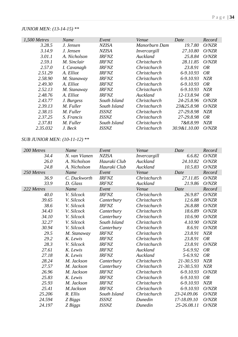### *JUNIOR MEN: (13-14-15) \*\**

| 1,500 Metres | Name         | Event               | Venue         | Date         | Record     |
|--------------|--------------|---------------------|---------------|--------------|------------|
| 3.28.5       | J. Jensen    | <b>NZISA</b>        | Manorburn Dam | 19.7.80      | O/NZR      |
| 3.14.9       | J. Jensen    | <b>NZISA</b>        | Invercargill  | 27.10.80     | O/NZR      |
| 3.01.1       | A. Nicholson | <b>IRFNZ</b>        | Auckland      | 25.8.84      | O/NZR      |
| 2.59.1       | M. Sinclair  | <b>IRFNZ</b>        | Christchurch  | 28.11.85     | O/NZR      |
| 2.57.0       | I. Cavanagh  | <b>IRFNZ</b>        | Christchurch  | 23.8.91      | <i>OR</i>  |
| 2.51.29      | A. Elliot    | <b>IRFNZ</b>        | Christchurch  | 6-9.10.93    | <i>OR</i>  |
| 2.58.90      | M. Stanaway  | <b>IRFNZ</b>        | Christchurch  | 6-9.10.93    | NZR        |
| 2.49.30      | A. Elliot    | <b>IRFNZ</b>        | Christchurch  | 6-9.10.93    | OR         |
| 2.52.13      | M. Stanaway  | <b>IRFNZ</b>        | Christchurch  | 6-9.10.93    | <b>NZR</b> |
| 2.48.76      | A. Elliot    | <i><b>IRFNZ</b></i> | Auckland      | 12-13.8.94   | <i>OR</i>  |
| 2.43.77      | J. Burgess   | South Island        | Christchurch  | 24-25.8.96   | O/NZR      |
| 2.39.13      | M. Fuller    | South Island        | Christchurch  | 23&25.8.98   | O/NZR      |
| 2.38.15      | M. Fuller    | <b>ISSNZ</b>        | Christchurch  | 27-29.8.98   | <b>NZR</b> |
| 2.37.25      | S. Francis   | <i><b>ISSNZ</b></i> | Christchurch  | 27-29.8.98   | <b>OR</b>  |
| 2.37.81      | M. Fuller    | South Island        | Christchurch  | 7&8.8.99     | NZR        |
| 2.35.032     | J. Beck      | <b>ISSNZ</b>        | Christchurch  | 30.9&1.10.00 | O/NZR      |

# *SUB JUNIOR MEN: (10-11-12) \*\**

| 200 Metres | Name          | Event        | Venue        | Date        | Record     |
|------------|---------------|--------------|--------------|-------------|------------|
| 34.4       | N. van Vianen | <b>NZISA</b> | Invercargill | 6.6.82      | O/NZR      |
| 26.0       | A. Nicholson  | Hauraki Club | Auckland     | 24.10.82    | O/NZR      |
| 24.8       | A. Nicholson  | Hauraki Club | Auckland     | 10.5.83     | O/NZR      |
| 250 Metres | Name          | Event        | Venue        | Date        | Record     |
| 36.9       | C. Duckworth  | <b>IRFNZ</b> | Christchurch | 27.11.85    | O/NZR      |
| 33.9       | D. Glass      | <b>IRFNZ</b> | Auckland     | 21.9.86     | O/NZR      |
| 222 Metres | Name          | Event        | Venue        | Date        | Record     |
| 40.0       | V. Silcock    | <b>IRFNZ</b> | Christchurch | 26.9.87     | O/NZR      |
| 39.65      | V. Silcock    | Canterbury   | Christchurch | 12.6.88     | O/NZR      |
| 38.6       | V. Silcock    | <b>IRFNZ</b> | Christchurch | 26.8.88     | O/NZR      |
| 34.43      | V. Silcock    | Canterbury   | Christchurch | 18.6.89     | O/NZR      |
| 34.10      | V. Silcock    | Canterbury   | Christchurch | 10.6.90     | O/NZR      |
| 32.27      | V. Silcock    | South Island | Christchurch | 4.10.90     | O/NZR      |
| 30.94      | V. Silcock    | Canterbury   | Christchurch | 8.6.91      | O/NZR      |
| 29.5       | M. Stanaway   | <b>IRFNZ</b> | Christchurch | 23.8.91     | <b>NZR</b> |
| 29.2       | K. Lewis      | <b>IRFNZ</b> | Christchurch | 23.8.91     | <b>OR</b>  |
| 28.3       | V. Silcock    | <b>IRFNZ</b> | Christchurch | 23.8.91     | O/NZR      |
| 27.61      | K. Lewis      | <b>IRFNZ</b> | Auckland     | 5-6.9.92    | <b>OR</b>  |
| 27.18      | K. Lewis      | <b>IRFNZ</b> | Auckland     | 5-6.9.92    | <b>OR</b>  |
| 28.24      | M. Jackson    | Canterbury   | Christchurch | 21-30.5.93  | <b>NZR</b> |
| 27.57      | M. Jackson    | Canterbury   | Christchurch | 21-30.5.93  | NZR        |
| 26.96      | M. Jackson    | <b>IRFNZ</b> | Christchurch | 6-9.10.93   | O/NZR      |
| 25.83      | K. Lewis      | <b>IRFNZ</b> | Christchurch | 6-9.10.93   | <b>OR</b>  |
| 25.93      | M. Jackson    | <b>IRFNZ</b> | Christchurch | 6-9.10.93   | <b>NZR</b> |
| 25.41      | M.Jackson     | <b>IRFNZ</b> | Christchurch | 6-9.10.93   | O/NZR      |
| 25.206     | R. Ellis      | South Island | Christchurch | 23-24.09.06 | O/NZR      |
| 24.594     | Z Biggs       | <b>ISSNZ</b> | Dunedin      | 17-18.09.10 | O/NZR      |
| 24.197     | Z Biggs       | <b>ISSNZ</b> | Dunedin      | 25-26.08.11 | O/NZR      |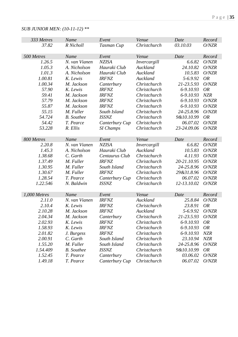### *SUB JUNIOR MEN: (10-11-12) \*\**

| 333 Metres   | Name              | Event            | Venue        | Date        | Record     |
|--------------|-------------------|------------------|--------------|-------------|------------|
| 37.82        | R Nicholl         | Tasman Cup       | Christchurch | 03.10.03    | O/NZR      |
|              |                   |                  |              |             |            |
| 500 Metres   | Name              | Event            | Venue        | Date        | Record     |
| 1.26.5       | N. van Vianen     | <b>NZISA</b>     | Invercargill | 6.6.82      | O/NZR      |
| 1.05.3       | A. Nicholson      | Hauraki Club     | Auckland     | 24.10.82    | O/NZR      |
| 1.01.3       | A. Nicholson      | Hauraki Club     | Auckland     | 10.5.83     | O/NZR      |
| 1.00.81      | K. Lewis          | <b>IRFNZ</b>     | Auckland     | 5-6.9.92    | <b>OR</b>  |
| 1.00.34      | M. Jackson        | Canterbury       | Christchurch | 21-23.5.93  | O/NZR      |
| 57.90        | K. Lewis          | <b>IRFNZ</b>     | Christchurch | 6-9.10.93   | <b>OR</b>  |
| 59.41        | M. Jackson        | <b>IRFNZ</b>     | Christchurch | 6-9.10.93   | <b>NZR</b> |
| 57.79        | M. Jackson        | <b>IRFNZ</b>     | Christchurch | 6-9.10.93   | O/NZR      |
| 55.87        | M. Jackson        | <b>IRFNZ</b>     | Christchurch | 6-9.10.93   | O/NZR      |
| 55.15        | M. Fuller         | South Island     | Christchurch | 24-25.8.96  | O/NZR      |
| 54.724       | <b>B.</b> Southee | <b>ISSNZ</b>     | Christchurch | 9&10.10.99  | <b>OR</b>  |
| 54.42        | T. Pearce         | Canterbury Cup   | Christchurch | 06.07.02    | O/NZR      |
| 53.228       | R. Ellis          | <b>SI</b> Champs | Christchurch | 23-24.09.06 | O/NZR      |
|              |                   |                  |              |             |            |
| 800 Metres   | Name              | Event            | Venue        | Date        | Record     |
| 2.20.8       | N. van Vianen     | <b>NZISA</b>     | Invercargill | 6.6.82      | O/NZR      |
| 1.45.3       | A. Nicholson      | Hauraki Club     | Auckland     | 10.5.83     | O/NZR      |
| 1.38.68      | C. Garth          | Centaurus Club   | Christchurch | 4.11.93     | O/NZR      |
| 1.37.49      | M. Fuller         | <b>IRFNZ</b>     | Christchurch | 20-21.10.95 | O/NZR      |
| 1.30.95      | M. Fuller         | South Island     | Christchurch | 24-25.8.96  | O/NZR      |
| 1.30.67      | M. Fuller         | <b>IRFNZ</b>     | Christchurch | 29&31.8.96  | O/NZR      |
| 1.28.54      | T. Pearce         | Canterbury Cup   | Christchurch | 06.07.02    | O/NZR      |
| 1.22.546     | N. Baldwin        | <b>ISSNZ</b>     | Christchurch | 12-13.10.02 | O/NZR      |
|              |                   |                  |              |             |            |
| 1,000 Metres | Name              | Event            | Venue        | Date        | Record     |
| 2.11.0       | N. van Vianen     | <b>IRFNZ</b>     | Auckland     | 25.8.84     | O/NZR      |
| 2.10.4       | K. Lewis          | <b>IRFNZ</b>     | Christchurch | 23.8.91     | <b>OR</b>  |
| 2.10.28      | M. Jackson        | <b>IRFNZ</b>     | Auckland     | 5-6.9.92    | O/NZR      |
| 2.04.34      | M. Jackson        | Canterbury       | Christchurch | 21-23.5.93  | O/NZR      |
| 2.02.93      | K. Lewis          | <b>IRFNZ</b>     | Christchurch | 6-9.10.93   | <i>OR</i>  |
| 1.58.93      | K. Lewis          | <b>IRFNZ</b>     | Christchurch | 6-9.10.93   | <i>OR</i>  |
| 2.01.82      | J. Burgess        | <b>IRFNZ</b>     | Christchurch | 6-9.10.93   | <b>NZR</b> |
| 2.00.91      | C. Garth          | South Island     | Christchurch | 23.10.94    | <b>NZR</b> |
| 1.55.20      | M. Fuller         | South Island     | Christchurch | 24-25.8.96  | O/NZR      |
| 1.54.409     | <b>B.</b> Southee | <b>ISSNZ</b>     | Christchurch | 9&10.10.99  | <i>OR</i>  |
| 1.52.45      | T. Pearce         | Canterbury       | Christchurch | 03.06.02    | O/NZR      |
| 1.49.18      | T. Pearce         | Canterbury Cup   | Christchurch | 06.07.02    | O/NZR      |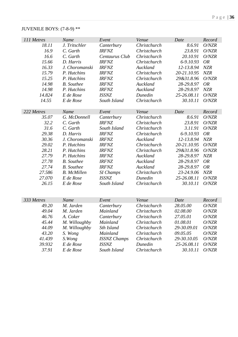# JUVENILE BOYS: (7-8-9) \*\*

| 111 Metres | Name               | Event               | Venue        | Date        | Record     |
|------------|--------------------|---------------------|--------------|-------------|------------|
| 18.11      | J. Tritschler      | Canterbury          | Christchurch | 8.6.91      | O/NZR      |
| 16.9       | C. Garth           | <b>IRFNZ</b>        | Christchurch | 23.8.91     | O/NZR      |
| 16.6       | C. Garth           | Centaurus Club      | Christchurch | 20.10.91    | O/NZR      |
| 15.66      | D. Harris          | <b>IRFNZ</b>        | Christchurch | 6-9.10.93   | <b>OR</b>  |
| 16.33      | J. Choromanski     | <b>IRFNZ</b>        | Auckland     | 12-13.8.94  | <b>NZR</b> |
| 15.79      | P. Hutchins        | <b>IRFNZ</b>        | Christchurch | 20-21.10.95 | NZR        |
| 15.25      | P. Hutchins        | <b>IRFNZ</b>        | Christchurch | 29&31.8.96  | O/NZR      |
| 14.98      | <b>B.</b> Southee  | <b>IRFNZ</b>        | Auckland     | 28-29.8.97  | <b>OR</b>  |
| 14.98      | P. Hutchins        | <b>IRFNZ</b>        | Auckland     | 28-29.8.97  | <b>NZR</b> |
| 14.824     | E de Rose          | <b>ISSNZ</b>        | Dunedin      | 25-26.08.11 | O/NZR      |
| 14.55      | E de Rose          | South Island        | Christchurch | 30.10.11    | O/NZR      |
|            |                    |                     |              |             |            |
| 222 Metres | Name               | Event               | Venue        | Date        | Record     |
| 35.07      | G. McDonnell       | Canterbury          | Christchurch | 8.6.91      | O/NZR      |
| 32.2       | C. Garth           | <b>IRFNZ</b>        | Christchurch | 23.8.91     | O/NZR      |
| 31.6       | C. Garth           | South Island        | Christchurch | 3.11.91     | O/NZR      |
| 29.38      | D. Harris          | <b>IRFNZ</b>        | Christchurch | 6-9.10.93   | <b>OR</b>  |
| 30.36      | J. Choromanski     | <b>IRFNZ</b>        | Auckland     | 12-13.8.94  | <b>NZR</b> |
| 29.02      | P. Hutchins        | <b>IRFNZ</b>        | Christchurch | 20-21.10.95 | O/NZR      |
| 28.21      | P. Hutchins        | <b>IRFNZ</b>        | Christchurch | 29&31.8.96  | O/NZR      |
| 27.79      | P. Hutchins        | <b>IRFNZ</b>        | Auckland     | 28-29.8.97  | <b>NZR</b> |
| 27.78      | <b>B.</b> Southee  | <b>IRFNZ</b>        | Auckland     | 28-29.8.97  | <b>OR</b>  |
| 27.74      | <b>B.</b> Southee  | <b>IRFNZ</b>        | Auckland     | 28-29.8.97  | <b>OR</b>  |
| 27.586     | <b>B.</b> McMillen | <b>SI</b> Champs    | Christchurch | 23-24.9.06  | <b>NZR</b> |
| 27.070     | E de Rose          | <b>ISSNZ</b>        | Dunedin      | 25-26.08.11 | O/NZR      |
| 26.15      | E de Rose          | South Island        | Christchurch | 30.10.11    | O/NZR      |
|            |                    |                     |              |             |            |
|            |                    |                     |              |             |            |
| 333 Metres | Name               | Event               | Venue        | Date        | Record     |
| 49.20      | M. Jarden          | Canterbury          | Christchurch | 28.05.00    | O/NZR      |
| 49.04      | M. Jarden          | Mainland            | Christchurch | 02.08.00    | O/NZR      |
| 46.76      | A. Coker           | Canterbury          | Christchurch | 27.05.01    | O/NZR      |
| 45.44      | M. Willoughby      | Mainland            | Christchurch | 01.08.01    | O/NZR      |
| 44.09      | M. Willoughby      | Sth Island          | Christchurch | 29-30.09.01 | O/NZR      |
| 43.20      | S. Wong            | <b>Mainland</b>     | Christchurch | 09.05.05    | O/NZR      |
| 41.439     | S. Wong            | <b>ISSNZ Champs</b> | Christchurch | 29-30.10.05 | O/NZR      |
| 39.932     | E de Rose          | ISSNZ               | Dunedin      | 25-26.08.11 | O/NZR      |
| 37.91      | E de Rose          | South Island        | Christchurch | 30.10.11    | O/NZR      |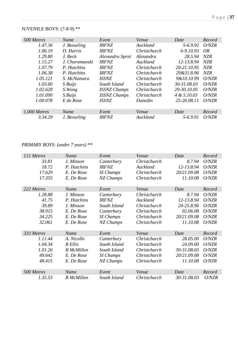# JUVENILE BOYS: (7-8-9) \*\*

| 500 Metres   | Name           | Event               | Venue        | Date        | Record     |
|--------------|----------------|---------------------|--------------|-------------|------------|
| 1.47.36      | J. Besseling   | <b>IRFNZ</b>        | Auckland     | $5-6.9.92$  | O/NZR      |
| 1.06.19      | D. Harris      | <b>IRFNZ</b>        | Christchurch | 6-9.10.93   | OR         |
| 1.29.80      | J. Beck        | Alexandra Sprnt     | Alexandra    | 28.5.94     | NZR        |
| 1.15.27      | J. Choromanski | <b>IRFNZ</b>        | Auckland     | 12-13.8.94  | NZR        |
| 1.07.79      | P. Hutchins    | <i><b>IRFNZ</b></i> | Christchurch | 20-21.10.95 | NZR        |
| 1.06.38      | P. Hutchins    | <b>IRFNZ</b>        | Christchurch | 29&31.8.96  | <b>NZR</b> |
| 1.05.121     | S. McNamara    | <i>ISSNZ</i>        | Christchurch | 9&10.10.99  | O/NZR      |
| 1.03.60      | $S$ Buijs      | South Island        | Christchurch | 30-31.08.03 | O/NZR      |
| 1.02.628     | S. Wong        | <b>ISSNZ Champs</b> | Christchurch | 29-30.10.05 | O/NZR      |
| 1.01.090     | S. Buijs       | <b>ISSNZ Champs</b> | Christchurch | 4 & 5.10.03 | O/NZR      |
| 1:00.078     | E de Rose      | <i><b>ISSNZ</b></i> | Dunedin      | 25-26.08.11 | O/NZR      |
|              |                |                     |              |             |            |
| 1,000 Metres | Name           | Event               | Venue        | Date        | Record     |
| 3.34.29      | J. Besseling   | <b>IRFNZ</b>        | Auckland     | 5-6.9.91    | O/NZR      |

# *PRIMARY BOYS: (under 7 years) \*\**

| 111 Metres | Name              | Event            | Venue        | Date        | Record |
|------------|-------------------|------------------|--------------|-------------|--------|
| 33.81      | J. Minson         | Canterbury       | Christchurch | 8.7.94      | O/NZR  |
| 18.72      | P. Hutchins       | <b>IRFNZ</b>     | Auckland     | 12-13.8.94  | O/NZR  |
| 17.629     | E. De Rose        | <b>SI</b> Champs | Christchurch | 20/21.09.08 | O/NZR  |
| 17.355     | E. De Rose        | NZ Champs        | Christchurch | 11.10.08    | O/NZR  |
|            |                   |                  |              |             |        |
| 222 Metres | Name              | Event            | Venue        | Date        | Record |
| 1.28.88    | J. Minson         | Canterbury       | Christchurch | 8.7.94      | O/NZR  |
| 41.75      | P. Hutchins       | <b>IRFNZ</b>     | Auckland     | 12-13.8.94  | O/NZR  |
| 39.89      | J. Minson         | South Island     | Christchurch | 24-25.8.96  | O/NZR  |
| 38.915     | E. De Rose        | Canterbury       | Christchurch | 02.06.08    | O/NZR  |
| 34.225     | E. De Rose        | SI Champs        | Christchurch | 20/21.09.08 | O/NZR  |
| 32.061     | E. De Rose        | NZ Champs        | Christchurch | 11.10.08    | O/NZR  |
|            |                   |                  |              |             |        |
| 333 Metres | Name              | Event            | Venue        | Date        | Record |
| 1.11.44    | A. Nicolle        | Canterbury       | Christchurch | 28.05.00    | O/NZR  |
| 1.04.34    | R Ellis           | South Island     | Christchurch | 24.09.00    | O/NZR  |
| 1.01.26    | <b>B</b> McMillen | South Island     | Christchurch | 30-31.08.03 | O/NZR  |
| 49.642     | E. De Rose        | <b>SI</b> Champs | Christchurch | 20/21.09.08 | O/NZR  |
| 48.415     | E. De Rose        | NZ Champs        | Christchurch | 11.10.08    | O/NZR  |
|            |                   |                  |              |             |        |
| 500 Metres | Name              | Event            | Venue        | Date        | Record |
| 1.35.53    | <b>B</b> McMillen | South Island     | Christchurch | 30-31.08.03 | O/NZR  |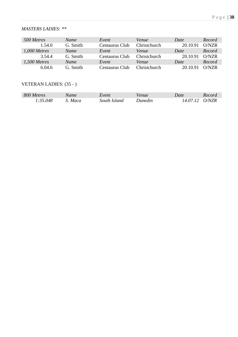### *MASTERS LADIES: \*\**

| 500 Metres   | Name        | Event          | Venue               | Date     | Record          |
|--------------|-------------|----------------|---------------------|----------|-----------------|
| 1.54.0       | G. Smith    | Centaurus Club | Christchurch        | 20.10.91 | O/NZR           |
| 1,000 Metres | <b>Name</b> | Event          | Venue               | Date     | Record          |
| 3.54.4       | G. Smith    | Centaurus Club | <b>Christchurch</b> | 20.10.91 | O/NZR           |
| 1,500 Metres | Name        | Event          | Venue               | Date     | Record          |
| 6.04.6       | G. Smith.   | Centaurus Club | Christchurch        | 20 10 91 | $\bigcirc$ /NZR |

### VETERAN LADIES: (35 - )

| 800 Metres | Name   | Event        | Venue   | Date     | Record |
|------------|--------|--------------|---------|----------|--------|
| 1:35.048   | . Maca | South Island | Dunedin | 14.07.12 | O/NZR  |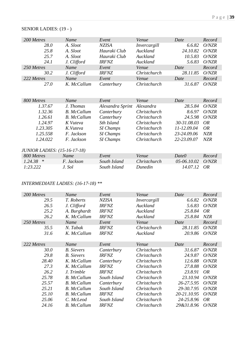### SENIOR LADIES: (19 - )

| 200 Metres                   | Name               | Event            | Venue        | Date        | Record     |
|------------------------------|--------------------|------------------|--------------|-------------|------------|
| 28.0                         | A. Sloot           | <b>NZISA</b>     | Invercargill | 6.6.82      | O/NZR      |
| 25.8                         | A. Sloot           | Hauraki Club     | Auckland     | 24.10.82    | O/NZR      |
| 25.7                         | A. Sloot           | Hauraki Club     | Auckland     | 10.5.83     | O/NZR      |
| 24.1                         | J. Clifford        | <b>IRFNZ</b>     | Auckland     | 5.6.83      | O/NZR      |
| 250 Metres                   | Name               | Event            | Venue        | Date        | Record     |
| 30.2                         | J. Clifford        | <b>IRFNZ</b>     | Christchurch | 28.11.85    | O/NZR      |
| 222 Metres                   | Name               | Event            | Venue        | Date        | Record     |
| <i>27.0</i>                  | K. McCallum        | Canterbury       | Christchurch | 31.6.87     | O/NZR      |
|                              |                    |                  |              |             |            |
|                              |                    |                  |              |             |            |
| 800 Metres                   | Name               | Event            | Venue        | Date        | Record     |
| 1.37.67                      | J. Thomas          | Alexandra Sprint | Alexandra    | 28.5.84     | O/NZR      |
| 1.32.36                      | <b>B.</b> McCallum | Canterbury       | Christchurch | 8.6.97      | O/NZR      |
| 1.26.61                      | <b>B.</b> McCallum | Canterbury       | Christchurch | 24.5.98     | O/NZR      |
| 1.24.97                      | K Vuteva           | Sth Island       | Christchurch | 30-31.08.03 | <i>OR</i>  |
| 1.23.305                     | K.Vuteva           | <b>SI</b> Champs | Christchurch | 11-12.09.04 | <i>OR</i>  |
| 1.25.558                     | F. Jackson         | <b>SI</b> Champs | Christchurch | 23-24.09.06 | <b>NZR</b> |
| 1.24.022                     | F. Jackson         | <b>SI</b> Champs | Christchurch | 22-23.09.07 | <b>NZR</b> |
|                              |                    |                  |              |             |            |
| JUNIOR LADIES: (15-16-17-18) |                    |                  |              |             |            |
| 800 Metres                   | Name               | Event            | Venue        | Date0       | Record     |
| 1.24.38<br>∗                 | F. Jackson         | South Island     | Christchurch | 05-06.10.02 | O/NZR      |
| 1:23.222                     | J. Sol             | South Island     | Dunedin      | 14.07.12    | <i>OR</i>  |

# *INTERMEDIATE LADIES: (16-17-18) \*\**

| 200 Metres | Name               | Event        | Venue        | Date        | Record     |
|------------|--------------------|--------------|--------------|-------------|------------|
| 29.5       | T. Roberts         | <b>NZISA</b> | Invercargill | 6.6.82      | O/NZR      |
| 26.5       | J. Clifford        | <b>IRFNZ</b> | Auckland     | 5.6.83      | O/NZR      |
| 25.2       | A. Burghardt       | <b>IRFNZ</b> | Auckland     | 25.8.84     | <i>OR</i>  |
| 26.2       | K. McCallum        | <b>IRFNZ</b> | Auckland     | 25.8.84     | <b>NZR</b> |
| 250 Metres | Name               | Event        | Venue        | Date        | Record     |
| 35.5       | N. Tabak           | <b>IRFNZ</b> | Christchurch | 28.11.85    | O/NZR      |
| 31.6       | K. McCallum        | <b>IRFNZ</b> | Auckland     | 20.9.86     | O/NZR      |
|            |                    |              |              |             |            |
| 222 Metres | Name               | Event        | Venue        | Date        | Record     |
| 30.0       | <b>B.</b> Sievers  | Canterbury   | Christchurch | 31.6.87     | O/NZR      |
| 29.8       | <b>B.</b> Sievers  | <b>IRFNZ</b> | Christchurch | 24.9.87     | O/NZR      |
| 28.40      | K. McCallum        | Canterbury   | Christchurch | 12.6.88     | O/NZR      |
| 27.3       | K. McCallum        | <b>IRFNZ</b> | Christchurch | 27.8.88     | O/NZR      |
| 26.2       | J. Trimble         | <b>IRFNZ</b> | Christchurch | 23.8.91     | <i>OR</i>  |
| 25.78      | <b>B.</b> McCallum | South Island | Christchurch | 23.10.94    | O/NZR      |
| 25.57      | <b>B.</b> McCallum | Canterbury   | Christchurch | 26-27.5.95  | O/NZR      |
| 25.21      | <b>B.</b> McCallum | South Island | Christchurch | 29-30.7.95  | O/NZR      |
| 25.10      | <b>B.</b> McCallum | <b>IRFNZ</b> | Christchurch | 20-21.10.95 | O/NZR      |
| 25.06      | C. McLeod          | South Island | Christchurch | 24-25.8.96  | <b>OR</b>  |
| 24.16      | <b>B.</b> McCallum | <b>IRFNZ</b> | Christchurch | 29&31.8.96  | O/NZR      |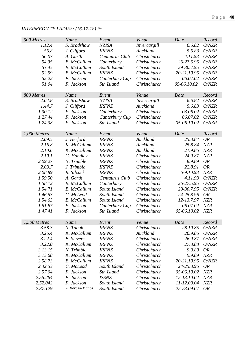| 500 Metres   | Name               | Event          | Venue               | Date        | Record     |
|--------------|--------------------|----------------|---------------------|-------------|------------|
| 1.12.4       | S. Bradshaw        | <b>NZISA</b>   | Invercargill        | 6.6.82      | O/NZR      |
| 56.8         | J. Clifford        | <b>IRFNZ</b>   | Auckland            | 5.6.83      | O/NZR      |
| 56.07        | A. Garth           | Centaurus Club | Christchurch        | 4.11.93     | O/NZR      |
| 54.35        | <b>B.</b> McCallum | Canterbury     | Christchurch        | 26-27.5.95  | O/NZR      |
| 53.45        | <b>B.</b> McCallum | South Island   | Christchurch        | 29-30.7.95  | O/NZR      |
| 52.99        | <b>B.</b> McCallum | <b>IRFNZ</b>   | Christchurch        | 20-21.10.95 | O/NZR      |
| 52.22        | F. Jackson         | Canterbury Cup | Christchurch        | 06.07.02    | O/NZR      |
| 51.04        | F. Jackson         | Sth Island     | Christchurch        | 05-06.10.02 | O/NZR      |
|              |                    |                |                     |             |            |
| 800 Metres   | Name               | Event          | Venue               | Date        | Record     |
| 2.04.8       | S. Bradshaw        | <b>NZISA</b>   | Invercargill        | 6.6.82      | O/NZR      |
| 1.44.7       | J. Clifford        | <b>IRFNZ</b>   | Auckland            | 5.6.83      | O/NZR      |
| 1.30.12      | F. Jackson         | Canterbury     | Christchurch        | 03.06.02    | O/NZR      |
| 1.27.44      | F. Jackson         | Canterbury Cup | Christchurch        | 06.07.02    | O/NZR      |
| 1.24.38      | F. Jackson         | Sth Island     | Christchurch        | 05-06.10.02 | O/NZR      |
|              |                    |                |                     |             |            |
| 1,000 Metres | Name               | Event          | Venue               | Date        | Record     |
| 2.09.5       | J. Herford         | <b>IRFNZ</b>   | Auckland            | 25.8.84     | <b>OR</b>  |
| 2.16.8       | K. McCallum        | <b>IRFNZ</b>   | Auckland            | 25.8.84     | <b>NZR</b> |
| 2.10.6       | K. McCallum        | <b>IRFNZ</b>   | Auckland            | 21.9.86     | NZR        |
| 2.10.1       | G. Handley         | <b>IRFNZ</b>   | Christchurch        | 24.9.87     | <b>NZR</b> |
| 2.09.27      | N. Trimble         | <b>IRFNZ</b>   | Christchurch        | 8.9.89      | <b>OR</b>  |
|              |                    |                |                     |             |            |
| 2.03.7       | J. Trimble         | <b>IRFNZ</b>   | Christchurch        | 22.8.91     | <b>OR</b>  |
| 2.08.89      | R. Silcock         | <b>IRFNZ</b>   | Christchurch        | 6-9.10.93   | <b>NZR</b> |
| 1.59.50      | A. Garth           | Centaurus Club | Christchurch        | 4.11.93     | O/NZR      |
| 1.58.12      | <b>B.</b> McCallum | Canterbury     | Christchurch        | 26-27.5.95  | O/NZR      |
| 1.54.71      | <b>B.</b> McCallum | South Island   | Christchurch        | 29-30.7.95  | O/NZR      |
| 1.46.53      | C. McLeod          | South Island   | Christchurch        | 24-25.8.96  | <b>OR</b>  |
| 1.54.63      | <b>B.</b> McCallum | South Island   | Christchurch        | 12-13.7.97  | <b>NZR</b> |
| 1.51.87      | F. Jackson         | Canterbury Cup | Christchurch        | 06.07.02    | NZR        |
| 1.47.41      | F. Jackson         | Sth Island     | Christchurch        | 05-06.10.02 | <b>NZR</b> |
|              |                    |                |                     |             |            |
| 1,500 Metres | Name               | Event          | Venue               | Date        | Record     |
| 3.58.3       | N. Tabak           | <b>IRFNZ</b>   | Christchurch        | 28.10.85    | O/NZR      |
| 3.26.4       | K. McCallum        | <b>IRFNZ</b>   | Auckland            | 20.9.86     | O/NZR      |
| 3.22.4       | <b>B.</b> Sievers  | <b>IRFNZ</b>   | Christchurch        | 26.9.87     | O/NZR      |
| 3.22.0       | K. McCallum        | <b>IRFNZ</b>   | Christchurch        | 27.8.88     | O/NZR      |
| 3.13.15      | N. Trimble         | <b>IRFNZ</b>   | Christchurch        | 9.9.89      | <b>OR</b>  |
| 3.13.68      | K. McCallum        | <b>IRFNZ</b>   | <b>Christchurch</b> | 9.9.89      | <b>NZR</b> |
| 2.58.73      | <b>B.</b> McCallum | <b>IRFNZ</b>   | Christchurch        | 20-21.10.95 | O/NZR      |
| 2.42.53      | C. McLeod          | South Island   | Christchurch        | 24-25.8.96  | <b>OR</b>  |
| 2.57.04      | F. Jackson         | Sth Island     | Christchurch        | 05-06.10.02 | <b>NZR</b> |
| 2.55.264     | F. Jackson         | <b>ISSNZ</b>   | Christchurch        | 12-13.10.02 | <b>NZR</b> |
| 2.52.042     | F. Jackson         | South Island   | Christchurch        | 11-12.09.04 | <b>NZR</b> |
| 2.37.129     | Z. Kercso-Magos    | South Island   | Christchurch        | 22-23.09.07 | <b>OR</b>  |
|              |                    |                |                     |             |            |

### *INTERMEDIATE LADIES: (16-17-18) \*\**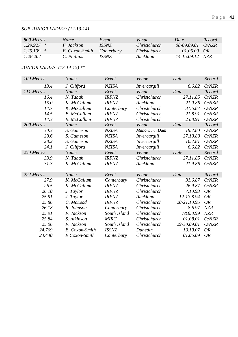### *SUB JUNIOR LADIES: (12-13-14)*

| 800 Metres   | Name.             | Event        | <i>Venue</i> | Date            | Record |
|--------------|-------------------|--------------|--------------|-----------------|--------|
| $1.29.927$ * | <i>F. Jackson</i> | <i>ISSNZ</i> | Christchurch | 08-09.09.01     | ONZR   |
| $1.25.109$ * | E. Coxon-Smith    | Canterbury   | Christchurch | 01.06.09        | OR     |
| 1:28.207     | C. Phillips       | ISSNZ.       | Auckland     | 14-15.09.12 NZR |        |

### *JUNIOR LADIES: (13-14-15) \*\**

| 100 Metres | Name               | Event        | Venue         | Date        | Record    |
|------------|--------------------|--------------|---------------|-------------|-----------|
| 13.4       | J. Clifford        | <b>NZISA</b> | Invercargill  | 6.6.82      | O/NZR     |
| 111 Metres | Name               | Event        | Venue         | Date        | Record    |
| 16.4       | N. Tabak           | <b>IRFNZ</b> | Christchurch  | 27.11.85    | O/NZR     |
| 15.0       | K. McCallum        | <b>IRFNZ</b> | Auckland      | 21.9.86     | O/NZR     |
| 14.7       | K. McCallum        | Canterbury   | Christchurch  | 31.6.87     | O/NZR     |
| 14.5       | <b>B.</b> McCallum | <b>IRFNZ</b> | Christchurch  | 21.8.91     | O/NZR     |
| 14.3       | <b>B.</b> McCallum | <b>IRFNZ</b> | Christchurch  | 23.8.91     | O/NZR     |
| 200 Metres | Name               | Event        | Venue         | Date        | Record    |
| 30.3       | S. Gameson         | <b>NZISA</b> | Manorburn Dam | 19.7.80     | O/NZR     |
| 29.6       | S. Gameson         | <b>NZISA</b> | Invercargill  | 27.10.80    | O/NZR     |
| 28.2       | S. Gameson         | <b>NZISA</b> | Invercargill  | 16.7.81     | O/NZR     |
| 24.1       | J. Clifford        | <b>NZISA</b> | Invercargill  | 6.6.82      | O/NZR     |
| 250 Metres | Name               | Event        | Venue         | Date        | Record    |
| 33.9       | N. Tabak           | <b>IRFNZ</b> | Christchurch  | 27.11.85    | O/NZR     |
| 31.3       | K. McCallum        | <b>IRFNZ</b> | Auckland      | 21.9.86     | O/NZR     |
| 222 Metres | Name               | Event        | Venue         | Date        | Record    |
| 27.9       | K. McCallum        | Canterbury   | Christchurch  | 31.6.87     | O/NZR     |
| 26.5       | K. McCallum        | <b>IRFNZ</b> | Christchurch  | 26.9.87     | O/NZR     |
| 26.10      | J. Taylor          | <b>IRFNZ</b> | Christchurch  | 7.10.93     | <b>OR</b> |
| 25.91      | J. Taylor          | <b>IRFNZ</b> | Auckland      | 12-13.8.94  | <b>OR</b> |
| 25.86      | C. McLeod          | <b>IRFNZ</b> | Christchurch  | 20-21.10.95 | <b>OR</b> |
| 26.18      | R. Johnson         | Canterbury   | Christchurch  | 8.6.97      | NZR       |
| 25.91      | F. Jackson         | South Island | Christchurch  | 7&8.8.99    | NZR       |
| 25.84      | S. Atkinson        | <b>MIRC</b>  | Christchurch  | 01.08.01    | O/NZR     |
| 25.06      | F. Jackson         | South Island | Christchurch  | 29-30.09.01 | O/NZR     |
| 24.769     | E. Coxon-Smith     | <b>ISSNZ</b> | Dunedin       | 13.10.07    | <b>OR</b> |
| 24.440     | E Coxon-Smith      | Canterbury   | Christchurch  | 01.06.09    | <b>OR</b> |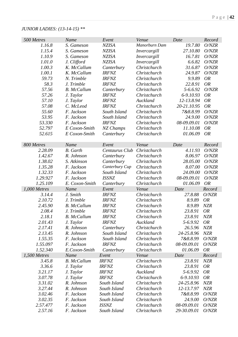# *JUNIOR LADIES: (13-14-15) \*\**

| 500 Metres   | Name               | Event          | Venue         | Date        | Record     |
|--------------|--------------------|----------------|---------------|-------------|------------|
| 1.16.8       | S. Gameson         | <b>NZISA</b>   | Manorburn Dam | 19.7.80     | O/NZR      |
| 1.15.4       | S. Gameson         | <b>NZISA</b>   | Invercargill  | 27.10.80    | O/NZR      |
| 1.10.9       | S. Gameson         | <b>NZISA</b>   | Invercargill  | 16.7.81     | O/NZR      |
| 1.01.0       | J. Clifford        | <b>NZISA</b>   | Invercargill  | 6.6.82      | O/NZR      |
| 1.00.3       | K. McCallum        | Canterbury     | Christchurch  | 31.6.87     | O/NZR      |
| 1.00.1       | K. McCallum        | <b>IRFNZ</b>   | Christchurch  | 24.9.87     | O/NZR      |
| 59.73        | N. Trimble         | <b>IRFNZ</b>   | Christchurch  | 9.9.89      | <b>OR</b>  |
| 58.3         | J. Trimble         | <b>IRFNZ</b>   | Christchurch  | 22.8.91     | <b>OR</b>  |
| 57.56        | <b>B.</b> McCallum | Canterbury     | Christchurch  | 5-6.6.92    | O/NZR      |
| 57.26        | J. Taylor          | <b>IRFNZ</b>   | Christchurch  | 6-9.10.93   | <b>OR</b>  |
| 57.10        | J. Taylor          | <b>IRFNZ</b>   | Auckland      | 12-13.8.94  | <b>OR</b>  |
| 57.08        | C. McLeod          | <b>IRFNZ</b>   | Christchurch  | 20-21.10.95 | <b>OR</b>  |
| 55.60        | F. Jackson         | South Island   | Christchurch  | 7&8.8.99    | O/NZR      |
| 53.95        | F. Jackson         | South Island   | Christchurch  | 24.9.00     | O/NZR      |
| 53.330       | F. Jackson         | <b>IRFNZ</b>   | Christchurch  | 08-09.09.01 | O/NZR      |
| 52.797       | E Coxon-Smith      | NZ Champs      | Christchurch  | 11.10.08    | <b>OR</b>  |
| 52.615       | E Coxon-Smith      | Canterbury     | Christchurch  | 01.06.09    | <b>OR</b>  |
|              |                    |                |               |             |            |
| 800 Metres   | Name               | Event          | Venue         | Date        | Record     |
| 2.28.09      | <b>B.</b> Garth    | Centaurus Club | Christchurch  | 4.11.93     | O/NZR      |
| 1.42.67      | R. Johnson         | Canterbury     | Christchurch  | 8.06.97     | O/NZR      |
| 1.38.02      | S. Atkinson        | Canterbury     | Christchurch  | 28.05.00    | O/NZR      |
| 1.35.28      | F. Jackson         | Canterbury Cup | Christchurch  | 8.07.00     | O/NZR      |
| 1.32.33      | F. Jackson         | South Island   | Christchurch  | 24.09.00    | O/NZR      |
| 1.29.927     | F. Jackson         | <b>ISSNZ</b>   | Christchurch  | 08-09.09.01 | O/NZR      |
| 1.25.109     | E. Coxon-Smith     | Canterbury     | Christchurch  | 01.06.09    | <b>OR</b>  |
| 1,000 Metres | Name               | Event          | Venue         | Date        | Record     |
| 3.14.4       | J. Smith           | <b>IRFNZ</b>   | Christchurch  | 27.8.88     | O/NZR      |
| 2.10.72      | J. Trimble         | <b>IRFNZ</b>   | Christchurch  | 8.9.89      | <b>OR</b>  |
| 2.45.90      | <b>B.</b> McCallum | <b>IRFNZ</b>   | Christchurch  | 8.9.89      | NZR        |
| 2.08.4       | J. Trimble         | <b>IRFNZ</b>   | Christchurch  | 23.8.91     | <b>OR</b>  |
| 2.18.1       | <b>B.</b> McCallum | <b>IRFNZ</b>   | Christchurch  | 23.8.91     | NZR        |
| 2.01.43      | J. Taylor          | <b>IRFNZ</b>   | Auckland      | 5-6.9.92    | <b>OR</b>  |
| 2.17.41      | R. Johnson         | Canterbury     | Christchurch  | 26.5.96     | <b>NZR</b> |
| 2.13.45      | R. Johnson         | South Island   | Christchurch  | 24-25.8.96  | <b>NZR</b> |
| 1.55.35      | F. Jackson         | South Island   | Christchurch  | 7&8.8.99    | O/NZR      |
| 1.55.097     | F. Jackson         | <b>IRFNZ</b>   | Christchurch  | 08-09.09.01 | O/NZR      |
| 1.52.340     | E.Coxon-Smith      | Canterbury     | Christchurch  | 01.06.09    | <b>OR</b>  |
| 1,500 Metres | Name               | Event          | Venue         | Date        | Record     |
| 3.45.8       | <b>B.</b> McCallum | <b>IRFNZ</b>   | Christchurch  | 23.8.91     | <b>NZR</b> |
| 3.36.6       | J. Taylor          | <b>IRFNZ</b>   | Christchurch  | 23.8.91     | <b>OR</b>  |
| 3.21.17      | J. Taylor          | <b>IRFNZ</b>   | Auckland      | 5-6.9.92    | <b>OR</b>  |
| 3.07.78      | J. Taylor          | <b>IRFNZ</b>   | Christchurch  | 6-9.10.93   | <b>OR</b>  |
| 3.31.02      | R. Johnson         | South Island   | Christchurch  | 24-25.8.96  | <b>NZR</b> |
| 3.27.44      | R. Johnson         | South Island   | Christchurch  | 12-13.7.97  | <b>NZR</b> |
| 3.02.46      | F. Jackson         | South Island   | Christchurch  | 7&8.8.99    | O/NZR      |
| 3.02.35      | F. Jackson         | South Island   | Christchurch  | 24.9.00     | O/NZR      |
| 2.57.477     | F. Jackson         | <b>ISSNZ</b>   | Christchurch  | 08-09.09.01 | O/NZR      |
| 2.57.16      | F. Jackson         | South Island   | Christchurch  | 29-30.09.01 | O/NZR      |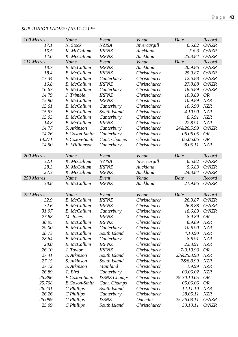# P a g e | **43**

### *SUB JUNIOR LADIES: (10-11-12) \*\**

| 100 Metres       | Name                                     | Event                           | Venue                        | Date                    | Record                   |
|------------------|------------------------------------------|---------------------------------|------------------------------|-------------------------|--------------------------|
| 17.1             | N. Stock                                 | <b>NZISA</b>                    | Invercargill                 | 6.6.82                  | O/NZR                    |
| 15.5             | K. McCallum                              | <b>IRFNZ</b>                    | Auckland                     | 5.6.3                   | O/NZR                    |
| 14.6             | K. McCallum                              | <b>IRFNZ</b>                    | Auckland                     | 25.8.84                 | O/NZR                    |
| 111 Metres       | Name                                     | Event                           | Venue                        | Date                    | Record                   |
| 18.7             | <b>B.</b> McCallum                       | <b>IRFNZ</b>                    | Auckland                     | 20.9.86                 | O/NZR                    |
| 18.4             | <b>B.</b> McCallum                       | <b>IRFNZ</b>                    | Christchurch                 | 25.9.87                 | O/NZR                    |
| 17.34            | <b>B.</b> McCallum                       | Canterbury                      | Christchurch                 | 12.6.88                 | O/NZR                    |
| 16.8             | <b>B.</b> McCallum                       | <b>IRFNZ</b>                    | Christchurch                 | 27.8.88                 | O/NZR                    |
| 16.67            | <b>B.</b> McCallum                       | Canterbury                      | Christchurch                 | 18.6.89                 | O/NZR                    |
| 14.79            | J. Trimble                               | <b>IRFNZ</b>                    | Christchurch                 | 10.9.89                 | <b>OR</b>                |
| 15.90            | <b>B.</b> McCallum                       | <b>IRFNZ</b>                    | Christchurch                 | 10.9.89                 | <b>NZR</b>               |
| 15.61            | <b>B.</b> McCallum                       | Canterbury                      | Christchurch                 | 10.6.90                 | <b>NZR</b>               |
| 15.53            | <b>B.</b> McCallum                       | South Island                    | Christchurch                 | 4.10.90                 | <b>NZR</b>               |
| 15.03            | <b>B.</b> McCallum                       | Canterbury                      | Christchurch                 | 8.6.91                  | <b>NZR</b>               |
| 14.8             | <b>B.</b> McCallum                       | <b>IRFNZ</b>                    | Christchurch                 | 22.8.91                 | <b>NZR</b>               |
| 14.77            | S. Atkinson                              | Canterbury                      | Christchurch                 | 24&26.5.99              | O/NZR                    |
| 14.76            | E.Coxon-Smith                            | Canterbury                      | Christchurch                 | 06.06.05                | <b>OR</b>                |
| 14.271           | E.Coxon-Smith                            | Cant. Champs                    | Christchurch                 | 05.06.06                | <b>OR</b>                |
| 14.50            | F. Williamson                            | Canterbury                      | Christchurch                 | 28.05.11                | <b>NZR</b>               |
|                  |                                          |                                 |                              |                         |                          |
| 200 Metres       | Name                                     | Event                           | Venue                        | Date                    | Record                   |
| 32.1             | K. McCallum                              | <b>NZISA</b>                    | Invercargill                 | 6.6.82                  | O/NZR                    |
| 28.3             | K. McCallum                              | <b>IRFNZ</b>                    | Auckland                     | 5.6.83                  | O/NZR                    |
| 27.3             | K. McCallum                              | <b>IRFNZ</b>                    | Auckland                     | 24.8.84                 | O/NZR                    |
| 250 Metres       | Name                                     | Event                           | Venue                        | Date                    | Record                   |
| 38.8             | <b>B.</b> McCallum                       | <b>IRFNZ</b>                    | Auckland                     | 21.9.86                 | O/NZR                    |
|                  |                                          |                                 |                              |                         |                          |
| 222 Metres       | Name                                     | Event                           | Venue                        | Date                    | Record                   |
| 32.9             | <b>B.</b> McCallum                       | <b>IRFNZ</b>                    | Christchurch                 | 26.9.87                 | O/NZR                    |
| 32.6             | <b>B.</b> McCallum                       | <b>IRFNZ</b>                    | Christchurch                 | 26.8.88                 | O/NZR                    |
| 31.97            | <b>B.</b> McCallum                       | Canterbury                      | Christchurch                 | 18.6.89                 | O/NZR                    |
| 27.88            | M. Jones                                 | <b>IRFNZ</b>                    | Christchurch                 | 8.9.89                  | <b>OR</b>                |
| 30.95            | <b>B.</b> McCallum                       | <b>IRFNZ</b>                    | Christchurch                 | 8.9.89                  | <b>NZR</b>               |
| 29.00            | <b>B.</b> McCallum                       | Canterbury                      | Christchurch                 | 10.6.90                 | <b>NZR</b>               |
| 28.73            | <b>B.</b> McCallum                       | South Island                    | Christchurch                 | 4.10.90                 | <b>NZR</b>               |
| 28.64            | <b>B.</b> McCallum<br><b>B.</b> McCallum | Canterbury                      | Christchurch<br>Christchurch | 8.6.91                  | <b>NZR</b>               |
| 28.0             |                                          | <b>IRFNZ</b>                    |                              | 22.8.91                 | <b>NZR</b>               |
| 26.10            | J. Taylor<br>S. Atkinson                 | <b>IRFNZ</b>                    | Christchurch                 | 7-9.10.93               | <b>OR</b>                |
| 27.41<br>27.15   |                                          | South Island                    | Christchurch<br>Christchurch | 23&25.8.98<br>7&8.8.99  | <b>NZR</b>               |
| 27.12            | S. Atkinson                              | South Island<br><b>Mainland</b> |                              |                         | <b>NZR</b>               |
| 26.89            | S. Atkinson<br>T. Bird                   | Canterbury                      | Christchurch<br>Christchurch | 1.9.99<br>03.06.02      | <b>NZR</b><br><b>NZR</b> |
|                  |                                          |                                 |                              |                         |                          |
| 25.896<br>25.708 | E.Coxon-Smith                            | <b>ISSNZ Champs</b>             | Christchurch<br>Christchurch | 29-30.10.05<br>05.06.06 | <b>OR</b><br><b>OR</b>   |
|                  | E.Coxon-Smith                            | Cant. Champs                    |                              |                         |                          |
| 26.731<br>26.26  | C Phillips                               | South Island                    | Christchurch                 | 12.11.10                | <b>NZR</b><br><b>NZR</b> |
| 25.099           | C Phillips                               | Canterbury<br><b>ISSNZ</b>      | Christchurch<br>Dunedin      | 28.05.11<br>25-26.08.11 | O/NZR                    |
| 25.09            | C Phillips                               | South Island                    | Christchurch                 | 30.10.11                | O/NZR                    |
|                  | C Phillips                               |                                 |                              |                         |                          |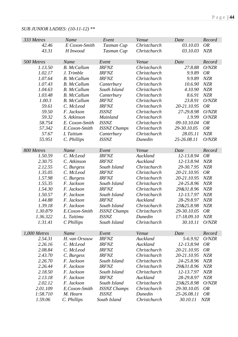### *SUB JUNIOR LADIES: (10-11-12) \*\**

| E Coxon-Smith<br>Christchurch<br>03.10.03<br><b>OR</b><br>42.46<br>Tasman Cup<br>43.31<br>Christchurch<br>03.10.03<br><b>NZR</b><br>H Inwood<br>Tasman Cup<br>500 Metres<br>Name<br>Event<br>Venue<br>Date<br>Record<br>Christchurch<br>1.13.50<br><b>B.</b> McCallum<br><b>IRFNZ</b><br>27.8.88<br>O/NZR<br><b>OR</b><br>1.02.17<br><b>IRFNZ</b><br>Christchurch<br>9.9.89<br>J. Trimble<br>9.9.89<br>1.07.64<br><b>B.</b> McCallum<br><b>IRFNZ</b><br>Christchurch<br><b>NZR</b><br>1.07.43<br><b>B.</b> McCallum<br>Christchurch<br>10.6.90<br><b>NZR</b><br>Canterbury<br>1.04.63<br>South Island<br>Christchurch<br>4.10.90<br><b>NZR</b><br><b>B.</b> McCallum<br>1.03.48<br>NZR<br><b>B.</b> McCallum<br>Christchurch<br>8.6.91<br>Canterbury<br>1.00.3<br>23.8.91<br><b>B.</b> McCallum<br>Christchurch<br>O/NZR<br><b>IRFNZ</b><br>59.61<br>20-21.10.95<br><b>OR</b><br><b>IRFNZ</b><br>Christchurch<br>C. McLeod<br>59.50<br><b>ISSNZ</b><br>Christchurch<br>27-29.8.98<br>O/NZR<br>F. Jackson<br>59.32<br>S. Atkinson<br>1.9.99<br>O/NZR<br>Mainland<br>Christchurch<br>58.754<br>E. Coxon-Smith<br><b>ISSNZ</b><br>Christchurch<br>09-10.10.04<br><b>OR</b><br><b>OR</b><br>57.342<br>Christchurch<br>29-30.10.05<br>E.Coxon-Smith<br><b>ISSNZ Champs</b><br>57.67<br>28.05.11<br>L Taitium<br>Christchurch<br><b>NZR</b><br>Canterbury<br>25-26.08.11<br>O/NZR<br>55.951<br>C. Phillips<br><b>ISSNZ</b><br>Dunedin<br>800 Metres<br>Name<br>Event<br>Venue<br>Date<br>Record<br>12-13.8.94<br>1.50.59<br>C. McLeod<br><b>IRFNZ</b><br>Auckland<br><b>OR</b><br>12-13.8.94<br>2.30.75<br>C. Atkinson<br><b>IRFNZ</b><br>Auckland<br><b>NZR</b><br>2.12.55<br>29-30.7.95<br>NZR<br>South Island<br>Christchurch<br>C. Burgess<br>1.35.05<br>C. McLeod<br>20-21.10.95<br><b>IRFNZ</b><br>Christchurch<br><b>OR</b><br>20-21.10.95<br>1.57.98<br>C. Burgess<br><b>IRFNZ</b><br>Christchurch<br><b>NZR</b><br>1.55.35<br>Christchurch<br>24-25.8.96<br><b>NZR</b><br>F. Jackson<br>South Island<br>1.54.30<br>F. Jackson<br><b>IRFNZ</b><br>29&31.8.96<br><b>NZR</b><br>Christchurch<br>1.50.57<br>12-13.7.97<br>F. Jackson<br>South Island<br>Christchurch<br><b>NZR</b><br>1.44.88<br>F. Jackson<br><b>IRFNZ</b><br>Auckland<br>28-29.8.97<br><b>NZR</b><br>23&25.8.98<br>NZR<br>1.39.18<br>F. Jackson<br>South Island<br>Christchurch<br>1.30.879<br>29-30.10.05<br>E.Coxon-Smith<br><b>ISSNZ Champs</b><br><b>OR</b><br>Christchurch<br>1.36.322<br>17-18.09.10<br>L. Taitimu<br><i>ISSNZ</i><br>Dunedin<br><b>NZR</b><br>1:31.41<br>C Phillips<br>Christchurch<br>30.10.11<br>O/NZR<br>South Island<br>$1,000$ Metres<br>Name<br>Event<br>Venue<br>Date<br>Record<br><b>IRFNZ</b><br>Auckland<br>5-6.9.92<br>O/NZR<br>2.54.31<br>H. van Orsouw<br>2.26.16<br>C. McLeod<br>Auckland<br>12-13.8.94<br><b>OR</b><br><b>IRFNZ</b><br>C. McLeod<br>Christchurch<br>20-21.10.95<br>2.08.84<br><b>IRFNZ</b><br>OR<br>Christchurch<br>20-21.10.95<br>2.43.70<br>C. Burgess<br><b>IRFNZ</b><br><b>NZR</b><br>2.26.70<br>F. Jackson<br>Christchurch<br>24-25.8.96<br><b>NZR</b><br>South Island<br>2.26.44<br>F. Jackson<br>Christchurch<br>29&31.8.96<br><b>NZR</b><br><b>IRFNZ</b><br>2.18.50<br>12-13.7.97<br><b>NZR</b><br>F. Jackson<br>South Island<br>Christchurch<br>NZR<br>2.13.18<br><b>IRFNZ</b><br>28-29.8.97<br>F. Jackson<br>Auckland | 333 Metres | Name       | Event        | Venue        | Date       | Record |
|--------------------------------------------------------------------------------------------------------------------------------------------------------------------------------------------------------------------------------------------------------------------------------------------------------------------------------------------------------------------------------------------------------------------------------------------------------------------------------------------------------------------------------------------------------------------------------------------------------------------------------------------------------------------------------------------------------------------------------------------------------------------------------------------------------------------------------------------------------------------------------------------------------------------------------------------------------------------------------------------------------------------------------------------------------------------------------------------------------------------------------------------------------------------------------------------------------------------------------------------------------------------------------------------------------------------------------------------------------------------------------------------------------------------------------------------------------------------------------------------------------------------------------------------------------------------------------------------------------------------------------------------------------------------------------------------------------------------------------------------------------------------------------------------------------------------------------------------------------------------------------------------------------------------------------------------------------------------------------------------------------------------------------------------------------------------------------------------------------------------------------------------------------------------------------------------------------------------------------------------------------------------------------------------------------------------------------------------------------------------------------------------------------------------------------------------------------------------------------------------------------------------------------------------------------------------------------------------------------------------------------------------------------------------------------------------------------------------------------------------------------------------------------------------------------------------------------------------------------------------------------------------------------------------------------------------------------------------------------------------------------------------------------------------------------------------------------------------------------------------------------------------------------------------------------------------------------------------------------------------------------------------------------------------------------------------------------------------------------|------------|------------|--------------|--------------|------------|--------|
|                                                                                                                                                                                                                                                                                                                                                                                                                                                                                                                                                                                                                                                                                                                                                                                                                                                                                                                                                                                                                                                                                                                                                                                                                                                                                                                                                                                                                                                                                                                                                                                                                                                                                                                                                                                                                                                                                                                                                                                                                                                                                                                                                                                                                                                                                                                                                                                                                                                                                                                                                                                                                                                                                                                                                                                                                                                                                                                                                                                                                                                                                                                                                                                                                                                                                                                                                        |            |            |              |              |            |        |
|                                                                                                                                                                                                                                                                                                                                                                                                                                                                                                                                                                                                                                                                                                                                                                                                                                                                                                                                                                                                                                                                                                                                                                                                                                                                                                                                                                                                                                                                                                                                                                                                                                                                                                                                                                                                                                                                                                                                                                                                                                                                                                                                                                                                                                                                                                                                                                                                                                                                                                                                                                                                                                                                                                                                                                                                                                                                                                                                                                                                                                                                                                                                                                                                                                                                                                                                                        |            |            |              |              |            |        |
|                                                                                                                                                                                                                                                                                                                                                                                                                                                                                                                                                                                                                                                                                                                                                                                                                                                                                                                                                                                                                                                                                                                                                                                                                                                                                                                                                                                                                                                                                                                                                                                                                                                                                                                                                                                                                                                                                                                                                                                                                                                                                                                                                                                                                                                                                                                                                                                                                                                                                                                                                                                                                                                                                                                                                                                                                                                                                                                                                                                                                                                                                                                                                                                                                                                                                                                                                        |            |            |              |              |            |        |
|                                                                                                                                                                                                                                                                                                                                                                                                                                                                                                                                                                                                                                                                                                                                                                                                                                                                                                                                                                                                                                                                                                                                                                                                                                                                                                                                                                                                                                                                                                                                                                                                                                                                                                                                                                                                                                                                                                                                                                                                                                                                                                                                                                                                                                                                                                                                                                                                                                                                                                                                                                                                                                                                                                                                                                                                                                                                                                                                                                                                                                                                                                                                                                                                                                                                                                                                                        |            |            |              |              |            |        |
|                                                                                                                                                                                                                                                                                                                                                                                                                                                                                                                                                                                                                                                                                                                                                                                                                                                                                                                                                                                                                                                                                                                                                                                                                                                                                                                                                                                                                                                                                                                                                                                                                                                                                                                                                                                                                                                                                                                                                                                                                                                                                                                                                                                                                                                                                                                                                                                                                                                                                                                                                                                                                                                                                                                                                                                                                                                                                                                                                                                                                                                                                                                                                                                                                                                                                                                                                        |            |            |              |              |            |        |
|                                                                                                                                                                                                                                                                                                                                                                                                                                                                                                                                                                                                                                                                                                                                                                                                                                                                                                                                                                                                                                                                                                                                                                                                                                                                                                                                                                                                                                                                                                                                                                                                                                                                                                                                                                                                                                                                                                                                                                                                                                                                                                                                                                                                                                                                                                                                                                                                                                                                                                                                                                                                                                                                                                                                                                                                                                                                                                                                                                                                                                                                                                                                                                                                                                                                                                                                                        |            |            |              |              |            |        |
|                                                                                                                                                                                                                                                                                                                                                                                                                                                                                                                                                                                                                                                                                                                                                                                                                                                                                                                                                                                                                                                                                                                                                                                                                                                                                                                                                                                                                                                                                                                                                                                                                                                                                                                                                                                                                                                                                                                                                                                                                                                                                                                                                                                                                                                                                                                                                                                                                                                                                                                                                                                                                                                                                                                                                                                                                                                                                                                                                                                                                                                                                                                                                                                                                                                                                                                                                        |            |            |              |              |            |        |
|                                                                                                                                                                                                                                                                                                                                                                                                                                                                                                                                                                                                                                                                                                                                                                                                                                                                                                                                                                                                                                                                                                                                                                                                                                                                                                                                                                                                                                                                                                                                                                                                                                                                                                                                                                                                                                                                                                                                                                                                                                                                                                                                                                                                                                                                                                                                                                                                                                                                                                                                                                                                                                                                                                                                                                                                                                                                                                                                                                                                                                                                                                                                                                                                                                                                                                                                                        |            |            |              |              |            |        |
|                                                                                                                                                                                                                                                                                                                                                                                                                                                                                                                                                                                                                                                                                                                                                                                                                                                                                                                                                                                                                                                                                                                                                                                                                                                                                                                                                                                                                                                                                                                                                                                                                                                                                                                                                                                                                                                                                                                                                                                                                                                                                                                                                                                                                                                                                                                                                                                                                                                                                                                                                                                                                                                                                                                                                                                                                                                                                                                                                                                                                                                                                                                                                                                                                                                                                                                                                        |            |            |              |              |            |        |
|                                                                                                                                                                                                                                                                                                                                                                                                                                                                                                                                                                                                                                                                                                                                                                                                                                                                                                                                                                                                                                                                                                                                                                                                                                                                                                                                                                                                                                                                                                                                                                                                                                                                                                                                                                                                                                                                                                                                                                                                                                                                                                                                                                                                                                                                                                                                                                                                                                                                                                                                                                                                                                                                                                                                                                                                                                                                                                                                                                                                                                                                                                                                                                                                                                                                                                                                                        |            |            |              |              |            |        |
|                                                                                                                                                                                                                                                                                                                                                                                                                                                                                                                                                                                                                                                                                                                                                                                                                                                                                                                                                                                                                                                                                                                                                                                                                                                                                                                                                                                                                                                                                                                                                                                                                                                                                                                                                                                                                                                                                                                                                                                                                                                                                                                                                                                                                                                                                                                                                                                                                                                                                                                                                                                                                                                                                                                                                                                                                                                                                                                                                                                                                                                                                                                                                                                                                                                                                                                                                        |            |            |              |              |            |        |
|                                                                                                                                                                                                                                                                                                                                                                                                                                                                                                                                                                                                                                                                                                                                                                                                                                                                                                                                                                                                                                                                                                                                                                                                                                                                                                                                                                                                                                                                                                                                                                                                                                                                                                                                                                                                                                                                                                                                                                                                                                                                                                                                                                                                                                                                                                                                                                                                                                                                                                                                                                                                                                                                                                                                                                                                                                                                                                                                                                                                                                                                                                                                                                                                                                                                                                                                                        |            |            |              |              |            |        |
|                                                                                                                                                                                                                                                                                                                                                                                                                                                                                                                                                                                                                                                                                                                                                                                                                                                                                                                                                                                                                                                                                                                                                                                                                                                                                                                                                                                                                                                                                                                                                                                                                                                                                                                                                                                                                                                                                                                                                                                                                                                                                                                                                                                                                                                                                                                                                                                                                                                                                                                                                                                                                                                                                                                                                                                                                                                                                                                                                                                                                                                                                                                                                                                                                                                                                                                                                        |            |            |              |              |            |        |
|                                                                                                                                                                                                                                                                                                                                                                                                                                                                                                                                                                                                                                                                                                                                                                                                                                                                                                                                                                                                                                                                                                                                                                                                                                                                                                                                                                                                                                                                                                                                                                                                                                                                                                                                                                                                                                                                                                                                                                                                                                                                                                                                                                                                                                                                                                                                                                                                                                                                                                                                                                                                                                                                                                                                                                                                                                                                                                                                                                                                                                                                                                                                                                                                                                                                                                                                                        |            |            |              |              |            |        |
|                                                                                                                                                                                                                                                                                                                                                                                                                                                                                                                                                                                                                                                                                                                                                                                                                                                                                                                                                                                                                                                                                                                                                                                                                                                                                                                                                                                                                                                                                                                                                                                                                                                                                                                                                                                                                                                                                                                                                                                                                                                                                                                                                                                                                                                                                                                                                                                                                                                                                                                                                                                                                                                                                                                                                                                                                                                                                                                                                                                                                                                                                                                                                                                                                                                                                                                                                        |            |            |              |              |            |        |
|                                                                                                                                                                                                                                                                                                                                                                                                                                                                                                                                                                                                                                                                                                                                                                                                                                                                                                                                                                                                                                                                                                                                                                                                                                                                                                                                                                                                                                                                                                                                                                                                                                                                                                                                                                                                                                                                                                                                                                                                                                                                                                                                                                                                                                                                                                                                                                                                                                                                                                                                                                                                                                                                                                                                                                                                                                                                                                                                                                                                                                                                                                                                                                                                                                                                                                                                                        |            |            |              |              |            |        |
|                                                                                                                                                                                                                                                                                                                                                                                                                                                                                                                                                                                                                                                                                                                                                                                                                                                                                                                                                                                                                                                                                                                                                                                                                                                                                                                                                                                                                                                                                                                                                                                                                                                                                                                                                                                                                                                                                                                                                                                                                                                                                                                                                                                                                                                                                                                                                                                                                                                                                                                                                                                                                                                                                                                                                                                                                                                                                                                                                                                                                                                                                                                                                                                                                                                                                                                                                        |            |            |              |              |            |        |
|                                                                                                                                                                                                                                                                                                                                                                                                                                                                                                                                                                                                                                                                                                                                                                                                                                                                                                                                                                                                                                                                                                                                                                                                                                                                                                                                                                                                                                                                                                                                                                                                                                                                                                                                                                                                                                                                                                                                                                                                                                                                                                                                                                                                                                                                                                                                                                                                                                                                                                                                                                                                                                                                                                                                                                                                                                                                                                                                                                                                                                                                                                                                                                                                                                                                                                                                                        |            |            |              |              |            |        |
|                                                                                                                                                                                                                                                                                                                                                                                                                                                                                                                                                                                                                                                                                                                                                                                                                                                                                                                                                                                                                                                                                                                                                                                                                                                                                                                                                                                                                                                                                                                                                                                                                                                                                                                                                                                                                                                                                                                                                                                                                                                                                                                                                                                                                                                                                                                                                                                                                                                                                                                                                                                                                                                                                                                                                                                                                                                                                                                                                                                                                                                                                                                                                                                                                                                                                                                                                        |            |            |              |              |            |        |
|                                                                                                                                                                                                                                                                                                                                                                                                                                                                                                                                                                                                                                                                                                                                                                                                                                                                                                                                                                                                                                                                                                                                                                                                                                                                                                                                                                                                                                                                                                                                                                                                                                                                                                                                                                                                                                                                                                                                                                                                                                                                                                                                                                                                                                                                                                                                                                                                                                                                                                                                                                                                                                                                                                                                                                                                                                                                                                                                                                                                                                                                                                                                                                                                                                                                                                                                                        |            |            |              |              |            |        |
|                                                                                                                                                                                                                                                                                                                                                                                                                                                                                                                                                                                                                                                                                                                                                                                                                                                                                                                                                                                                                                                                                                                                                                                                                                                                                                                                                                                                                                                                                                                                                                                                                                                                                                                                                                                                                                                                                                                                                                                                                                                                                                                                                                                                                                                                                                                                                                                                                                                                                                                                                                                                                                                                                                                                                                                                                                                                                                                                                                                                                                                                                                                                                                                                                                                                                                                                                        |            |            |              |              |            |        |
|                                                                                                                                                                                                                                                                                                                                                                                                                                                                                                                                                                                                                                                                                                                                                                                                                                                                                                                                                                                                                                                                                                                                                                                                                                                                                                                                                                                                                                                                                                                                                                                                                                                                                                                                                                                                                                                                                                                                                                                                                                                                                                                                                                                                                                                                                                                                                                                                                                                                                                                                                                                                                                                                                                                                                                                                                                                                                                                                                                                                                                                                                                                                                                                                                                                                                                                                                        |            |            |              |              |            |        |
|                                                                                                                                                                                                                                                                                                                                                                                                                                                                                                                                                                                                                                                                                                                                                                                                                                                                                                                                                                                                                                                                                                                                                                                                                                                                                                                                                                                                                                                                                                                                                                                                                                                                                                                                                                                                                                                                                                                                                                                                                                                                                                                                                                                                                                                                                                                                                                                                                                                                                                                                                                                                                                                                                                                                                                                                                                                                                                                                                                                                                                                                                                                                                                                                                                                                                                                                                        |            |            |              |              |            |        |
|                                                                                                                                                                                                                                                                                                                                                                                                                                                                                                                                                                                                                                                                                                                                                                                                                                                                                                                                                                                                                                                                                                                                                                                                                                                                                                                                                                                                                                                                                                                                                                                                                                                                                                                                                                                                                                                                                                                                                                                                                                                                                                                                                                                                                                                                                                                                                                                                                                                                                                                                                                                                                                                                                                                                                                                                                                                                                                                                                                                                                                                                                                                                                                                                                                                                                                                                                        |            |            |              |              |            |        |
|                                                                                                                                                                                                                                                                                                                                                                                                                                                                                                                                                                                                                                                                                                                                                                                                                                                                                                                                                                                                                                                                                                                                                                                                                                                                                                                                                                                                                                                                                                                                                                                                                                                                                                                                                                                                                                                                                                                                                                                                                                                                                                                                                                                                                                                                                                                                                                                                                                                                                                                                                                                                                                                                                                                                                                                                                                                                                                                                                                                                                                                                                                                                                                                                                                                                                                                                                        |            |            |              |              |            |        |
|                                                                                                                                                                                                                                                                                                                                                                                                                                                                                                                                                                                                                                                                                                                                                                                                                                                                                                                                                                                                                                                                                                                                                                                                                                                                                                                                                                                                                                                                                                                                                                                                                                                                                                                                                                                                                                                                                                                                                                                                                                                                                                                                                                                                                                                                                                                                                                                                                                                                                                                                                                                                                                                                                                                                                                                                                                                                                                                                                                                                                                                                                                                                                                                                                                                                                                                                                        |            |            |              |              |            |        |
|                                                                                                                                                                                                                                                                                                                                                                                                                                                                                                                                                                                                                                                                                                                                                                                                                                                                                                                                                                                                                                                                                                                                                                                                                                                                                                                                                                                                                                                                                                                                                                                                                                                                                                                                                                                                                                                                                                                                                                                                                                                                                                                                                                                                                                                                                                                                                                                                                                                                                                                                                                                                                                                                                                                                                                                                                                                                                                                                                                                                                                                                                                                                                                                                                                                                                                                                                        |            |            |              |              |            |        |
|                                                                                                                                                                                                                                                                                                                                                                                                                                                                                                                                                                                                                                                                                                                                                                                                                                                                                                                                                                                                                                                                                                                                                                                                                                                                                                                                                                                                                                                                                                                                                                                                                                                                                                                                                                                                                                                                                                                                                                                                                                                                                                                                                                                                                                                                                                                                                                                                                                                                                                                                                                                                                                                                                                                                                                                                                                                                                                                                                                                                                                                                                                                                                                                                                                                                                                                                                        |            |            |              |              |            |        |
|                                                                                                                                                                                                                                                                                                                                                                                                                                                                                                                                                                                                                                                                                                                                                                                                                                                                                                                                                                                                                                                                                                                                                                                                                                                                                                                                                                                                                                                                                                                                                                                                                                                                                                                                                                                                                                                                                                                                                                                                                                                                                                                                                                                                                                                                                                                                                                                                                                                                                                                                                                                                                                                                                                                                                                                                                                                                                                                                                                                                                                                                                                                                                                                                                                                                                                                                                        |            |            |              |              |            |        |
|                                                                                                                                                                                                                                                                                                                                                                                                                                                                                                                                                                                                                                                                                                                                                                                                                                                                                                                                                                                                                                                                                                                                                                                                                                                                                                                                                                                                                                                                                                                                                                                                                                                                                                                                                                                                                                                                                                                                                                                                                                                                                                                                                                                                                                                                                                                                                                                                                                                                                                                                                                                                                                                                                                                                                                                                                                                                                                                                                                                                                                                                                                                                                                                                                                                                                                                                                        |            |            |              |              |            |        |
|                                                                                                                                                                                                                                                                                                                                                                                                                                                                                                                                                                                                                                                                                                                                                                                                                                                                                                                                                                                                                                                                                                                                                                                                                                                                                                                                                                                                                                                                                                                                                                                                                                                                                                                                                                                                                                                                                                                                                                                                                                                                                                                                                                                                                                                                                                                                                                                                                                                                                                                                                                                                                                                                                                                                                                                                                                                                                                                                                                                                                                                                                                                                                                                                                                                                                                                                                        |            |            |              |              |            |        |
|                                                                                                                                                                                                                                                                                                                                                                                                                                                                                                                                                                                                                                                                                                                                                                                                                                                                                                                                                                                                                                                                                                                                                                                                                                                                                                                                                                                                                                                                                                                                                                                                                                                                                                                                                                                                                                                                                                                                                                                                                                                                                                                                                                                                                                                                                                                                                                                                                                                                                                                                                                                                                                                                                                                                                                                                                                                                                                                                                                                                                                                                                                                                                                                                                                                                                                                                                        |            |            |              |              |            |        |
|                                                                                                                                                                                                                                                                                                                                                                                                                                                                                                                                                                                                                                                                                                                                                                                                                                                                                                                                                                                                                                                                                                                                                                                                                                                                                                                                                                                                                                                                                                                                                                                                                                                                                                                                                                                                                                                                                                                                                                                                                                                                                                                                                                                                                                                                                                                                                                                                                                                                                                                                                                                                                                                                                                                                                                                                                                                                                                                                                                                                                                                                                                                                                                                                                                                                                                                                                        |            |            |              |              |            |        |
|                                                                                                                                                                                                                                                                                                                                                                                                                                                                                                                                                                                                                                                                                                                                                                                                                                                                                                                                                                                                                                                                                                                                                                                                                                                                                                                                                                                                                                                                                                                                                                                                                                                                                                                                                                                                                                                                                                                                                                                                                                                                                                                                                                                                                                                                                                                                                                                                                                                                                                                                                                                                                                                                                                                                                                                                                                                                                                                                                                                                                                                                                                                                                                                                                                                                                                                                                        |            |            |              |              |            |        |
|                                                                                                                                                                                                                                                                                                                                                                                                                                                                                                                                                                                                                                                                                                                                                                                                                                                                                                                                                                                                                                                                                                                                                                                                                                                                                                                                                                                                                                                                                                                                                                                                                                                                                                                                                                                                                                                                                                                                                                                                                                                                                                                                                                                                                                                                                                                                                                                                                                                                                                                                                                                                                                                                                                                                                                                                                                                                                                                                                                                                                                                                                                                                                                                                                                                                                                                                                        |            |            |              |              |            |        |
|                                                                                                                                                                                                                                                                                                                                                                                                                                                                                                                                                                                                                                                                                                                                                                                                                                                                                                                                                                                                                                                                                                                                                                                                                                                                                                                                                                                                                                                                                                                                                                                                                                                                                                                                                                                                                                                                                                                                                                                                                                                                                                                                                                                                                                                                                                                                                                                                                                                                                                                                                                                                                                                                                                                                                                                                                                                                                                                                                                                                                                                                                                                                                                                                                                                                                                                                                        |            |            |              |              |            |        |
|                                                                                                                                                                                                                                                                                                                                                                                                                                                                                                                                                                                                                                                                                                                                                                                                                                                                                                                                                                                                                                                                                                                                                                                                                                                                                                                                                                                                                                                                                                                                                                                                                                                                                                                                                                                                                                                                                                                                                                                                                                                                                                                                                                                                                                                                                                                                                                                                                                                                                                                                                                                                                                                                                                                                                                                                                                                                                                                                                                                                                                                                                                                                                                                                                                                                                                                                                        |            |            |              |              |            |        |
|                                                                                                                                                                                                                                                                                                                                                                                                                                                                                                                                                                                                                                                                                                                                                                                                                                                                                                                                                                                                                                                                                                                                                                                                                                                                                                                                                                                                                                                                                                                                                                                                                                                                                                                                                                                                                                                                                                                                                                                                                                                                                                                                                                                                                                                                                                                                                                                                                                                                                                                                                                                                                                                                                                                                                                                                                                                                                                                                                                                                                                                                                                                                                                                                                                                                                                                                                        |            |            |              |              |            |        |
|                                                                                                                                                                                                                                                                                                                                                                                                                                                                                                                                                                                                                                                                                                                                                                                                                                                                                                                                                                                                                                                                                                                                                                                                                                                                                                                                                                                                                                                                                                                                                                                                                                                                                                                                                                                                                                                                                                                                                                                                                                                                                                                                                                                                                                                                                                                                                                                                                                                                                                                                                                                                                                                                                                                                                                                                                                                                                                                                                                                                                                                                                                                                                                                                                                                                                                                                                        |            |            |              |              |            |        |
|                                                                                                                                                                                                                                                                                                                                                                                                                                                                                                                                                                                                                                                                                                                                                                                                                                                                                                                                                                                                                                                                                                                                                                                                                                                                                                                                                                                                                                                                                                                                                                                                                                                                                                                                                                                                                                                                                                                                                                                                                                                                                                                                                                                                                                                                                                                                                                                                                                                                                                                                                                                                                                                                                                                                                                                                                                                                                                                                                                                                                                                                                                                                                                                                                                                                                                                                                        |            |            |              |              |            |        |
|                                                                                                                                                                                                                                                                                                                                                                                                                                                                                                                                                                                                                                                                                                                                                                                                                                                                                                                                                                                                                                                                                                                                                                                                                                                                                                                                                                                                                                                                                                                                                                                                                                                                                                                                                                                                                                                                                                                                                                                                                                                                                                                                                                                                                                                                                                                                                                                                                                                                                                                                                                                                                                                                                                                                                                                                                                                                                                                                                                                                                                                                                                                                                                                                                                                                                                                                                        |            |            |              |              |            |        |
|                                                                                                                                                                                                                                                                                                                                                                                                                                                                                                                                                                                                                                                                                                                                                                                                                                                                                                                                                                                                                                                                                                                                                                                                                                                                                                                                                                                                                                                                                                                                                                                                                                                                                                                                                                                                                                                                                                                                                                                                                                                                                                                                                                                                                                                                                                                                                                                                                                                                                                                                                                                                                                                                                                                                                                                                                                                                                                                                                                                                                                                                                                                                                                                                                                                                                                                                                        | 2.02.12    | F. Jackson | South Island | Christchurch | 23&25.8.98 | O/NZR  |
| 2.01.109<br>Christchurch<br>29-30.10.05<br>E.Coxon-Smith<br><b>ISSNZ Champs</b><br><b>OR</b>                                                                                                                                                                                                                                                                                                                                                                                                                                                                                                                                                                                                                                                                                                                                                                                                                                                                                                                                                                                                                                                                                                                                                                                                                                                                                                                                                                                                                                                                                                                                                                                                                                                                                                                                                                                                                                                                                                                                                                                                                                                                                                                                                                                                                                                                                                                                                                                                                                                                                                                                                                                                                                                                                                                                                                                                                                                                                                                                                                                                                                                                                                                                                                                                                                                           |            |            |              |              |            |        |
| <b>ISSNZ</b><br>25-26.08.11<br>1:58.710<br>M. Hearn<br>Dunedin<br><b>OR</b>                                                                                                                                                                                                                                                                                                                                                                                                                                                                                                                                                                                                                                                                                                                                                                                                                                                                                                                                                                                                                                                                                                                                                                                                                                                                                                                                                                                                                                                                                                                                                                                                                                                                                                                                                                                                                                                                                                                                                                                                                                                                                                                                                                                                                                                                                                                                                                                                                                                                                                                                                                                                                                                                                                                                                                                                                                                                                                                                                                                                                                                                                                                                                                                                                                                                            |            |            |              |              |            |        |
| 1.59.06<br>30.10.11<br><b>NZR</b><br>C. Phillips<br>South Island<br>Christchurch                                                                                                                                                                                                                                                                                                                                                                                                                                                                                                                                                                                                                                                                                                                                                                                                                                                                                                                                                                                                                                                                                                                                                                                                                                                                                                                                                                                                                                                                                                                                                                                                                                                                                                                                                                                                                                                                                                                                                                                                                                                                                                                                                                                                                                                                                                                                                                                                                                                                                                                                                                                                                                                                                                                                                                                                                                                                                                                                                                                                                                                                                                                                                                                                                                                                       |            |            |              |              |            |        |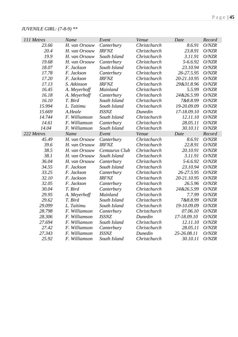# *JUVENILE GIRL: (7-8-9) \*\**

| 111 Metres | Name          | Event          | Venue        | Date        | Record |
|------------|---------------|----------------|--------------|-------------|--------|
| 23.66      | H. van Orsouw | Canterbury     | Christchurch | 8.6.91      | O/NZR  |
| 20.4       | H. van Orsouw | <b>IRFNZ</b>   | Christchurch | 23.8.91     | O/NZR  |
| 19.9       | H. van Orsouw | South Island   | Christchurch | 3.11.91     | O/NZR  |
| 19.68      | H. van Orsouw | Canterbury     | Christchurch | 5-6.6.92    | O/NZR  |
| 18.07      | F. Jackson    | South Island   | Christchurch | 23.10.94    | O/NZR  |
| 17.78      | F. Jackson    | Canterbury     | Christchurch | 26-27.5.95  | O/NZR  |
| 17.20      | F. Jackson    | <b>IRFNZ</b>   | Christchurch | 20-21.10.95 | O/NZR  |
| 17.13      | S. Atkinson   | <b>IRFNZ</b>   | Christchurch | 29&31.8.96  | O/NZR  |
| 16.45      | A. Meyerhoff  | Mainland       | Christchurch | 5.5.99      | O/NZR  |
| 16.18      | A. Meyerhoff  | Canterbury     | Christchurch | 24&26.5.99  | O/NZR  |
| 16.10      | T. Bird       | South Island   | Christchurch | 7&8.8.99    | O/NZR  |
| 15.994     | L. Taitimu    | South Island   | Christchurch | 19-20.09.09 | O/NZR  |
| 15.669     | A.Heale       | <b>ISSNZ</b>   | Dunedin      | 17-18.09.10 | O/NZR  |
| 14.744     | F. Williamson | South Island   | Christchurch | 12.11.10    | O/NZR  |
| 14.61      | F. Williamson | Canterbury     | Christchurch | 28.05.11    | O/NZR  |
| 14.04      | F. Williamson | South Island   | Christchurch | 30.10.11    | O/NZR  |
| 222 Metres | Name          | Event          | Venue        | Date        | Record |
| 45.49      | H. van Orsouw | Canterbury     | Christchurch | 8.6.91      | O/NZR  |
| 39.6       | H. van Orsouw | <b>IRFNZ</b>   | Christchurch | 22.8.91     | O/NZR  |
| 38.5       | H. van Orsouw | Centaurus Club | Christchurch | 20.10.91    | O/NZR  |
| 38.1       | H. van Orsouw | South Island   | Christchurch | 3.11.91     | O/NZR  |
| 36.04      | H. van Orsouw | Canterbury     | Christchurch | 5-6.6.92    | O/NZR  |
| 34.55      | F. Jackson    | South Island   | Christchurch | 23.10.94    | O/NZR  |
| 33.25      | F. Jackson    | Canterbury     | Christchurch | 26-27.5.95  | O/NZR  |
| 32.10      | F. Jackson    | <b>IRFNZ</b>   | Christchurch | 20-21.10.95 | O/NZR  |
| 32.05      | F. Jackson    | Canterbury     | Christchurch | 26.5.96     | O/NZR  |
| 30.04      | T. Bird       | Canterbury     | Christchurch | 24&26.5.99  | O/NZR  |
| 29.95      | A. Meyerhoff  | Mainland       | Christchurch | 7.7.99      | O/NZR  |
| 29.62      | T. Bird       | South Island   | Christchurch | 7&8.8.99    | O/NZR  |
| 29.099     | L. Taitimu    | South Island   | Christchurch | 19-10.09.09 | O/NZR  |
| 28.798     | F. Williamson | Canterbury     | Christchurch | 07.06.10    | O/NZR  |
| 28.306     | F. Williamson | <b>ISSNZ</b>   | Dunedin      | 17-18.09.10 | O/NZR  |
| 27.694     | F. Williamson | South Island   | Christchurch | 12.11.10    | O/NZR  |
| 27.42      | F. Williamson | Canterbury     | Christchurch | 28.05.11    | O/NZR  |
| 27.343     | F. Williamson | <b>ISSNZ</b>   | Dunedin      | 25-26.08.11 | O/NZR  |
| 25.92      | F. Williamson | South Island   | Christchurch | 30.10.11    | O/NZR  |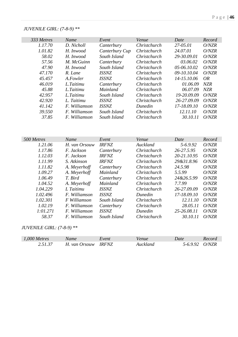### *JUVENILE GIRL: (7-8-9) \*\**

| 333 Metres        | Name                           | Event                        | Venue                   | Date                    | Record         |
|-------------------|--------------------------------|------------------------------|-------------------------|-------------------------|----------------|
| 1.17.70           | D. Nicholl                     | Canterbury                   | Christchurch            | 27-05.01                | O/NZR          |
| 1.01.82           | H. Inwood                      | Canterbury Cup               | Christchurch            | 24.07.01                | O/NZR          |
| 58.02             | H. Inwood                      | South Island                 | Christchurch            | 29-30.09.01             | O/NZR          |
| 57.56             | M. McGuinn                     | Canterbury                   | Christchurch            | 03.06.02                | O/NZR          |
| 47.90             | H. Inwood                      | South Island                 | Christchurch            | 05-06.10.02             | O/NZR          |
| 47.170            | R. Lane                        | <b>ISSNZ</b>                 | Christchurch            | 09-10.10.04             | O/NZR          |
| 45.457            | A.Fowler                       | <b>ISSNZ</b>                 | Christchurch            | 14-15.10.06             | <b>OR</b>      |
| 46.019            | L.Taitimu                      | Canterbury                   | Christchurch            | 01.06.09                | NZR            |
| 45.88             | L.Taitimu                      | Mainland                     | Christchurch            | 06.07.09                | <b>NZR</b>     |
| 42.957            | L.Taitimu                      | South Island                 | Christchurch            | 19-20.09.09             | O/NZR          |
| 42.920            | L. Taitimu                     | <b>ISSNZ</b>                 | Christchurch            | 26-27.09.09             | O/NZR          |
| 41.142            | F. Williamson                  | <b>ISSNZ</b>                 | Dunedin                 | 17-18.09.10             | O/NZR          |
| 39.550            | F. Williamson                  | South Island                 | Christchurch            | 12.11.10                | O/NZR          |
| 37.85             | F. Williamson                  | South Island                 | Christchurch            | 30.10.11                | O/NZR          |
|                   |                                |                              |                         |                         |                |
|                   |                                |                              |                         |                         |                |
| 500 Metres        | Name                           | Event                        | Venue                   | Date                    | Record         |
| 1.21.06           | H. van Orsouw                  | <b>IRFNZ</b>                 | Auckland                | 5-6.9.92                | O/NZR          |
| 1.17.86           | F. Jackson                     | Canterbury                   | Christchurch            | 26-27.5.95              | O/NZR          |
| 1.12.03           | F. Jackson                     | <b>IRFNZ</b>                 | Christchurch            | 20-21.10.95             | O/NZR          |
| 1.11.99           | S. Atkinson                    | <b>IRFNZ</b>                 | Christchurch            | 29&31.8.96              | O/NZR          |
| 1.11.82           | A. Meyerhoff                   | Canterbury                   | Christchurch            | 24.5.98                 | O/NZR          |
| 1.09.27           | A. Meyerhoff                   | Mainland                     | Christchurch            | 5.5.99                  | O/NZR          |
| 1.06.49           | T. Bird                        | Canterbury                   | Christchurch            | 24&26.5.99              | O/NZR          |
| 1.04.52           | A. Meyerhoff                   | Mainland                     | Christchurch            | 7.7.99                  | O/NZR          |
| 1.04.229          | L Taitimu                      | <b>ISSNZ</b>                 | Christchurch            | 26-27.09.09             | O/NZR          |
| 1.02.496          | F. Williamson                  | <b>ISSNZ</b>                 | Dunedin                 | 17-18.09.10             | O/NZR          |
| 1.02.301          | F Williamson                   | South Island                 | Christchurch            | 12.11.10                | O/NZR          |
| 1.02.19           | F. Williamson                  | Canterbury                   | Christchurch            | 28.05.11                | O/NZR          |
| 1:01.271<br>58.37 | F. Williamson<br>F. Williamson | <b>ISSNZ</b><br>South Island | Dunedin<br>Christchurch | 25-26.08.11<br>30.10.11 | O/NZR<br>O/NZR |

# *JUVENILE GIRL: (7-8-9) \*\**

| $1,000$ Metres | Name          | Event               | /enue    | Date   | Record |
|----------------|---------------|---------------------|----------|--------|--------|
| 25137          | H. van Orsouw | <i><b>IRFNZ</b></i> | Auckland | 5-6992 | O/NZR  |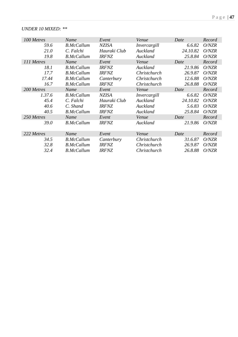#### *UNDER 10 MIXED: \*\**

| 100 Metres  | Name              | Event        | Venue        | Date     | Record |
|-------------|-------------------|--------------|--------------|----------|--------|
| 59.6        | <b>B.McCallum</b> | <b>NZISA</b> | Invercargill | 6.6.82   | O/NZR  |
| 21.0        | C. Falchi         | Hauraki Club | Auckland     | 24.10.82 | O/NZR  |
| 19.8        | <b>B.McCallum</b> | <b>IRFNZ</b> | Auckland     | 25.8.84  | O/NZR  |
| 111 Metres  | Name              | Event        | Venue        | Date     | Record |
| 18.1        | <b>B.McCallum</b> | <i>IRFNZ</i> | Auckland     | 21.9.86  | O/NZR  |
| 17.7        | <b>B.McCallum</b> | <b>IRFNZ</b> | Christchurch | 26.9.87  | O/NZR  |
| 17.44       | <b>B.McCallum</b> | Canterbury   | Christchurch | 12.6.88  | O/NZR  |
| 16.7        | <b>B.McCallum</b> | <b>IRFNZ</b> | Christchurch | 26.8.88  | O/NZR  |
| 200 Metres  | Name              | Event        | Venue        | Date     | Record |
| 1.37.6      | <b>B.McCallum</b> | <b>NZISA</b> | Invercargill | 6.6.82   | O/NZR  |
| 45.4        | C. Falchi         | Hauraki Club | Auckland     | 24.10.82 | O/NZR  |
| 40.6        | C. Shand          | <b>IRFNZ</b> | Auckland     | 5.6.83   | O/NZR  |
| 40.5        | <b>B.McCallum</b> | <b>IRFNZ</b> | Auckland     | 25.8.84  | O/NZR  |
| 250 Metres  | Name              | Event        | Venue        | Date     | Record |
| <i>39.0</i> | <b>B.McCallum</b> | <b>IRFNZ</b> | Auckland     | 21.9.86  | O/NZR  |
|             |                   |              |              |          |        |
| 222 Metres  | Name              | Event        | Venue        | Date     | Record |
| 34.5        | <b>B.McCallum</b> | Canterbury   | Christchurch | 31.6.87  | O/NZR  |
| 32.8        | <b>B.McCallum</b> | <b>IRFNZ</b> | Christchurch | 26.9.87  | O/NZR  |
| 32.4        | <b>B.McCallum</b> | <b>IRFNZ</b> | Christchurch | 26.8.88  | O/NZR  |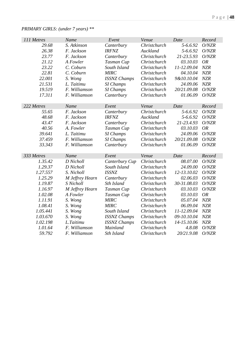| 111 Metres | Name            | Event               | Venue        | Date         | Record    |
|------------|-----------------|---------------------|--------------|--------------|-----------|
| 29.68      | S. Atkinson     | Canterbury          | Christchurch | 5-6.6.92     | O/NZR     |
| 26.38      | F. Jackson      | <b>IRFNZ</b>        | Auckland     | 5-6.6.92     | O/NZR     |
| 23.77      | F. Jackson      | Canterbury          | Christchurch | 21-23.5.93   | O/NZR     |
| 21.12      | A Fowler        | Tasman Cup          | Christchurch | 03.10.03     | <b>OR</b> |
| 23.22      | C. Coburn       | South Island        | Christchurch | 11-12.09.04  | NZR       |
| 22.81      | C. Coburn       | <b>MIRC</b>         | Christchurch | 04.10.04     | NZR       |
| 22.001     | S. Wong         | <b>ISSNZ Champs</b> | Christchurch | 9&10.10.04   | NZR       |
| 21.531     | L. Taitimu      | <b>SI</b> Champs    | Christchurch | 24.09.06     | NZR       |
| 19.519     | F. Williamson   | <b>SI</b> Champs    | Christchurch | 20/21.09.08  | O/NZR     |
| 17.311     | F. Williamson   | Canterbury          | Christchurch | 01.06.09     | O/NZR     |
|            |                 |                     |              |              |           |
| 222 Metres | Name            | Event               | Venue        | Date         | Record    |
| 55.65      | F. Jackson      | Canterbury          | Christchurch | 5-6.6.92     | O/NZR     |
| 48.68      | F. Jackson      | <b>IRFNZ</b>        | Auckland     | $5 - 6.6.92$ | O/NZR     |
| 43.47      | F. Jackson      | Canterbury          | Christchurch | 21-23.4.93   | O/NZR     |
| 40.56      | A. Fowler       | Tasman Cup          | Christchurch | 03.10.03     | <b>OR</b> |
| 39.641     | L. Taitimu      | SI Champs           | Christchurch | 24.09.06     | O/NZR     |
| 37.459     | F. Williamson   | SI Champs           | Christchurch | 20/21.09.08  | O/NZR     |
| 33.343     | F. Williamson   | Canterbury          | Christchurch | 01.06.09     | O/NZR     |
|            |                 |                     |              |              |           |
| 333 Metres | Name            | Event               | Venue        | Date         | Record    |
| 1.35.42    | D Nicholl       | Canterbury Cup      | Christchurch | 08.07.00     | O/NZR     |
| 1.29.37    | D Nicholl       | South Island        | Christchurch | 24.09.00     | O/NZR     |
| 1.27.557   | S. Nicholl      | <b>ISSNZ</b>        | Christchurch | 12-13.10.02  | O/NZR     |
| 1.25.29    | M Jeffrey Hearn | Canterbury          | Christchurch | 02.06.03     | O/NZR     |
| 1.19.87    | S Nicholl       | Sth Island          | Christchurch | 30-31.08.03  | O/NZR     |
| 1.16.97    | M Jeffrey Hearn | Tasman Cup          | Christchurch | 03.10.03     | O/NZR     |
| 1.02.08    | A Fowler        | Tasman Cup          | Christchurch | 03.10.03     | <b>OR</b> |
| 1.11.91    | S. Wong         | <b>MIRC</b>         | Christchurch | 05.07.04     | NZR       |
| 1.08.41    | S. Wong         | <b>MIRC</b>         | Christchurch | 06.09.04     | NZR       |
| 1.05.441   | S. Wong         | South Island        | Christchurch | 11-12.09.04  | NZR       |
| 1.03.670   | S. Wong         | <b>ISSNZ Champs</b> | Christchurch | 09-10.10.04  | NZR       |
| 1.02.198   | L.Taitimu       | <b>ISSNZ Champs</b> | Christchurch | 14-15.10.06  | NZR       |
| 1.01.64    | F. Williamson   | Mainland            | Christchurch | 4.8.08       | O/NZR     |
| 59.792     | F. Williamson   | Sth Island          | Christchurch | 20/21.9.08   | O/NZR     |

### *PRIMARY GIRLS: (under 7 years) \*\**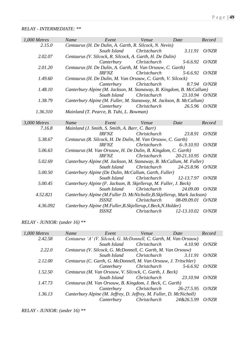#### *RELAY - INTERMEDIATE: \*\**

| 1,000 Metres           | Name                                                         | Event                                                           | Venue                                                                        | Date              | Record        |
|------------------------|--------------------------------------------------------------|-----------------------------------------------------------------|------------------------------------------------------------------------------|-------------------|---------------|
| 2.15.0                 |                                                              |                                                                 | Centaurus (H. De Dulin, A. Garth, R. Silcock, N. Nevin)                      |                   |               |
|                        |                                                              | South Island                                                    | Christchurch                                                                 | 3.11.91           | O/NZR         |
| 2.02.07                |                                                              |                                                                 | Centaurus (V. Silcock, R. Silcock, A. Garth, H. De Dulin)                    |                   |               |
|                        |                                                              | Canterbury                                                      | Christchurch                                                                 | $5 - 6.6.92$      | O/NZR         |
| 2.01.20                |                                                              |                                                                 | Centaurus (H. De Dulin, A. Garth, M. Van Orsouw, C. Garth)                   |                   |               |
|                        |                                                              | <b>IRFNZ</b>                                                    | Christchurch                                                                 | $5 - 6.6.92$      | O/NZR         |
| 1.49.60                |                                                              |                                                                 | Centaurus (H. De Dulin, M. Van Orsouw, C. Garth, V. Silcock)                 |                   |               |
|                        |                                                              | Canterbury                                                      | Christchurch                                                                 |                   | 8.7.94 O/NZR  |
| 1.48.10                |                                                              |                                                                 | Canterbury Alpine (M. Jackson, M. Stanaway, B. Kingdom, B. McCallum)         |                   |               |
|                        |                                                              | South Island                                                    | Christchurch                                                                 | 23.10.94 O/NZR    |               |
| 1.38.79                |                                                              |                                                                 | Canterbury Alpine (M. Fuller, M. Stanaway, M. Jackson, B. McCallum)          |                   |               |
|                        |                                                              | Canterbury                                                      | Christchurch                                                                 |                   | 26.5.96 O/NZR |
| 1.36.310               |                                                              | Mainland (T. Pearce, B. Tuhi, L. Bowman)                        |                                                                              |                   |               |
|                        |                                                              |                                                                 |                                                                              |                   |               |
| 3,000 Metres<br>7.16.8 | <b>Name</b>                                                  | Event                                                           | Venue                                                                        | Date              | Record        |
|                        |                                                              | Mainland (J. Smith, S. Smith, A. Barr, C. Barr)<br><b>IRFNZ</b> | Christchurch                                                                 | 23.8.91           | O/NZR         |
| 5.38.67                |                                                              |                                                                 |                                                                              |                   |               |
|                        |                                                              | <b>IRFNZ</b>                                                    | Centaurus (R. Silcock, H. De Dulin, M. Van Orsouw, C. Garth)<br>Christchurch | $6 - 9.10.93$     | O/NZR         |
| 5.06.63                |                                                              |                                                                 | Centaurus (M. Van Orsouw, H. De Dulin, B. Kingdom, C. Garth)                 |                   |               |
|                        |                                                              | <b>IRFNZ</b>                                                    | Christchurch                                                                 | 20-21.10.95 O/NZR |               |
| 5.02.69                |                                                              |                                                                 | Canterbury Alpine (M. Jackson, M. Stanaway, B. McCallum, M. Fuller)          |                   |               |
|                        |                                                              | South Island                                                    | Christchurch                                                                 | 24-25.8.96 O/NZR  |               |
| 5.00.50                |                                                              |                                                                 | Canterbury Alpine (De Dulin, McCallum, Garth, Fuller)                        |                   |               |
|                        |                                                              | South Island                                                    | Christchurch                                                                 | 12-13.7.97        | O/NZR         |
| 5.00.45                |                                                              |                                                                 | Canterbury Alpine (F. Jackson, B. Skjellerup, M. Fuller, J. Beck)            |                   |               |
|                        |                                                              | South Island                                                    | Christchurch                                                                 | 24.09.00 O/NZR    |               |
| 4.52.821               |                                                              |                                                                 | Canterbury Alpine (M.Fuller D. McNicholle, B. Skjellerup, Mark Jackson)      |                   |               |
|                        |                                                              | <i><b>ISSNZ</b></i>                                             | Christchurch                                                                 | 08-09.09.01       | O/NZR         |
| 4.36.092               | Canterbury Alpine (M.Fuller, B.Skjellerup, J.Beck, N.Holder) |                                                                 |                                                                              |                   |               |
|                        |                                                              | <b>ISSNZ</b>                                                    | Christchurch                                                                 | 12-13.10.02       | O/NZR         |

### *RELAY - JUNIOR: (under 16) \*\**

| 1,000 Metres | <b>Name</b>                                                         | Event                                                            | Venue               | Date       | Record |  |
|--------------|---------------------------------------------------------------------|------------------------------------------------------------------|---------------------|------------|--------|--|
| 2.42.58      | Centaurus 'A' (V. Silcock, G. McDonnell, C. Garth, M. Van Orsouw)   |                                                                  |                     |            |        |  |
|              |                                                                     | South Island                                                     | Christchurch        | 4.10.90    | O/NZR  |  |
| 2.22.0       | Centaurus (V. Silcock, G. McDonnell, C. Garth, M. Van Orsouw)       |                                                                  |                     |            |        |  |
|              |                                                                     | South Island                                                     | Christchurch        | 3.11.91    | O/NZR  |  |
| 2.12.00      |                                                                     | Centaurus (C. Garth, G. McDonnell, M. Van Orsouw, J. Tritschler) |                     |            |        |  |
|              |                                                                     | Canterbury                                                       | <i>Christchurch</i> | 5-6.6.92   | O/NZR  |  |
| 1.52.50      | Centaurus (M. Van Orsouw, V. Silcock, C. Garth, J. Beck)            |                                                                  |                     |            |        |  |
|              |                                                                     | South Island                                                     | Christchurch        | 23.10.94   | O/NZR  |  |
| 1.47.73      | Centaurus (M. Van Orsouw, B. Kingdom, J. Beck, C. Garth)            |                                                                  |                     |            |        |  |
|              |                                                                     | Canterbury                                                       | Christchurch        | 26-27.5.95 | O/NZR  |  |
| 1.36.13      | Canterbury Alpine (M. Jeffrey, D. Jeffrey, M. Fuller, D. McNicholl) |                                                                  |                     |            |        |  |
|              |                                                                     | Canterbury                                                       | Christchurch        | 24&26.5.99 | O/NZR  |  |

*RELAY - JUNIOR: (under 16) \*\**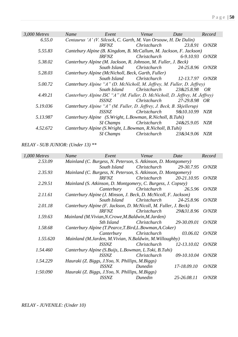| 3,000 Metres | Name                                               | Event        | Venue                                                                       | Date             | Record        |
|--------------|----------------------------------------------------|--------------|-----------------------------------------------------------------------------|------------------|---------------|
| 6.55.0       |                                                    |              | Centaurus 'A' (V. Silcock, C. Garth, M. Van Orsouw, H. De Dulin)            |                  |               |
|              |                                                    | <i>IRFNZ</i> | Christchurch                                                                | 23.8.91          | O/NZR         |
| 5.55.83      |                                                    |              | Cantebury Alpine (B. Kingdom, B. McCallum, M. Jackson, F. Jackson)          |                  |               |
|              |                                                    | <i>IRFNZ</i> | Christchurch                                                                | 6-9.10.93        | <i>O</i> /NZR |
| 5.38.02      |                                                    |              | Canterbury Alpine (M. Jackson, R. Johnson, M. Fuller, J. Beck)              |                  |               |
|              |                                                    | South Island | <i>Christchurch</i>                                                         | 24-25.8.96 O/NZR |               |
| 5.28.03      | Canterbury Alpine (McNicholl, Beck, Garth, Fuller) |              |                                                                             |                  |               |
|              |                                                    | South Island | <i>Christchurch</i>                                                         | 12-13.7.97 O/NZR |               |
| 5.00.72      |                                                    |              | Canterbury Alpine "A" (D. McNicholl, M. Jeffrey, M. Fuller, D. Jeffrey)     |                  |               |
|              |                                                    | South Island | Christchurch                                                                | 23&25.8.98       | - OR          |
| 4.49.21      |                                                    |              | Canterbury Alpine ISC "A" (M. Fuller, D. McNicholl, D. Jeffrey, M. Jeffrey) |                  |               |
|              |                                                    | <i>ISSNZ</i> | Christchurch                                                                | 27-29.8.98 OR    |               |
| 5.19.036     |                                                    |              | Canterbury Alpine "A" (M. Fuller, D. Jeffrey, J. Beck, B. Skjellerup)       |                  |               |
|              |                                                    | <i>ISSNZ</i> | Christchurch                                                                | 9&10.10.99       | NZR           |
| 5.13.987     |                                                    |              | Canterbury Alpine (S. Wright, L. Bowman, R. Nicholl, B. Tuhi)               |                  |               |
|              |                                                    | SI Champs    | Christchurch                                                                | 24&25.9.05       | NZR           |
| 4.52.672     |                                                    |              | Canterbury Alpine (S. Wright, L. Bowman, R. Nicholl, B. Tuhi)               |                  |               |
|              |                                                    | SI Champs    | Christchurch                                                                | 23&34.9.06       | NZR           |

*RELAY - SUB JUNIOR: (Under 13) \*\**

| 1,000 Metres | Name                                                         | Event                                                           | Venue               | Date        | Record        |  |
|--------------|--------------------------------------------------------------|-----------------------------------------------------------------|---------------------|-------------|---------------|--|
| 2.53.09      |                                                              | Mainland (C. Burgess, N. Peterson, S. Atkinson, D. Montgomery)  |                     |             |               |  |
|              |                                                              | South Island                                                    | Christchurch        | 29-30.7.95  | O/NZR         |  |
| 2.35.93      |                                                              | Mainland (C. Burgess, N. Peterson, S. Atkinson, D. Montgomery)  |                     |             |               |  |
|              |                                                              | <i><b>IRFNZ</b></i>                                             | <i>Christchurch</i> | 20-21.10.95 | O/NZR         |  |
| 2.29.51      | Mainland (S. Atkinson, D. Montgomery, C. Burgess, J. Copsey) |                                                                 |                     |             |               |  |
|              |                                                              | Canterbury                                                      | Christchurch        | 26.5.96     | O/NZR         |  |
| 2.11.61      |                                                              | Canterbury Alpine (J. Minson, J. Beck, D. McNicoll, F. Jackson) |                     |             |               |  |
|              |                                                              | South Island                                                    | Christchurch        | 24-25.8.96  | <i>O</i> /NZR |  |
| 2.01.18      |                                                              | Canterbury Alpine (F. Jackson, D. McNicoll, M. Fuller, J. Beck) |                     |             |               |  |
|              |                                                              | <i><b>IRFNZ</b></i>                                             | Christchurch        | 29&31.8.96  | <i>O</i> /NZR |  |
| 1.59.63      |                                                              | Mainland (M. Vivian, N. Crowe, M. Baldwin, M. Jarden)           |                     |             |               |  |
|              |                                                              | Sth Island                                                      | Christchurch        | 29-30.09.01 | O/NZR         |  |
| 1.58.68      | Canterbury Alpine (T.Pearce, T.Bird, L.Bowman, A.Coker)      |                                                                 |                     |             |               |  |
|              |                                                              | Canterbury                                                      | Christchurch        | 03.06.02    | O/NZR         |  |
| 1.55.620     | Mainland (M.Jarden, M.Vivian, N.Baldwin, M.Willoughby)       |                                                                 |                     |             |               |  |
|              |                                                              | ISSNZ                                                           | Christchurch        | 12-13.10.02 | O/NZR         |  |
| 1.54.460     |                                                              | Canterbury Alpine (S. Buijs, L. Bowman, L. Toki, B. Tuhi)       |                     |             |               |  |
|              |                                                              | <i>ISSNZ</i>                                                    | Christchurch        | 09-10.10.04 | O/NZR         |  |
| 1.54.229     | Hauraki (Z. Biggs, J.Yoo, N. Phillips, M.Biggs)              |                                                                 |                     |             |               |  |
|              |                                                              | <i><b>ISSNZ</b></i>                                             | Dunedin             | 17-18.09.10 | O/NZR         |  |
| 1:50.090     | Hauraki (Z. Biggs, J.Yoo, N. Phillips, M.Biggs)              |                                                                 |                     |             |               |  |
|              |                                                              | <b>ISSNZ</b>                                                    | Dunedin             | 25-26.08.11 | O/NZR         |  |